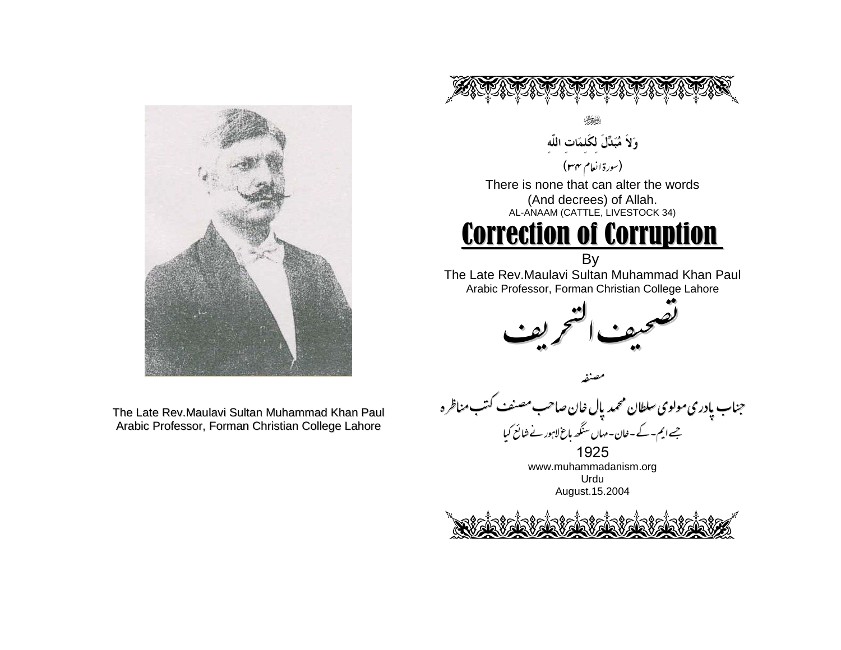

The Late Rev.Maulavi Sultan Muhammad Khan Paul Arabic Professor, Forman Christian College Lahore

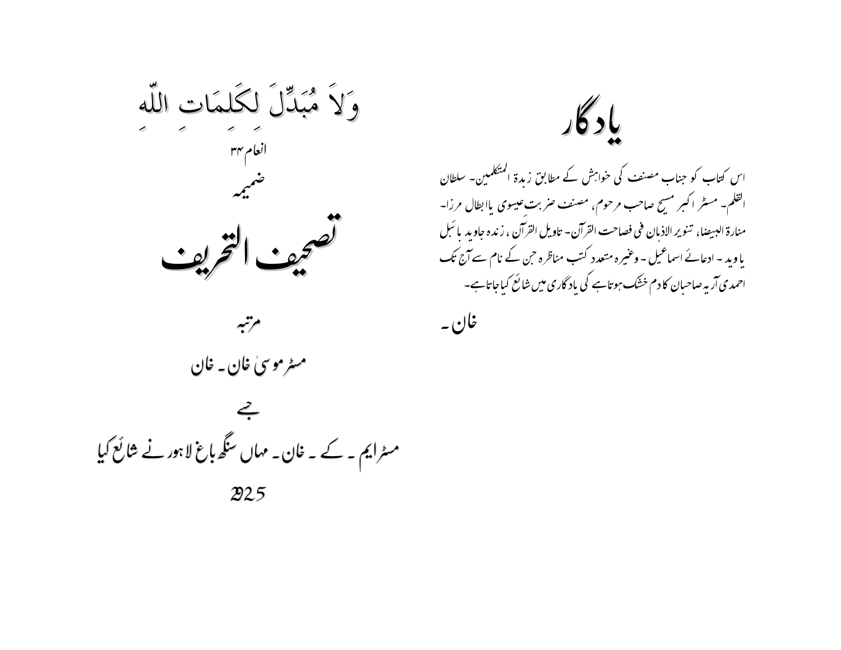

بادگار اس کتاب کو جناب مصنف کی خواہش کے مطابق زیدۃ المتکلمین۔ سلطان القلم- مسٹر اکبر مسح صاحب مرحوم، مصنف صربت عیسوی باابطال مرزا-منارة البيضا، تنوير الإذبان في فصاحت القرآن- تاويل القرآن ، زنده جاويد يا ئبل یا وید – ادعائے اسماعیل – وعنیرہ متعدد کتب مناظرہ حن کے نام سے آج تک احمدی آر یہ صاحبان کا دم خشک ہوتاہے کی یاد گاری میں شائع کیاجاتاہے۔

غان ۔

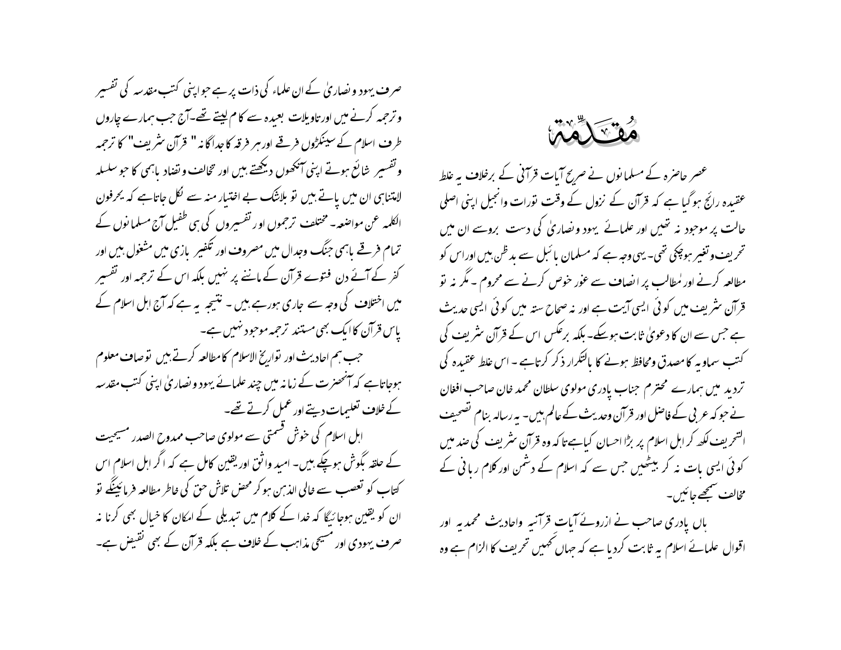صرف یہود و نصاریٰ کے ان علماء کی ذات پر ہے حوابنی کتب مقدسہ کی تفسیر و ترجمہ کرنے میں اور تاویلات بعبدہ سے کام لیتے تھے۔آج جب ہمارے چاروں طرف اسلام کے سینکڑوں فرقے اور ہر فرقہ کاجداگانہ" قرآن نثر یف" کا ترحمہ وتفسير شائع ہوتے اپنی آنکھوں دیکھتے ہیں اور تخالف و تفناد باہمی کا حو سلسلہ لامتناہی ان میں یاتے بیں تو بلاننگ بے اختیار منہ سے لکل جاتاہے کہ یحرفون الکلمہ عن مواصّعہ۔ مختلف ترجموں اور تفسیروں کی ہی طفیل آج مسلما نوں کے تمام فرقے باہمی جنگ وجدال میں مصروف اور تکفیر بازی میں مشغول بیں اور کفر کے آئے دن فتوے قرآن کے ماننے پر نہیں بلکہ اس کے ترجمہ اور تفسیر میں اختلاف کی وجہ سے جاری ہورہے،میں - نتیجہ یہ ہے کہ آج اہل اسلام کے یاس قرآن کاایک بھی مستند ترحمہ موحود نہیں ہے۔ حبب ہم احادیث اور نواریخ الاسلام کامطالعہ کرتے ہیں توصاف معلوم ہوجاتاہے کہ آنحصرت کے زمانہ میں چند علمائے یہود و نصار پیٰ اپنی کتب مقدسہ کے خلاف تعلیمات دیتے اور عمل کرتے تھے۔ اہل اسلام کی حوش قسمتی سے مولوی صاحب ممدوح الصدر مسیحیت کے حلقہ بگوش ہوچکے ہیں۔ امبد واثق اور یقین کامل ہے کہ اگر اہل اسلام اس کتاب کو تعصب سے خالی الذہن ہو کر محص تلاش حق کی خاطر مطالعہ فرمائینگے تو ان کو یقین ہوجائیگا کہ خدا کے کلام میں تبدیلی کے امکان کا خیال بھی کرنا نہ صرف یہودی اور مسیحی مذاہب کے خلاف ہے بلکہ قرآن کے بھی نقیض ہے۔



عصر حاصرہ کے مسلمانوں نے صریح آیات قرآئی کے برخلاف بہ علط عقیدہ رائج ہوگیا ہے کہ قرآن کے نزول کے وقت نورات وانجیل اپنی اصلی حالت پر موجود پہ تھیں اور علمائے یہود و نصاریٰ کی دست بروسے ان میں تحریف و تغیر ہوچکی تھی۔ یہی وجہ ہے کہ مسلمان یا ئبل سے بد ظن بیں اوراس کو مطالعہ کرنے اور لمطالب پر انصاف سے عوٰر حوص کرنے سے محروم ۔ مگر نہ تو قرآن سٹریف میں کوئی ایسی آیت ہے اور نہ صحاح ستہ میں کوئی ایسی حدیث ہے جس سے ان کا دعویٰ ثابت ہوسکے۔ بلکہ برعکس اس کے قرآن سٹریف کی کتب سماویہ کامصدق ومحافظ ہونے کا بالتکرار ذکر کرتاہے۔اس غلط عقیدہ کی تردید میں ہمارے محترم جناب یادری مولوی سلطان محمد خان صاحب افغان نے حو کہ عربی کے فاصل اور قرآن وحدیث کے عالم بیں۔ یہ رسالہ بنام تصحیف الشحر یف لکھ کر اہل اسلام پر بڑا احسان کیاہے تا کہ وہ قرآن سٹریف کی صد میں کوئی ایسی بات نہ کر بیٹھیں جس سے کہ اسلام کے دشمن اور کلام ربانی کے مخالف سمجھے جائیں۔

بال یادری صاحب نے ازروئے آیات قرآنیہ واحادیث محمدیہ اور اقوال علمائے اسلام بہ ثابت کردیا ہے کہ جہاں تحہیں تحریف کا الزام ہے وہ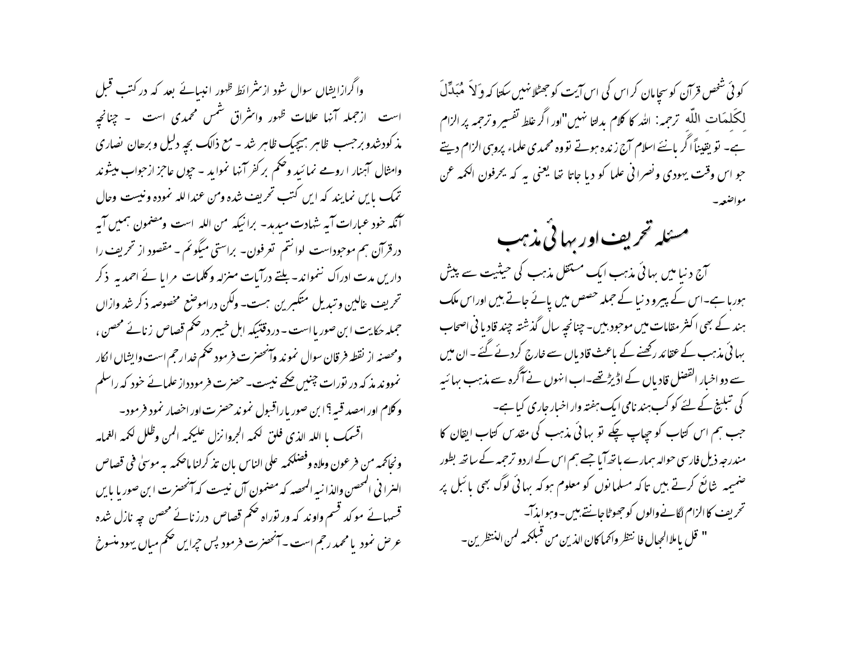واکرازایشاں سوال شود از سرائط ظهور انبیائے بعد کہ در کتب قبل است \_ از حجمله آنها علامات ظهور وانثراق شمس محمدی است \_ = چنانچه مذ کودشدو برحسب ظاہر ہیچیک ظاہر شد - مع ذالک بجہ دلیل و برھان تصاری وامثال آہنار ا رومے نمائید وضحم بر کفر آنها نمواید - حیوں عاحز ازحواب میشوند تمك باين نمايند كه اين كتب تحريف شده ومن عندالله نموده ونيست وحال آنكه خود عبارات آيه شهادت مبديد- برانيكه من الله است ومصمون تهميں آيه در قرآن ہم موجوداست لوانتم تعرفون- براستی میگوئم - مقصود از تحریف را داریں مدت ادراک ننمواند۔ بلتے درآیات منزلہ وکلمات عرایا ئے احمد ہہ ذکر تحریف غالبین و تبدیل متکبرین ہست۔ ولکن دراموضع مخصوصه ذکر شد وازاں حملہ حکایت ابن صور یا است - درد قتیکہ اہل خیبر درحکم قصاص زنائے محصن ، ومحصنه از نقطه فرقان سوال نموند وآنحصرت فرمود ضحم خدارجم است وايشال ائكار نمووند مذ که در تورات چنیں حکھے نیست۔ حصرت فرمودداز علمائے خود که راسلم و کلام اور امصد قبیه؟ابن صور پاراقبول نموند حصرت اور اخصار نمود فرمود – اقسمك با الله الذي فلق لكمه الجروانزل عليكمه المن وظلل لكمه الغمامه ونجائمه من فرعون وملاه وفضلكمه على الناس بان تذكرلنا ماحكمه به موسىٰ في قصاص النرا في المحصن والذا نبه المحصه كه مصنمون آل نيست كه آنحصرت ابن صوريا بايں قسمهائے موکد قسم واوند کہ ور توراہ صحم قصاص درزنائے محصن چہ نازل شدہ عرص نمود یامحمد رحم است – آنحصرت فرمود پس حجرایں حکم مباں یہود منسوخ

کوئی شخص قرآن کوسچامان کراس کی اس ایت کو جھٹلانہیں سکتا کہ و ٗلاَ ۖ مُبَلِّلٌ ۖ لككَلهَات اللَّه ترجمه: الله كا كلام بدلتا نهين"اور اگر غلط تفسير و ترجمه پر الزام ہے۔ نو یقیناً اگر بانئے اسلام آج زندہ ہوتے نووہ محمدی علماء پروہی الزام دیتے حو اس وقت یهودی و نصرا نی علما کو دیا جاتا تھا یعنی بہ کہ یحرفون الکمه عن

مسئله تحريف اوربها في مذہب

آج دنیا میں بہائی مذہب ایک مستقل مذہب کی حیثیت سے پیش ہورہا ہے۔اس کے پیرو دنیا کے حملہ حصص میں پائے جاتے بیں اوراس ملک ہند کے بھی اکثر مقامات میں موحود بیں۔چنانچہ سال گذشتہ چند قادیا فی اصحاب بہائی مذہب کے عقائد رکھنے کے باعث قادیاں سے خارج کردئے گئے۔ان میں سے دواخبار القضل قادیاں کے اڈیڑ تھے۔اب انہوں نے آگرہ سے مذہب بہائیہ کی تبلیغے کے لئے کو کب ہند نامی ایک ہفتہ وار اخبار جاری کیا ہے۔ جب ہم اس کتاب کو جپاپ چکے تو بہائی مذہب کی مقدس کتاب ایقان کا مندرجہ ذیل فارسی حوالہ ہمارے ہاتھ آیا جسے ہم اس کے اردو ترجمہ کے ساتھ بطور صمیمہ شائع کرتے ہیں تاکہ مسلمانوں کو معلوم ہوکہ بہائی لوگ بھی بائبل پر تحريف كاالزام لگانے والوں كو جھوٹا جانتے بيں۔وہوابذآ-" قل ياملا الحِمال فا نتظر واكما كان الذين من قسلِكمه لمن الننتظرين –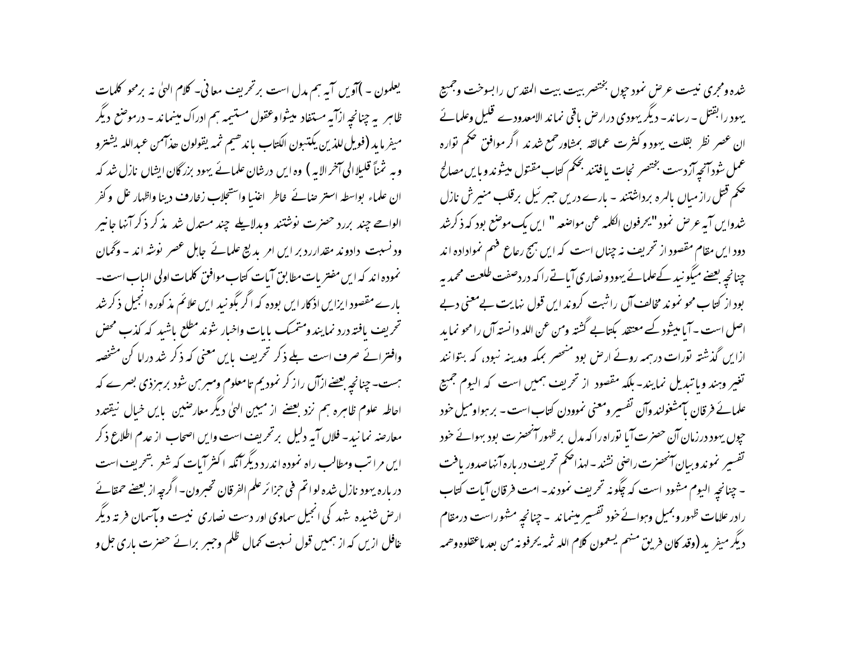یعلمون - )آویں آیہ ہم مدل است بر تحریف معانی۔ کلام الهیٰ نہ برمو کلمات ظاہر پہ چنانچہ ازآیہ مستفاد میثوا وعقول مستیمہ ہم ادراک مینماند - درموضع دیگر ميفر مايد (فويل للذين يكتسون الكتاب ماندھيم ثمه يقولون حذاممن عبدالله يشترو وبہ ثمناً قلیلاالی آخر الابہ ) وہ ایں درشان علمائے یہود بزرگان ایشاں نازل شد کہ ان علماء بواسطه استر صائے خاطر اعنیا واستعجلاب زخارف دینا واظہار عل و کفر الوامے چند بررد حصرت نوشتند وبدلایلے چند مستدل شد مذکر ذکر آنها جانیر ود نسبت دادوند مقداررد بر ایں امر بدیع علمائے جابل عصر نوشہ اند - وَگمان نموده اند كه اين مفتريات مطابق آيات كتاب موافق كلمات اولى الباب است -بارے مقصود ایزایں اذ کار ایں بودہ کہ اگر بگو نید ایں علائم مذکورہ انجیل ذکرشد تحريف بافته درد نمايند ومتميك بإبات واخبار شوند مطلع باشيد كه كذب محض وافترائے صرف است بلے ذکر تحریف پایں معنی کہ ذکر شد دراما کن مشخصہ ہست۔ چنانچہ بعضے ارْآں را ز کر نمودیم تامعلوم ومبر ہن شود برہزذی بصرے کہ احاطه علوم ظاہرہ ہم نزد بعضے از میین العیٰ دیگر معارضین بایں خیال نیقتدد معارصه نما نید- فلاں آیہ دلیل برتحریف است وایں اصحاب از عدم اطلاع ذکر ایں مراتب ومطالب راہ نمودہ اندرد دیگرانگہ اکثر آیات کہ شعر بشحریف است در باره يهود نازل شده لواتم في حزائر علم الفرقان تحبرون-اگرچهِ از بعضے حمقائےً ارص شنیده شهد کی انجیل سماوی اور دست نصاری نیست وبآسمان فر ته دیگر غافل ازیں کہ از ہمیں قول نسبت کمال ظلم وجبر برائے حصرت ماری جل و

شده ومجرى نيست عرض نمود حيول بختصر بيت بيت المقدس رابسوخت وجميع یہود رابقتل – رساند۔ دیگر یہودی درارص یاقی نماند الامعدودے قلیل وعلمائے ان عصر نظر بقلت يهود وكثرت عمالقه بمثاورحمع شدند اگر موافق صحم تواره عمل شودآنجه آزدست بختصر نحات بافتند بحكم كتاب مقتول ميثوندوباين مصالح صحم قتل رازمیاں بالرہ برداشتند - بارے دریں جبر <sup>س</sup>یل برقلب منیرش نازل شدوايں آيہ عرص نمود "يحرفون الكلمه عن مواضعه " ايں يك موضع بود كه ذكرشد دود ایں مقام مقصود از تحریف نہ چناں است کہ ایں بہج رعاع فہم نموادادہ اند چنانچہ بعضے میگو نید کےعلمائے یہود و نصاری آیاتے را کہ دردصفت طلعت محمد بہ بود از کتاب محو نموند مخالف آل را ثبت کروند ایں قول نہایت بےمعنی دبے اصل است - آیا میشود کسے معتقد بکتابے گشتہ ومن عن اللہ دانستہ آں را محو نماید ازایں گذشتہ نورات درہمہ روپے ارص بود منھسر بمکہ ومدینہ نبود، کہ بتوانند تغیر وہند وبا تبدیل نمایند۔ بلکہ مقصود از تحریف ہمیں است کہ الیوم جمیع علمائے فرقان بآمشغولند وآن تفسیر ومعنی نموودن کتاب است - بر ہواومیل خود حپوں یہود درزمان آن حصرت آیا نوراہ را کہ مدل برظہور آنھھنرت بود بہوائے خود تفسير نموند وبيان آنحصرت راصي نشند - لهذاحكم تحريف درياره آنهاصدوريافت - چنانچه الیوم مشود است که چگونه تحریف نمودند- امت فرقان آیات کتاب رادر علامات ظهور وبميل وہوائےخود تفسير مينماند - چنانجه مشوراست درمقام ديگر ميفر يد (وقد كان فريق منهم يسعمون كلام الله ثمه يحرفونه من بعد ماعقلوه وحمه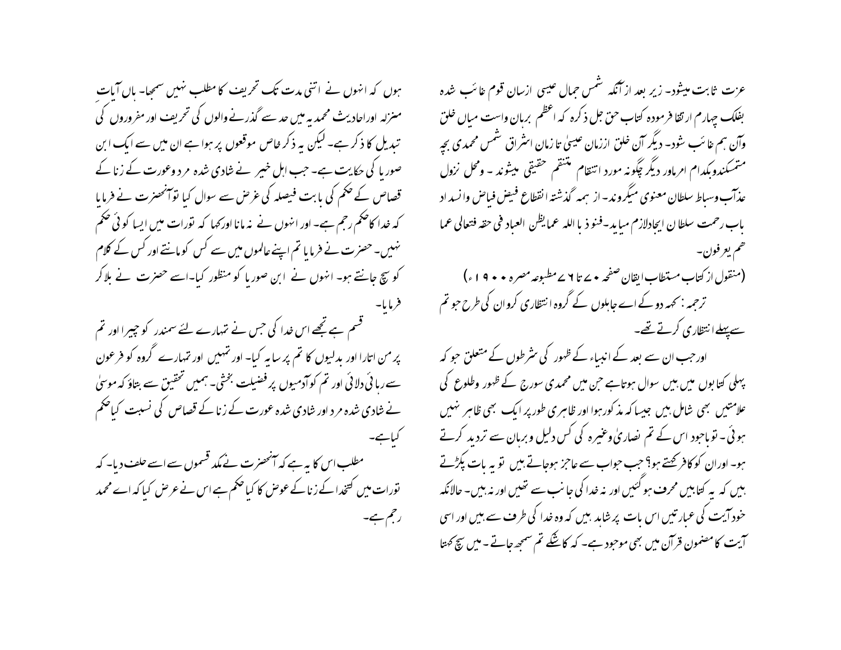ہوں کہ انہوں نے اتنی مدت تک تحریف کا مطلب نہیں سمجا- پاں آیات منزلہ اوراحادیث محمد یہ میں حد سے گذرنے والوں کی تحریف اور مفروروں کی تبدیل کا ذکر ہے۔ لیکن ہہ ذکر خاص موقعوں پر ہوا ہے ان میں سے ایک ابن صور پا کی حکایت ہے۔ جب اہل خیبر نے شادی شدہ مرد وعورت کے زنا کے قصاص کے حکم کی بابت فیصلہ کی عرص سے سوال کیا توآنھھنرت نے فرمایا کہ خدا کاضحم رحم ہے۔ اور انہوں نے نہ مانا اور <sub>ک</sub>ما کہ نورات میں ایسا کوئی ض<del>ک</del>م نہیں۔حصرت نے فرمایا تم اپنے عالموں میں سے کس کوماننے اور کس کے کلام کو سچ جانتے ہو۔ انہوں نے ابن صور ہا کو منظور کیا۔اسے حصرت نے بلاکر فرمايا-

فسم ہے تجھے اس خدا کی حس نے نہمارے لئے سمندر کو حبیرا اور تم پر من اتارا اور بدلیوں کا تم پر سا بہ کیا۔ اور تہیں اور تہارے گروہ کو فرعون سے رہائی دلائی اور تم کوآدمیوں پر فضیلت بخش۔ ہمیں تحقیق سے بتاؤ کہ موسیٰ نے شادی شدہ مر د اور شادی شدہ عورت کے زنا کے قصاص کی نسبت کیا صحم کیاہے۔ مطلب اس کا یہ ہے کہ آنمھنرت نے مکد قسموں سے اسے حلف دیا۔ کہ تورات میں کتخدا کے زنا کے عوص کا کیا صحم ہے اس نے عرص کیا کہ اے محمد رحجم ہے۔

عزت ثابت میشود- زیر بعد از آنکه شمس حمال عیسی ازسان قوم غائب شده بفلك جهارم ارتقا فرموده كتاب حن جل ذكره كه اعظم بربان واست ميال خلق وآن ہم عائب شود۔ دیگر آن خلق اززمان عیسیٰ تا زمان اسٹراق شمس محمدی بجہ متمسكندوبكدام امرماور ديگر جگونه مورد اتتقام متنقم حقيقي ميثوند - ومحل نزول عذآب وسباط سلطان معنوي ميگروند – از ہمه گذشته انقطاع فيض فياض والسد اد باب رحمت سلطان ايجادلازم مبايد-فنو ذيا الله عمايظن العباد في حقه فتعالى عما ھم پعرفون۔

(منقول از کتاب مستطاب ایقان صفحه • ۷ تا ۲ ۷ مطبوعه مصره • • ۹ اء) ترحمہ : کہہ دو کے اے جاہلوں کے گروہ انتظاری کروان کی طرح حو تم سےپہلےانتظاری کرتے تھے۔

اور حبب ان سے بعد کے انبہاء کے ظہور کی سٹرطوں کے متعلق حبو کہ پہلی کتابوں میں بیں سوال ہوتاہے جن میں محمدی سورج کے ظہور وطلوع کی علامتیں بھی شامل بیں جیسا کہ مذکور ہوا اور ظاہری طور پر ایک بھی ظاہر نہیں ہوئی۔ تو باحبود اس کے تم یضاریٰ وعنیرہ کی کس دلیل وبرمان سے تردید کرتے ہو۔ اوران کو کافر کھتے ہو؟ حب حبواب سے عاجز ہوجاتے ہیں تو یہ بات پکڑتے بیں کہ یہ کتابیں محرف ہو گئیں اور نہ خدا کی جانب سے تھیں اور نہ بیں۔ حالانکہ خود آیت کی عبارتیں اس بات پر شاید بیں کہ وہ خدا کی طرف سے بیں اور اسی آیت کامضمون قرآن میں بھی موجود ہے۔ کہ کاشکے تم سمجھ جاتے۔ میں بچ کھتا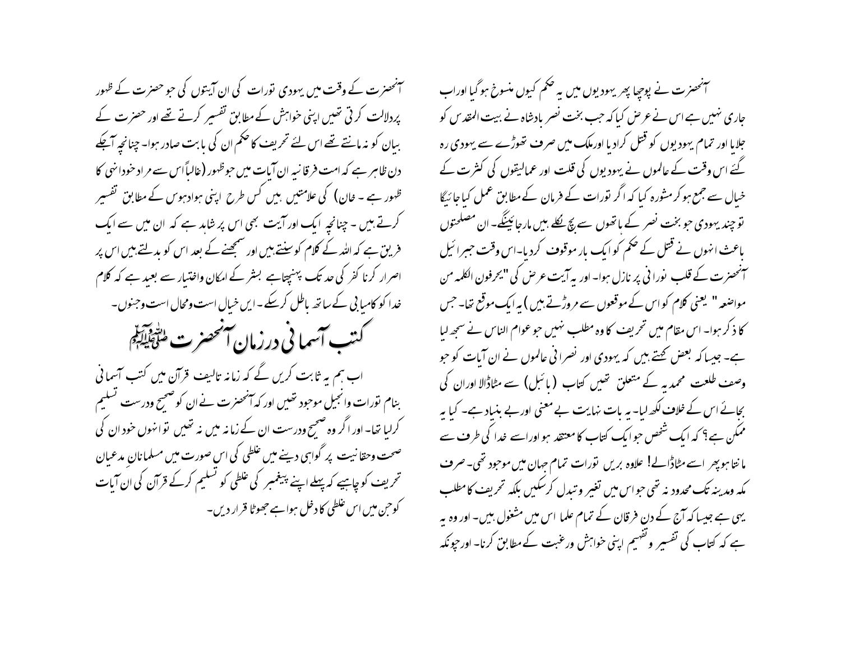آنٹھنرت کے وقت میں یہودی نورات کی ان آیتوں کی حو حصرت کے ظہور پردلالت کر ٹی تھیں اپنی خواہش کے مطابق تفسیر کرتے تھے اور حصرت کے ببان کو مہ مانتے تھے اس لئے تحریف کا صحم ان کی بابت صادر ہوا۔ چنانچہ آچکے دن ظاہر ہے کہ امت فرقا نیہ ان آیات میں حوظہور (غالباً اس سے مراد حودانہی کا ظہور ہے ۔ خان) کی علامتیں بیں کس طرح اپنی ہوادہوس کے مطابق تفسیر کرتے ہیں ۔ چنانچہ ایک اور آیت بھی اس پر شاہد ہے کہ ان میں سے ایک فریق ہے کہ اللہ کے کلام کو سنتے ہیں اور سمجھنے کے بعد اس کو بدلتے ہیں اس پر اصرار کرنا کفر کی حد تک پہنچتاہے بستر کے امکان واختیار سے بعید ہے کہ کلام خدا کو کامیا بی کے ساتھ باطل کرسکے۔ایں خیال است ومحال است وجنوں۔ كنب آسما فى در زمان آنحصرت متخلِلِبَعْ اب ہم یہ ثابت کریں گے کہ زمانہ تالیف قرآن میں کتب آسمانی بنام نورات وانجيل موحود تھيں اور كہ آنھھزت نے ان كو ضحيح ودرست تسليم کرلیا تھا۔ اور اگر وہ ضمیح ودرست ان کے زمانہ میں نہ تھیں توانہوں خود ان کی صحت وحقا نیت پر گواہی دینے میں علطی کی اس صورت میں مسلمانان مدعیان تحریف کو چاہیے کہ پہلے اپنے پیغمبر کی علطی کو تسلیم کرکے قرآن کی ان آبات کوحن میں اس غلطی کا دخل ہوا ہے جھوٹا قرار دیں۔ ۔<br>سمحصرت نے بوجیا پھر یہودیوں میں یہ ضکم کیوں منسوخ ہو گیا اوراب جاری نہیں ہے اس نے عرص کیا کہ حب بخت نصر یادشاہ نے بیت المقدس کو جلایا اور تمام یہودیوں کو قتل کرادیا اورملک میں صرف تھوڑے سے یہودی رہ گئے اس وقت کے عالموں نے یہودیوں کی قلت اور عمالیقوں کی کثرت کے خیال سے جمع ہو کر مثورہ کیا کہ اگر نورات کے فرمان کے مطابق عمل کیاجائیگا توجیند یہودی حو بخت نصر کے باتھوں سے کچ بھکے بیں مارجائینگے۔ ان مصلحتوں باعث انہوں نے قتل کے صحم کو ایک بار موقوف کردیا۔اس وقت حبیرائیل آنحصرت کے قلب نورا فی پر نازل ہوا۔ اور یہ آیت عرص کی "یحرفون الکلمہ من مواصعہ " یعنی کلام کو اس کے موقعوں سے مروڑتے ہیں ) یہ ایک موقع تعا۔ حس کا ذکر ہوا۔ اس مقام میں تحریف کا وہ مطلب نہیں جو عوام الناس نے سجھ لیا ہے۔ جیسا کہ بعض کھتے ہیں کہ یہودی اور نصرا فی عالموں نے ان آیات کو حبو وصف طلعت محمد یہ کے متعلق تھیں کتاب (پائبل) سے مٹاڈالا اوران کی بحائے اس کے خلاف لکھ لیا۔ یہ بات نہایت بے معنی اور بے بنیاد ہے۔ کیا یہ ممکن ہے؟ کہ ایک شخص حوایک کتاب کا معتقد ہواوراسے خدا کی طرف سے ما نتا ہو پھر اسے مٹاڈالے! علاوہ بریں تورات تمام حہان میں موجود تھی۔صرف کمه ومدینهٔ تک محدود نه تھی حواس میں تغییر و تبدل کرسکیں بلکہ تحریف کامطلب یہی ہے جیسا کہ آج کے دن فرقان کے تمام علما اس میں مشغول بیں۔ اور وہ یہ ہے کہ کتاب کی تفسیر و تفہیم اپنی خواہش ورعنبت کے مطابق کرنا- اور حپونکہ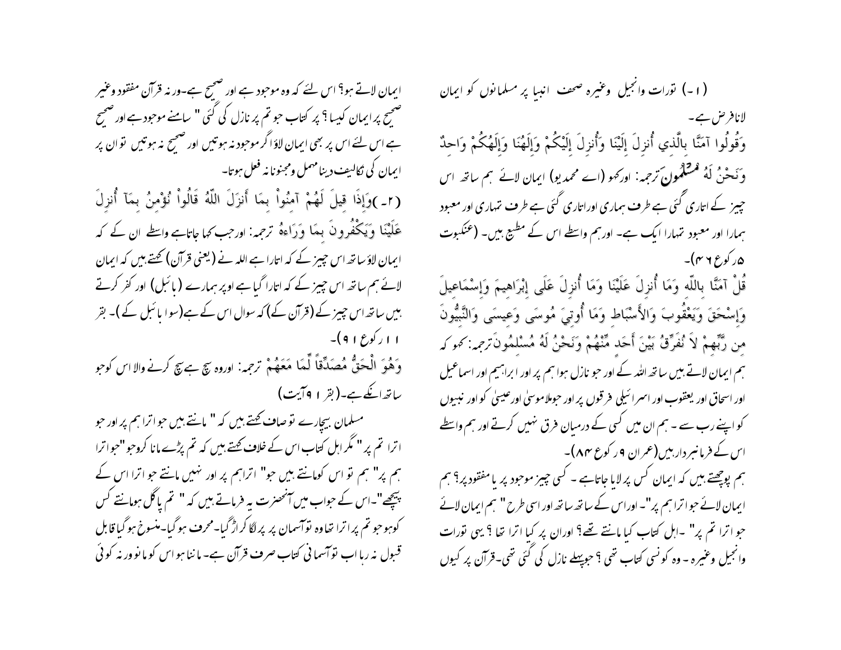(۱-) نورات وانجيل وعنيره صحف انبيا پر مسلمانوں کو ايمان لانافر حن ہے۔ وَقُولُوا آمَنَّا بِالَّذِي أُنزِلَ إِلَيْنَا وَأُنزِلَ إِلَيْكُمْ وَإِلَهُنَا وَإِلَهُكُمْ وَاحِدٌ وَنَحْنُ لَهُ كَمَسْلَمُونَ رَحِمہ: اور محو (اے محمد یو) ایمان لائے ہم ساتھ اس چییز کے اتاری گئی ہے طرف سماری اوراتاری گئی ہے طرف نہماری اور معبود ہمارا اور معبود تہارا ایک ہے۔ اور ہم واسطے اس کے مطبیع بیں۔ (عنکبوت ۵رکوع ۴ ۴)۔ قُلْ آمَنَّا بِاللَّهِ وَمَا أُنزِلَ عَلَيْنَا وَمَا أُنزِلَ عَلَى إِبْرَاهِيمَ وَإِسْمَاعِيلَ وَإِسْحَقَ وَيَعْقُوبَ وَالأَسْبَاط وَمَا أُوتيَ مُوسَى وَعيسَى وَالنَّبِيُّونَ من رَّبُّهمْ لاَ نُفَرِّقُ بَيْنَ أَحَد مِّنْهُمْ وَنَحْنُ لَهُ مُسْلمُونَ *رَبِّمِ نَحْو ك*ه ہم ایمان لاتے ہیں ساتھ اللہ کے اور حو نازل ہوا ہم پر اور ابراہیم اور اسماعیل اور اسحاق اور یعقوب اور اسمرا ئیلی فر قوں پر اور حبوملاموسیٰ اور عیسیٰ کو اور نبییوں کو اپنے رب سے ۔ ہم ان میں کسی کے درمیان فرق نہیں کرتے اور ہم واسطے اس کے فرمانسر دار بیں (عمران ۹ ر کوع ۸۴)۔ ہم پوچھتے ہیں کہ ایمان کس پر لایا جاتاہے - کسی چیز موحود پر یامفقود پر؟ ہم ایمان لائے حبوا تراہم پر"۔ اوراس کے ساتھ ساتھ اور اسی طرح" ہم ایمان لائے حوِ اترا تم پر" -اہل کتاب کیا مانتے تھے؟ اوران پر کیا اترا تھا ؟ یہی نورات وانجیل وعنیرہ - وہ کونسی کتاب تھی ؟ حوپہلے نازل کی گئی تھی-قرآن پر کیوں

ایمان لاتے ہو؟ اس لئے کہ وہ موحبود ہے اور ضحیح ہے۔ور نہ قرآن مفقود وعنیر صحیح پرایمان کیسا ؟ پر کتاب حو تم پر نازل کی گئی " سامنے موحود ہے اور صحیح ہے اس لئے اس پر بھی ایمان لاؤ اگر موجود نہ ہوتیں اور صحیح نہ ہوتیں تو ان پر ایمان کی نکالیف دینامهمل ومجنونا نه فعل ہوتا۔

(٢\_ )وَإِذَا قِيلَ لَهُمْ آمِنُواْ بِمَا أَنزَلَ اللَّهُ قَالُواْ نُوْْمِنُ بِمَآ أُنزِلَ عَلَيْنَا وَيَكْفُرونَ بِمَا وَرَاءَهُ ترجمہ: اورجب کہا جاتاہے واسطے ان کے کہ ایمان لاؤساتھ اس چیز کے کہ اتارا ہے اللہ نے (یعنی قرآن) کھتے ہیں کہ ایمان لائے ہم ساتھ اس چیز کے کہ اتارا گیا ہے اوپر ہمارے (پائبل) اور کفر کرتے بیں ساتھ اس چیز کے (قرآن کے) کہ سوال اس کے ہے(سوا بائبل کے)۔ بقر ۱۱ رکوع ۹ )-

وَهُوَ الْحَقُّ مُصَدِّقًا لَّمَا مَعَهُمْ ترجمہ: اوروہ سچ ہے سچ کرنے والا اس کوجو بیاتھانکےہے۔(بقر ۱ 9آیت)

مسلمان بیچارے نوصاف کہتے ہیں کہ " مانتے ہیں حواترا ہم پر اور حو اترا تم پر " مگر اہل کتاب اس کے خلاف کھتے بیس کہ تم پڑے مانا کروجو "حواترا ہم پر" ہم تو اس کومانتے ہیں حبو" اتراہم پر اور نہیں مانتے حبو اترا اس کے پیچھ"۔اس کے حواب میں آنحصرت یہ فرماتے ہیں کہ " تم یا گل ہومانتے کس کوہوحو تم پراترا ت<sub>ف</sub>اوہ نوآسمان پر پرلگا کراڑ گیا۔محر**ف** ہو گیا۔منسوخ ہو گیاقابل قىبول نەربا اب نۆآسما نى كتاب صرف قرآن ہے- ما ننا ہو اس كو ما نوور نہ كوئى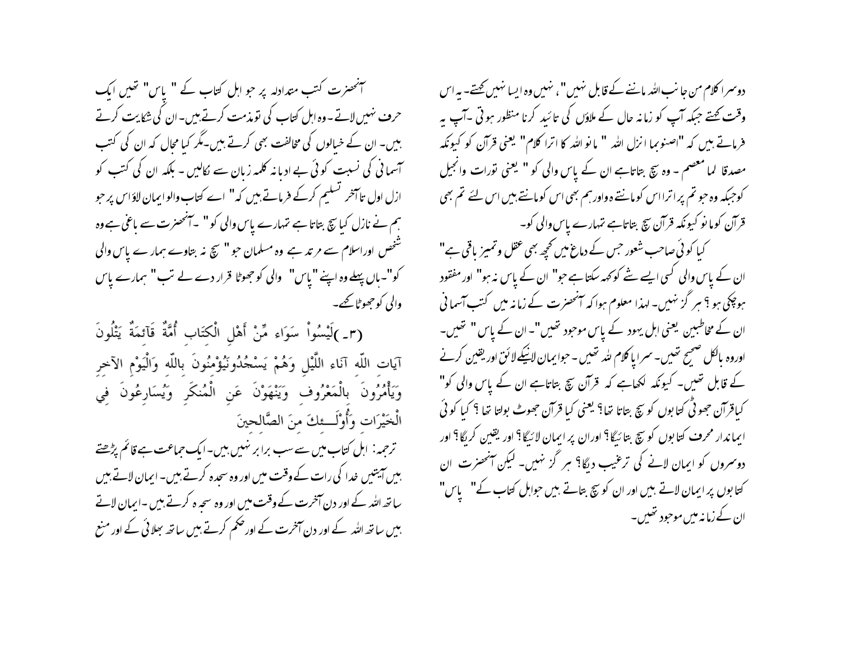آنھھزت کتب متدادلہ پر جو اہل کتاب کے " پاس" تھیں ایک حرف نہیں لاتے۔وہ اہل کتاب کی تومذمت کرتے ہیں۔ان کی شکایت کرتے بیں۔ ان کے خبالوں کی مخالفت بھی کرتے ہیں۔مگر کیا محال کہ ان کی کتب آسما ٹی کی نسبت کوئی بے ادبانہ کلمہ زبان سے لکالیں - بلکہ ان کی کتب کو ازل اول تاآخر تسلیم کرکے فرماتے ہیں کہ" اے کتاب والوایمان لاؤاس پر حو ہم نے نازل کیا سچ بتاتا ہے تہمارے پاس والی کو " ۔انھھزت سے باغی ہے وہ شخص اوراسلام سے مرتد ہے وہ مسلمان حو " سچ نہ بتاوے ہمار ے پاس والی کو"۔باں پہلے وہ اپنے "پاس" والی کو جھوٹا قرار دے لے تب" ہمارے پاس والی کوجھوٹا کھے۔

(٣\_ )لَيْسُواْ سَوَاءِ مِّنْ أَهْلِ الْكِتَابِ أُمَّةٌ قَآئِمَةٌ يَتْلُونَ آيَاتِ اللَّهِ آنَاءِ اللَّيْلِ وَهُمْ يَسْجُدُونَيُوْمُنُونَ بِاللَّهِ وَالْيَوْمِ الآخِرِ وَيَأْمُرُونَ بِالْمَعْرُوفِ وَيَنْهَوْنَ عَنِ الْمُنكَرِ وَيُسَارِعُونَ فِي الْحَيْرَات وَأُوْلَـــثكَ منَ الصَّالحينَ ترحمہ: اہل کتاب میں سے سب برابر نہیں ہیں۔ایک حماعت ہے قائم پڑھتے بیں آئیتیں خدا کی رات کے وقت میں اور وہ سجدہ کرتے ہیں۔ایمان لاتے ہیں سائھ اللہ کے اور دن آخرت کے وقت میں اور وہ سحہ ہ کرتے ہیں ۔ایمان لاتے

بیں ساتھ اللہ کے اور دن آخرت کے اور حکم کرتے ہیں ساتھ بھلائی کے اور منع

دوسرا کلام من جا نب اللہ ماننے کے قابل نہیں"، نہیں وہ ایسا نہیں کچتے۔ یہ اس وقت کہتے جبکہ آپ کو زمانہ حال کے ملاؤں کی تائید کرنا منظور ہوتی ۔آپ پہ فرماتے ہیں کہ "اصنوبما انزل ا<sub>للّٰہ</sub> " مانو اللّٰہ کا اترا کلام" یعنی قرآن کو کیونکہ مصدقا لما معصم - وہ سچ بتاتاہے ان کے پاس والی کو " یعنی تورات وانجیل کو*جبکہ* وہ حبو تم پر اترا اس کومانتے ہ واور ہم بھی اس کومانتے ہیں اس لئے تم بھی قرآن کوما نو کیونکہ قرآن سچ بتاتاہے تہارے پاس والی کو۔

کیا کوئی صاحب شعور حس کے دماغ میں تحچھ بھی عقل وتمیز باقی ہے" ان کے پاس والی کسی ایسے نئے کو <sub>ک</sub>مہ سکتا ہے حو" ان کے پاس نہ ہو" اور مفقود ہوچکی ہو ؟ ہر گز نہیں۔ لہذا معلوم ہوا کہ آنھے نے زمانہ میں کتب آسما فی ان کے مخاطبین یعنی اہل یہود کے پاس موحبود تھیں"۔ان کے پاس" تھیں۔ اوروہ بالکل صحیح تھیں۔ سمرا یا کلام لٹد تھیں - حوایمان لانیکے لائق اور یقین کرنے کے قابل تھیں۔ کیونکہ لکھاہے کہ قرآن سچ بتاتاہے ان کے پاس والی کو" کیاقرآن جھوٹی کتابوں کو سچ بتاتا تھا؟ یعنی کیا قرآن جھوٹ بولتا تھا ؟ کیا کوئی ایماندار محرف کتابوں کو سچ بتائیگا؟ اوران پر ایمان لائیگا؟ اور یقین کریگا؟ اور دوسروں کو ایمان لانے کی ترغیب دیگا؟ ہر گز نہیں۔ لیکن آنتھنرت ان کتابوں پر ایمان لاتے ہیں اور ان کو سچ بتاتے ہیں حواہل کتاب کے" پاس" ان کے زمانہ میں موحود تھیں۔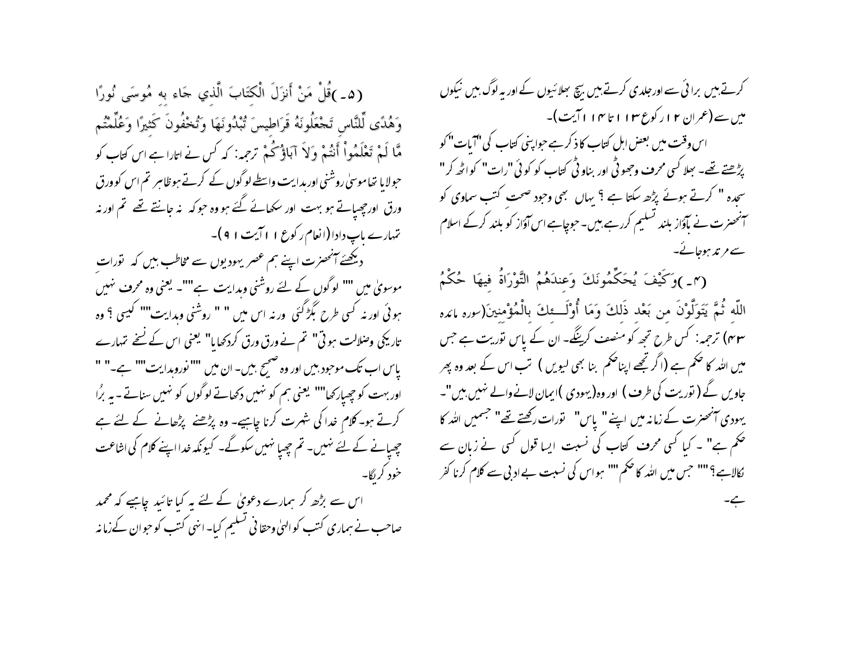(۵\_)قُلْ مَنْ أَنزَلَ الْكَتَابَ الَّذِي جَاءِ بِهِ مُوسَى نُورًا وَهُدًى لِّلنَّاس تَحْعَلُونَهُ قَرَاطيسَ تُبْدُونَهَا وَتُخْفُونَ كَثيرًا وَعُلِّمْتُم مًّا لَمْ تَعْلَمُواْ أَنتُمْ وَلاَ آبَاؤُكُمْ ترجمہ: کہ کس نے اتارا ہے اس کتاب کو حولایا تھاموسیٰ روشنی اور ہدایت واسطے لو گوں کے کرتے ہوظاہر تم اس کو ورق ورق اور جھیاتے ہو بہت اور سکھائے گئے ہو وہ حوکہ یہ جانتے تھے تم اور نہ تہارے پاپ دادا(انعام رکوع ۱ ایت ۱ ۹)۔ دیکھئے آنھھنرت اپنے ہم عصر یہودیوں سے مخاطب بیں کہ تورات موسویٰ میں "" لوگوں کے لئے روشنی وہدایت ہے""۔ یعنی وہ محرف نہیں ہوئی اور نہ کسی طرح بگڑ گئی ور نہ اس میں " " روشنی وہدایت"" کیسی ؟ وہ تاریکی وصلالت ہوتی" تم نے ورق ورق کردکھایا" یعنی اس کے نتھے تہارے یاس اب تک موحبود بیں اور وہ صحیح بیں- ان میں "" نوروہدایت"" ہے۔" " اور بہت کو چھپارکھا"" یعنی ہم کو نہیں دکھاتے لوگوں کو نہیں سناتے۔پہ برُا کرتے ہو۔ کلام خدا کی شہرت کرنا چاہیے۔ وہ پڑھنے پڑھانے کے لئے ہے چھیانے کے لئے نہیں۔ تم چھیا نہیں سکوگے۔ کیونکہ خدااپنے کلام کی اشاعت خود کریگا۔

اس سے بڑھ کر ہمارے دعویٰ کے لئے یہ کبا تائید چاہیے کہ محمد صاحب نے ہماری کتب کو الہٰیٰ وحقا فی تسلیم کیا۔ انہی کتب کو حوان کےزمانہ

کرتے ہیں برائی سے اور جلدی کرتے ہیں بیچ سجلائیوں کے اور یہ لوگ ہیں نیکوں میں سے (عمران ۲ ار کوع ۱۱۳ تا ۱۳ ا آیت)۔ اس وقت میں بعض اہل کتاب کا ذکر ہے حواپنی کتاب کی "آیات" کو پڑھتے تھے۔ ہعلا کسی محر**ف و**جھوٹی اور بناو ٹی کتاب کو کوئی "رات" کواٹھ کر" سحدہ " کرتے ہوئے پڑھ سکتا ہے ؟ یہاں بھی وحود صحت کتب سماوی کو آنحصرت نے مآؤاز بلند تسلیم کررہے ہیں۔ حبوچاہے اس آؤاز کو بلند کرکے اسلام سے مر تد ہوجائے۔

(٣\_ )وَكَيْفَ يُحَكِّمُونَكَ وَعِندَهُمُ التَّوْرَاةُ فِيهَا حُكْمُ اللَّهِ ثُمَّ يَتَوَلَّوْنَ مِن بَعْدِ ذَلكَ وَمَا أُوْلَـــئكَ بِالْمُؤْمنينَ(سوره لمرَه ۴۳) ترجمہ: کس طرح تجھ کو منصف کرینگے۔ ان کے پاس نوریت ہے جس میں اللہ کا صحم ہے (اگر تجھے اپناصحم بنا بھی لیویں ) تب اس کے بعد وہ پھر جاویں گے ( نوریت کی طرف ) اور وہ(یہودی )ایمان لانے والے نہیں بیں"۔ یہودی آنھنرت کے زمانہ میں اپنے" پاس" تورات رکھتے تھے" جسمیں اللہ کا حکم ہے" ۔ کیا کسی محرف کتاب کی نسبت ایسا قول کسی نے زبان سے لکالاہے؟'''' حس میں اللہ کا صحم '''' ہواس کی نسبت بے ادبی سے **کلام کرنا کفر**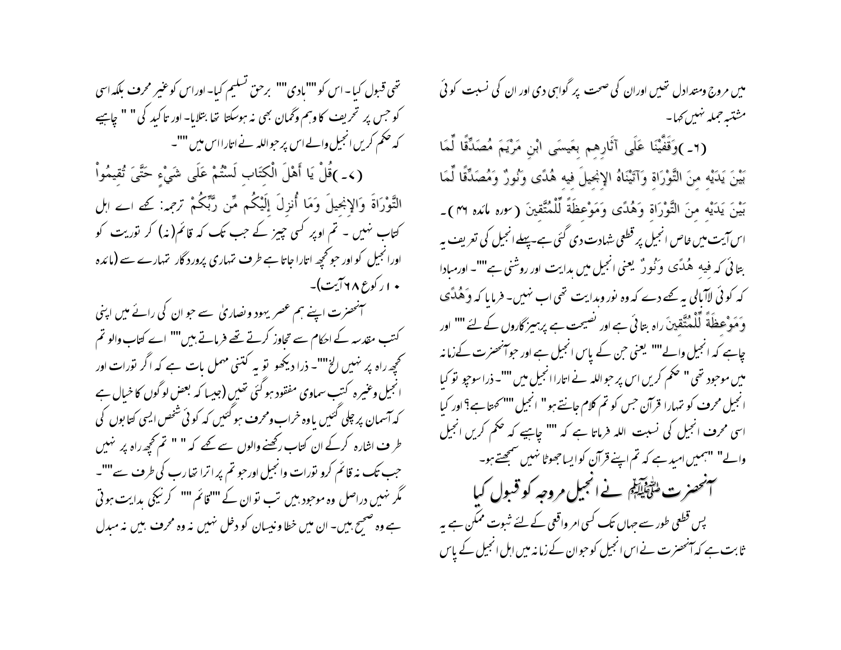تھی قبول کیا۔اس کو""یادی"" برحن تسلیم کیا۔اوراس کوعنیر محرف بلکہ اسی کو حس پر تحریف کاوہم وگھان بھی نہ ہوسکتا تھا بتلایا۔ اور تاکید کی " " چاہیے کہ صحم کریں انجیل والے اس پر حبواللہ نے اتارا اس میں ""۔ (>\_ )قُلْ يَا أَهْلَ الْكِتَابِ لَسْتُمْ عَلَى شَيْءٍ حَتَّىَ تُقِيمُواْ التَّوْرَاةَ وَالإنجيلَ وَمَا أُنزِلَ إِلَيْكُم مِّن رَّبِّكُمْ ترَمِمٍ: کِے اے اِس کتاب نہیں ۔ تم اوپر کسی چیز کے جب تک کہ قائم(نہ) کر نوریت کو اورانجیل کو اور حو تحچھ اتارا جاتا ہے طرف تہاری پرورد گار تہارے سے (مائدہ • ارکوع ۲۸ آیت)-

سہنھنرت اپنے ہم عصر یہود و نصار <sub>ک</sub>ی سے حوان کی رائے میں اپنی کتب مقدسہ کے احکام سے تحاوز کرتے تھے فرماتے ہیں"" اے کتاب والو تم کھچھ راہ پر نہیں الخ""۔ ذرا دیکھو تو بہ کتنی مہمل بات ہے کہ اگر نورات اور انجیل وعنیرہ کتب سماوی مفقود ہوگئی تھیں (جیسا کہ بعض لوگوں کا خیال ہے که آسمان پر چلی گئیں یاوہ خراب ومحرف ہو گئیں کہ کوئی شخص ایسی کتابوں کی طر ف اشارہ کرکے ان کتاب رکھنے والوں سے کھے کہ " " تم تحجھ راہ پر نہیں جب تک نہ قائم کرو نورات وانجیل اورحو تم پر اترا تھارب کی طرف سے""۔ <sub>مگر</sub> نہیں دراصل وہ موجود بیں تب تو ان کے ""قائم "" کر نیکی بدایت ہوتی ہے وہ صحیح بیں۔ ان میں خطا ونیسان کو دخل نہیں نہ وہ محرف بیں نہ میدل

میں مروج ومتدادل تھیں اوران کی صحت پر گواہی دی اور ان کی نسبت کوئی مشتبه حمله نهبس كها-(٦\_)وَقَفَّيْنَا عَلَى آثَارِهِم بِعَيسَى ابْنِ مَرْيَمَ مُصَدِّقًا لِّمَا بَيْنَ يَدَيْه منَ التَّوْرَاة وَآتَيْنَاهُ الإنجيلَ فيه هُدًى وَنُورٌ وَمُصَدِّقًا لِّمَا بَيْنَ يَدَيْه منَ التَّوْرَاة وَهُدًى وَمَوْعظَةً لِّلْمُتَّقينَ ( وره مانده ٣١ )۔ اس آیت میں خاص انجیل پر قطعی شہادت دی گئی ہے۔پہلے انجیل کی تعریف یہ بتا ٹی کہ فیه ہمُدًی وَنُودٌ یعنی انجیل میں بدایت اور روشنی ہے""۔اورمیادا کہ کوئی لاآبالی بہ تھے دے کہ وہ نور وبدایت تھی اب نہیں۔ فرمایا کہ وَهُلَّگَ ک وَمَوْعظَةً لِّلْمُتَّقِينَ راه بتا ئي ہے اور نصیحت ہے پرہیز گاروں کے لئے "" اور چاہے کہ انجیل والے"" یعنی حن کے پاس انجیل ہے اور حوانھھنرت کےزمانہ میں موحبود تھی " صحم کریں اس پر حبواللہ نے اتارا انجیل میں ""۔ ذراسوحپو تو کیا انجيل محرف كو تهارا قرآن حس كو تم كلام جانتے ہو" انجيل ""كهمتا ہے؟ اور كيا اسی محرف انجیل کی نسبت اللہ فرماتا ہے کہ "" چاہیے کہ صحم کریں انجیل والے" "ہمیں امید ہے کہ تم اپنے قرآن کوایساححوٹا نہیں سمجھتے ہو۔ سنحضر ت التَّمَلِّيَلِيَّلِّهُمْ نے انجیل مروجہ کو قبول کیا پس قطعی طور سے حہاں تک کسی امر واقعی کے لئے شبوت ممکن ہے یہ ثابت ہے کہ آنھھنرت نے اس انجیل کو حبوان کے زمانہ میں اہل انجیل کے پاس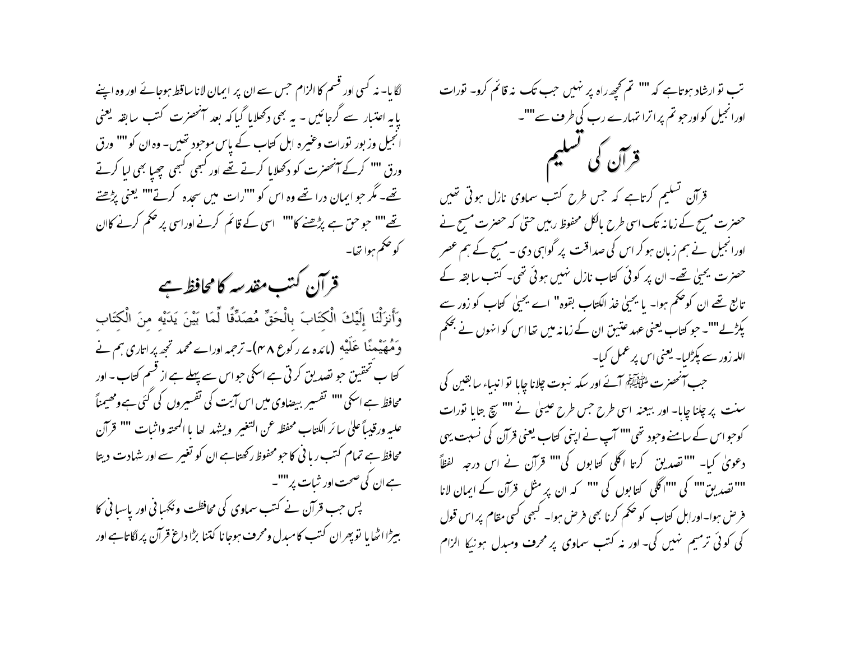لگایا۔ نہ کسی اور قسم کا الزام حس سے ان پر ایمان لانا ساقط ہوجائے اور وہ اپنے یا پہ اعتیار سے گرجائیں - یہ بھی دکھلایا گیا کہ بعد آنھھنرت کتب سابقہ یعنی انجیل وزبور نورات وعنیرہ اہل کتاب کے پاس موحود تھیں- وہ ان کو "" ورق ورق "" كركے أنحصرت كو دىھلاما كرتے تھے اور كسجى كسجى حچھپا بھى ليا كرتے تھے۔ مگر حو ایمان درا تھے وہ اس کو ""رات میں سحدہ کرتے"" یعنی پڑھتے تھے"" حبوحق ہے پڑھنے کا"" اسی کے قائم کرنے اوراسی پر حکم کرنے کاان کو حکم ہوا تھا۔

قرآن کتب مقدسہ کامحافظ ہے

وَأَنزَلْنَا إِلَيْكَ الْكَتَابَ بِالْحَقِّ مُصَدِّقًا لِّمَا بَيْنَ يَدَيْه مِنَ الْكَتَاب وَمُهَيَّدِينًا عَلَيْهِ (مائدہ ے رکوع ۴۸)۔ ترجمہ اوراے محمد تجھ پر اتاری ہم نے کتا ب تحقیق حبو نصدیق کرتی ہے اسکی حبواس سے پہلے ہے از قسم کتاب - اور محافظ ہے اسکی "" تفسیر بیضاوی میں اس کیت کی تفسیروں کی گئی ہے ومھیمناً عليه ورقيباً علىٰ سائر الكتاب محفظه عن التغير ويشهر لها با المحته واثبات "" قرآن محافظ ہے تمام کتب ریا ٹی کا حبومحفوظ رکھتاہے ان کو تغیر سے اور شہادت دیتا ہے ان کی صحت اور شات پر""۔

پس حب قرآن نے کتب سماوی کی محافظت و نگها فی اور پاسا فی کا بیڑااٹھا ما توپھران کتب کامیدل ومحرف ہوجانا کتنا بڑاداع قرآن پر لگاتاہے اور

تب نوارشاد ہوتاہے کہ "" تم تحچھ راہ پر نہیں جب تک نہ قائم کرو- نورات اورانجیل کواور حبو تم پراترا تہارے رب کی طرف سے""۔ قرآن گسلیم کرتاہے کہ جس طرح کتب سماوی نازل ہوتی تھیں حصرت مسح کے زمانہ تک اسی طرح مالکل محفوظ رہیں حتی کہ حصرت مسح نے اورانجیل نے ہم زبان ہوکر اس کی صداقت پر گواہی دی ۔مسیح کے ہم عصر حصرت یحییٰ تھے۔ ان پر کوئی کتاب نازل نہیں ہوئی تھی۔ کتب سابقہ کے تابع تھے ان کو حکم ہوا۔ یا یحییٰ خذ الکتاب بقوہ" اے یحییٰ کتاب کو زور سے پکڑلے""۔ حبو کتاب یعنی عہد عتیق ان کے زمانہ میں تھا اس کو انہوں نے بھگم اللہ زور سے پکڑلیا۔ یعنی اس پر عمل کیا۔ حب آنحصرت التَّخْلِيَةُ آئے اور سکہ نبوت چلانا چاہا تو انبیاء سابقین کی

سنت پر چلنا چایا۔ اور بیعنہ اسی طرح حس طرح عیسیٰ نے "" سچ بتایا تورات کوحواس کے سامنے وحود تھی"" آپ نے اپنی کتاب یعنی قرآن کی نسبت یہی دعویٰ کیا۔ ""تصدیق کرتا اگلی کتابوں کی"" قرآن نے اس درجہ لفظاً ""تصدیق"" کی ""اگلی کتابوں کی "" کہ ان پر مثل قرآن کے ایمان لانا فر حض ہوا۔اوراہل کتاب کو صحم کرنا بھی فر حس ہوا۔ کبھی کسی مقام پر اس قول کی کوئی ترمیم نہیں کی۔ اور نہ کتب سماوی پر محرف ومبدل ہونیکا الزام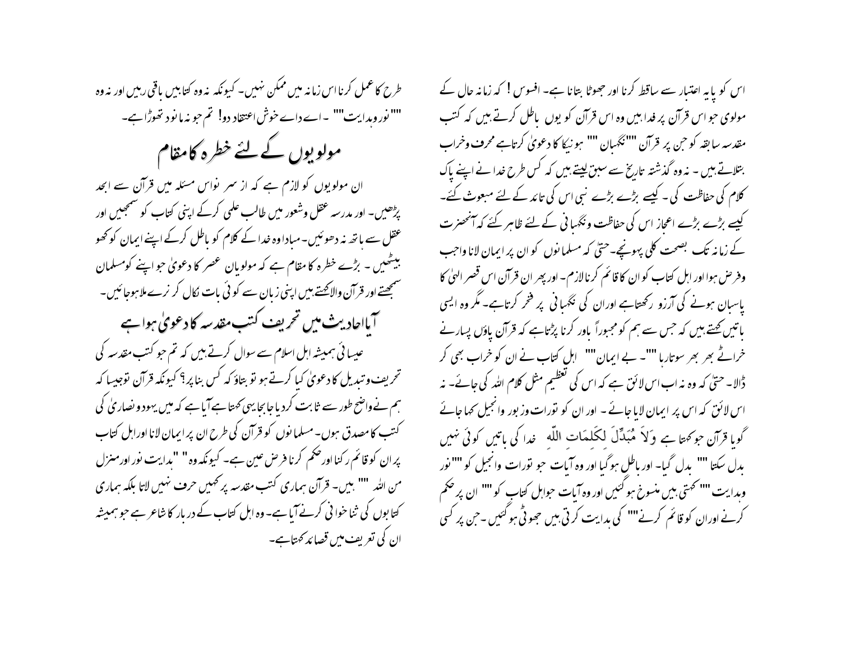طرح کاغمل کرنااس زمانہ میں ممکن نہیں۔ کیونکہ نہ وہ کتابیں یاقی رہیں اور نہ وہ "" نور وہدایت"" ۔اے داے خوش اعتقاد دو! تم حبو نہ ما نود تھوڑاہے۔ مولوپوں کے لئے خطرہ کامقام ان مولویوں کو لازم ہے کہ از سر نواس مسئلہ میں قرآن سے ابحد پڑھیں۔ اور مدرسہ عقل وشعور میں طالب علمی کرکے اپنی کتاب کو سمجھیں اور عقل سے ہاتھ نہ دھوئیں۔مباداوہ خدا کے کلام کو باطل کرکے اپنے ایمان کو تھو بیٹھیں - بڑے خطرہ کا مقام ہے کہ مولویان عصر کا دعویٰ حوایٍنے کومسلمان سمجھتے اور قرآن والاکھتے ہیں اپنی زبان سے کو ئی بات لکال کر نرے ملا ہوجا ئیں۔ آبااحادیث میں تحریف کتب مقدسہ کا دعویٰ ہواہے عیسا ئی ہمیشہ اہل اسلام سے سوال کرتے ہیں کہ تم حو کتب مقدسہ کی تحریف و تبدیل کا دعویٰ کیا کرتے ہو تو بتاؤ کہ کس بناپر؟ کیونکہ قرآن توجیسا کہ ہم نے واضح طور سے ثابت کردیا جابجا یہی کھتا ہے آیا ہے کہ میں یہود و نصار میٰ کی کتب کامصدق ہوں۔مسلما نوں کو قرآن کی طرح ان پر ایمان لانا اورابل کتاب پران کو قائم رکنا اور حکم کرنا فر ص عین ہے۔ کیونکہ وہ " "ہدایت نور اور منزل من الله "" بين- قرآن ہماري كتب مقدسہ پر تھميں حرف نہيں لاتا بلكہ ہماري کتا بوں کی ثنا خوا نی کرنے آیا ہے۔ وہ اہل کتاب کے دریار کا شاعر ہے حبو ہمیشہ ان کی تعریف میں قصائد کھتاہے۔

اس کو یا ہہ اعتیار سے ساقط کرنا اور حجھوٹا بتانا ہے۔ افسوس ! کہ زمانہ حال کے مولوی حواس قرآن پر فداہیں وہ اس قرآن کو یوں پاطل کرتے ہیں کہ کتب مقدسه سابقه کو حن پر قرآن ""نگهان "" ہو نیکا کا دعویٰ کرتاہے محرف وخراب بتلاتے ہیں - نہ وہ گذشتہ تاریخ سے سبق پیتے ہیں کہ کس طرح غدا نے اپنے پاک کلام کی حفاظت کی۔ کیسے بڑے بڑے نبی اس کی تائد کے لئے مبعوث کئے۔ کیسے بڑے بڑے اعجاز اس کی حفاظت ونگھیا فی کے لئے ظاہر کئے کہ آنھھنرت کے زمانہ تک بصحت کلی پہونچے۔حتیٰ کہ مسلمانوں کو ان پر ایمان لانا واحب وفر حن ہوا اور اہل کتاب کو ان کا قائم کرنالازم۔ اور بھر ان قرآن اس قصر الهٰیٰ کا پاسبان ہونے کی آرزو رکھتاہے اوران کی نگہانی پر فخر کرتاہے۔ مگر وہ ایسی باتیں کھتے ہیں کہ جس سے ہم کو مجبوراً ماور کرنا پڑتاہے کہ قرآن پاؤں پسارنے خرائے بھر بھر سوتارہا ""۔ بے ایمان"" اہل کتاب نے ان کو خراب بھی کر ڈالا۔ حتیٰ کہ وہ نہ اب اس لائن ہے کہ اس کی تعظیم مثل کلام اللہ کی جائے۔ نہ اس لائق کہ اس پر ایمان لایا جائے ۔ اور ان کو نورات وز بور وانجیل کھا جائے گویا قرآن حوںمتا ہے وَلاَ مُبَدِّلاَ لکَلمَات اللّٰه ی غدا کی باتیں کوئی نہیں بدل سکتا "" بدل گیا- اور باطل ہو گیا اور وہ آیات حبو نورات وانجیل کو ""نور وبدايت ""كحمتي بين منسوخ موكئين اور وه آيات حوابل كتاب كو "" ان پر صحم کرنے اوران کو قائم کرنے"" کی بدایت کرتی ہیں جھوٹی ہو کئیں ۔جن پر کسی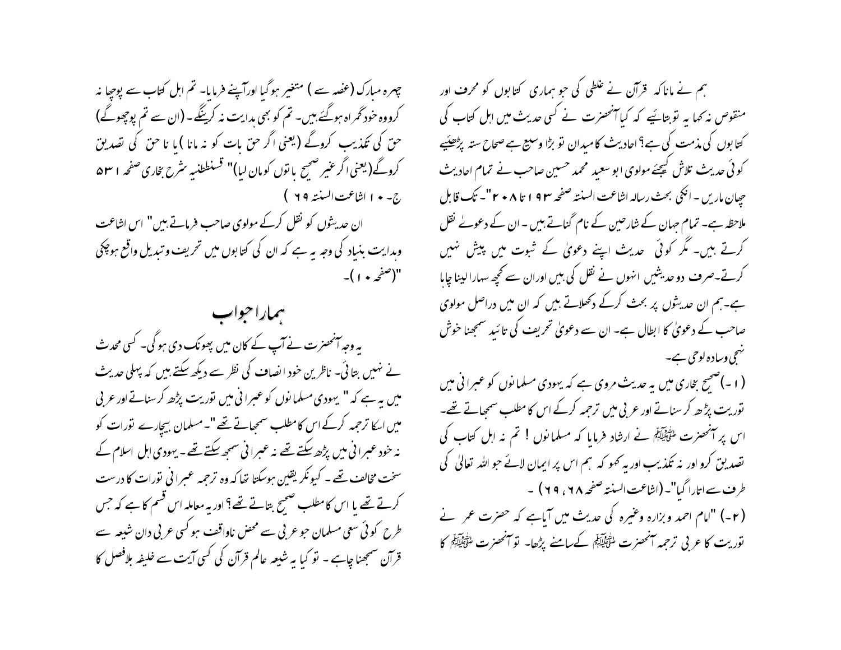چہرہ مبارک (عضہ سے ) متغیر ہوگیا اورآپنے فرمایا۔ تم اہل کتاب سے پوچیا نہ کرووہ خود گھراہ ہوگئے بیں۔ تم کو بھی بدایت نہ کرینگے۔(ان سے تم پوچھوگے) حق کی تکذیب کروگے (یعنی اگر حق بات کو نہ مانا ) یا نا حق کی تصدیق کروگے( یعنی اگر عنیر صحیح یا نوں کومان لیا)" قسنططنس*ہ مثرح بخار*ی صفحہ ۱ e۳ م ج- • ا لثاعت السنته ٢٩ ) ان حدیثوں کو نقل کرکے مولوی صاحب فرماتے بیں" اس اشاعت وبدایت بنیاد کی وجہ بہ ہے کہ ان کی کتابوں میں تحریف و تبدیل واقع ہوچکی "(صفحه • ۱)-

بيماراجواب یہ وجہ آنھھنرت نے آپ کے کان میں پھونک دی ہو گی۔ کسی محدث نے نہیں بتا ئی۔ ناظرین خود انصاف کی نظر سے دیکھ سکتے ہیں کہ پہلی حدیث میں یہ ہے کہ" یہودی مسلمانوں کوعبرانی میں توریت پڑھ کرسناتےاور عربی میں ایکا ترجمہ کرکے اس کامطلب سمجاتے تھے "۔مسلمان بیچارے نورات کو نہ حود عبرا فی میں پڑھ سکتے تھے نہ عبرا فی سمجھ سکتے تھے۔ یہودی اہل اسلام کے سخت مخالف تھے ۔ کیونکر یقین ہوسکتا تھا کہ وہ ترحمہ عبرانی نورات کا درست کرتے تھے یا اس کامطلب صحیح بتاتے تھے؟ اور بہ معاملہ اس قسم کا ہے کہ <sup>ج</sup>س طرح کوئی سعی مسلمان حو عربی سے محض ناواقف ہو کسی عربی دان شیعہ سے قرآن سمجھنا چاہے - تو کیا یہ شیعہ عالم قرآن کی کسی آیت سے خلیفہ بلافصل کا

ہم نے مانا کہ قرآن نے علطی کی جو ہماری کتابوں کو محرف اور منقوص نہ کہا ہہ تو بتائیے کہ کیا آنھھزت نے کسی حدیث میں اہل کتاب کی کتابوں کی مذمت کی ہے؟ احادیث کامیدان تو بڑا وسیع ہے صحاح ستہ پڑھیئیے کوئی حدیث تلاش کیجئے مولوی ابو سعید محمد حسین صاحب نے تمام احادیث حِيانِ ماريں - انكى بحث رسالہ اشاعت السنتہ صفحہ ٣٩ ا تا ٢٠٨" - تك قابل ملاحظہ ہے۔ تمام جہان کے شارحین کے نام گناتے ہیں ۔ ان کے دعوےٰ نقل کرتے ہیں۔ مگر کوئی عدیث اپنے دعویٰ کے ثبوت میں پیش نہیں کرتے۔صرف دو حدیثیں انہوں نے نقل کی بیں اوران سے کجھ سہارالینا چاہا ہے۔ہم ان حدیثوں پر بحث کرکے دکھلاتے ہیں کہ ان میں دراصل مولوی صاحب کے دعویٰ کا ابطال ہے۔ ان سے دعویٰ تحریف کی تائید سمجھنا حوش نہجی وسادہ لوحی ہے۔ (۱۔)صحیح بخاری میں یہ حدیث مروی ہے کہ یہودی مسلمانوں کو عبرانی میں

توریت پڑھ کر سناتے اور عربی میں ترحمہ کرکے اس کامطلب سمحاتے تھے۔ اس پر آنھھنرت ملٹی ایکم نے ارشاد فرمایا کہ مسلمانوں! تم نہ اہل کتاب کی تصدیق کرو اور یہ تکذیب اور یہ تھو کہ ہم اس پر ایمان لائے حو اللہ تعالیٰ کی طرف سے اتارا گیا"۔ (اشاعت السنتہ صفحہ ۲۸ ، ۲۹ ) ۔ (۲-) "امام احمد وبزارہ وعنیرہ کی حدیث میں آباہے کہ حصرت عمر نے

توریت کا عربی ترحمه آنحصرت التحلیلیم کےسامنے پڑھا۔ تو آنحصرت التَّخیلِیمُ کا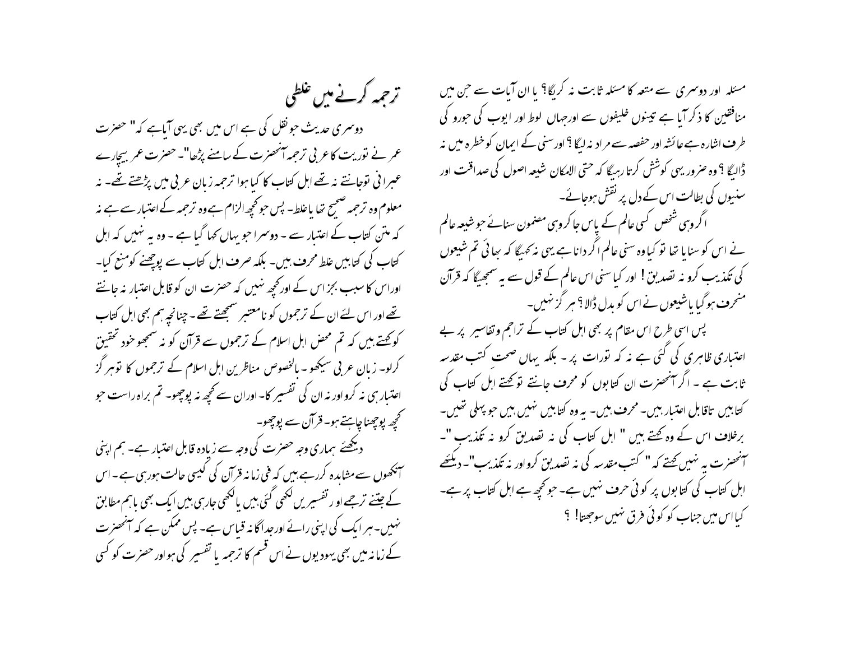ترحمه كرنے میں غلطی دوسری حدیث حونقل کی ہے اس میں بھی یہی آیاہے کہ" حصرت عمر نے نوریت کا عربی ترجمہ آنھعزت کے سامنے پڑھا"۔حصرت عمر بیچارے عبرانی توجانتے نہ تھے اہل کتاب کا کیا ہوا ترحمہ زبان عربی میں پڑھتے تھے۔ نہ معلوم وہ ترحمہ ضحیح تھا باغلط۔ پس حو محچھ الزام ہے وہ ترحمہ کے اعتیار سے ہے نہ کہ متن کتاب کے اعتیار سے - دوسرا حبو یہاں کہا گیا ہے - وہ بہ نہیں کہ اہل کتاب کی کتابیں غلط محرف بیں۔ بلکہ صرف اہل کتاب سے پوچھنے کومنع کیا۔ اوراس کا سبب بجزاس کے اور محیمہ نہیں کہ حصرت ان کو قابل اعتبار نہ جانتے تھے اور اس لئے ان کے ترجموں کو نامعتبر سمجھتے تھے۔چنانچہ ہم بھی اہل کتاب کو کھتے ہیں کہ تم محض اہل اسلام کے ترجموں سے قرآن کو نہ سمجھو خود تحقیق کرلو۔ زبان عربی سیکھو - بالخصوص مناظرین اہل اسلام کے ترجموں کا توہر گز اعتیار ہی نہ کرواور نہ ان کی تفسیر کا-اوران سے محیھ نہ پوچھو۔ تم براہ راست حو کھچھ پوچھناچاہتے ہو۔ قرآن سے پوچھو۔ دیکھئے ہماری وجہ حصرت کی وجہ سے زیادہ قابل اعتبار ہے۔ ہم اپنی آتکھوں سےمشاہدہ کررہے بیں کہ فی زمانہ قرآن کی کیسی حالت ہورسی ہے۔اس کے جتنے ترجے او رتفسپریں لکھی گئی بیں پالکھی جارہی بیں ایک بھی پاہم مطابق نہیں۔ ہر ایک کی اپنی رائے اورجداگانہ قباس ہے۔ پس ممکن ہے کہ آنحصرت کے زمانہ میں بھی یہودیوں نےاس قسم کا ترحمہ یا تفسیر کی ہواور حصرت کو کسی

مسئلہ اور دوسمری سے متعہ کا مسئلہ ثابت نہ کریگا؟ یا ان آبات سے حن میں منافقین کا ذکر آیا ہے تینوں خلیفوں سے اور جہاں لوط اور ایوب کی حبورو کی طرف اشارہ ہے عائشہ اور حفصہ سے مراد یہ ایگا ؟ اور سنی کے ایمان کو خطرہ میں یہ ڈالیگا ؟ وہ صرور یہی کوشش کرتا رہیگا کہ حتی الامکان شیعہ اصول کی صداقت اور سنسیوں کی بطالت اس کے دل پر نقش ہوجائے۔

اگروہی شخص کسی عالم کے پاس جاکروہی مصنمون سنائے حبو شیعہ عالم نے اس کو سنایا تھا تو کیاوہ سنی عالم اگر دانا ہے یہی نہ کھیگا کہ بعائی تم شیعوں کی تکذیب کرو نہ تصدیق! اور کیا سنی اس عالم کے قول سے یہ سمجھیگا کہ قرآن منحرف ہو گیا باشیعوں نے اس کو بدل ڈالا ؟ ہر گز نہیں۔

پس اسی طرح اس مقام پر بھی اہل کتاب کے تراحم وتفاسیر پر بے اعتیاری ظاہری کی گئی ہے نہ کہ تورات پر - بلکہ یہاں صحت کتب مقدسہ ثابت ہے ۔ اگر آنھھزت ان کتابوں کو محرف جانتے تو کھتے اہل کتاب کی کتابیں تاقابل اعتبار بیں۔محرف بیں۔ یہ وہ کتابیں نہیں بیں حو پہلی تھیں۔ برخلاف اس کے وہ کہتے ہیں " اہل کتاب کی نہ تصدیق کرو نہ تکذیب "۔ آنھھزت ہہ نہیں کھتے کہ " کتب مقدسہ کی نہ نصدیق کرواور نہ تکذیب"۔دیکٹھے اہل کتاب کی کتابوں پر کوئی حرف نہیں ہے۔ حو کحچھ ہے اہل کتاب پر ہے۔ کیااس میں جناب کو کوئی فرق نہیں سوجھتا! ؟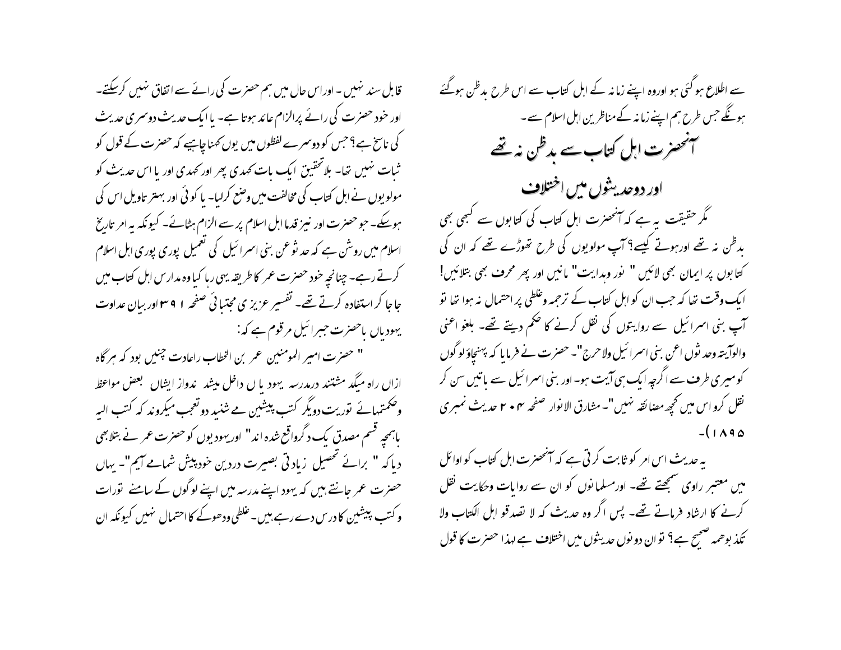قابل سند نہیں ۔اوراس حال میں ہم حصرت کی رائے سے اتفاق نہیں کرسکتے۔ اور خود حصرت کی رائے پرالزام عائد ہوتا ہے۔ یا ایک حدیث دوسمری حدیث کی ناسخ ہے؟حس کو دوسمرے لفظوں میں یوں <sub>ک</sub>ھناچاہیے کہ حصرت کے قول کو ثبات نهیں تھا۔ بلاتحقیق ایک بات کمدی پھر اور کھدی اور یا اس حدیث کو مولو پوں نے اہل کتاب کی مخالفت میں وصنع کرایا۔ یا کو ٹی اور بہتر تاویل اس کی ہوسکے۔ حبو حصرت اور نبیز قدما اہل اسلام پر سے الزام ہٹائے۔ کیونکہ یہ امر تاریخ اسلام میں روشن ہے کہ حد ثو عن بنی اسمرائیل کی تعمیل پوری پوری اہل اسلام کرتے رہے۔ چنانچہ خود حصرت عمر کا طریقہ یہی رہا کیا وہ مدارس اہل کتاب میں جاجا کراستفادہ کرتے تھے۔ تفسیر عزیز ی مجتسائی صفحہ ۱ ۴ ۳ اور بیان عداوت یہودیاں باحصرت حبیرائیل مرقوم ہے کہ: " حصرت امير المومنين عمر بن الخطاب راعادت چنيں بود كه هرگاه ازاں راہ میگد مشتند درمدرسہ یہود یا ں داخل میشد یدواز ایشاں بعض مواعظ وضممتهائے نوریت دویگر کتب پیشین مے شنید دوتعجب میکروند کہ کتب الیہ باہمجہ قسم مصدق یک د گرواقع شدہ اند" اور یہودیوں کو حصرت عمر نے بتلا بھی دیا کہ " برائے تحصیل زبادتی بصیرت دردین خود پیش شمامے آیم"۔ یہاں حصرت عمر جانتے بیں کہ یہود اپنے مدرسہ میں اپنے لوگوں کے سامنے تورات و کتب پیشین کا درس دے رہے،بیں۔علطی ودھوکے کا احتمال نہیں کیونکہ ان

سے اطلاع ہو گئی ہو اوروہ اپنے زمانہ کے اہل کتاب سے اس طرح بدظن ہوگئے ہونگے جس طرح ہم اپنے زمانہ کے مناظرین اہل اسلام سے ۔ آ<sup>م</sup>حضر ت اہل کتاب سے مد<sup>ظ</sup>ن نہ تھے اور دوحد بثوں میں اختلاف گھر حقیقت ہہ ہے کہ آنھنرت اہل کتاب کی کتابوں سے کبھی بھی بدظن نہ تھے اور ہوتے کیے؟ آپ مولویوں کی طرح تھوڑے تھے کہ ان کی كتابوں پر ايمان بھى لائيں " يور وبدايت" مانيں اور پھر محرف بھى بتلائيں! ایک وقت تھا کہ جب ان کو اہل کتاب کے ترحمہ وغلطی پر احتمال نہ ہوا تھا تو آپ بنی اسرائیل سے روایتوں کی نقل کرنے کا حکم دیتے تھے۔ بلغو اعنی والوآيته وحد نثول اعن بني اسمرا ئيل ولاحرج"۔حصرت نے فرمايا كہ پہنچاؤ لو گوں کومیری طرف سے اگرچہ ایک ہی آیت ہو۔ اور بنی اسرائیل سے ماتیں سن کر نقل کرو اس میں تحییہ مضائقہ نہیں"۔ مشارق الانوار صفحہ ۴۰۲ حدیث نمبری  $(1190$ 

بہ حدیث اس امر کو ثابت کرتی ہے کہ آنھھزت اہل کتاب کواوائل میں معتبر راوی سمجھتے تھے۔ اورمسلمانوں کو ان سے روایات وحکایت نقل کرنے کا ارشاد فرماتے تھے۔ پس اگر وہ حدیث کہ لا تصدقو اہل الکتاب ولا تکذ بوصمہ صحیح ہے؟ نوان دو نوں حدیثوں میں اختلاف ہے لہذا حصرت کا قول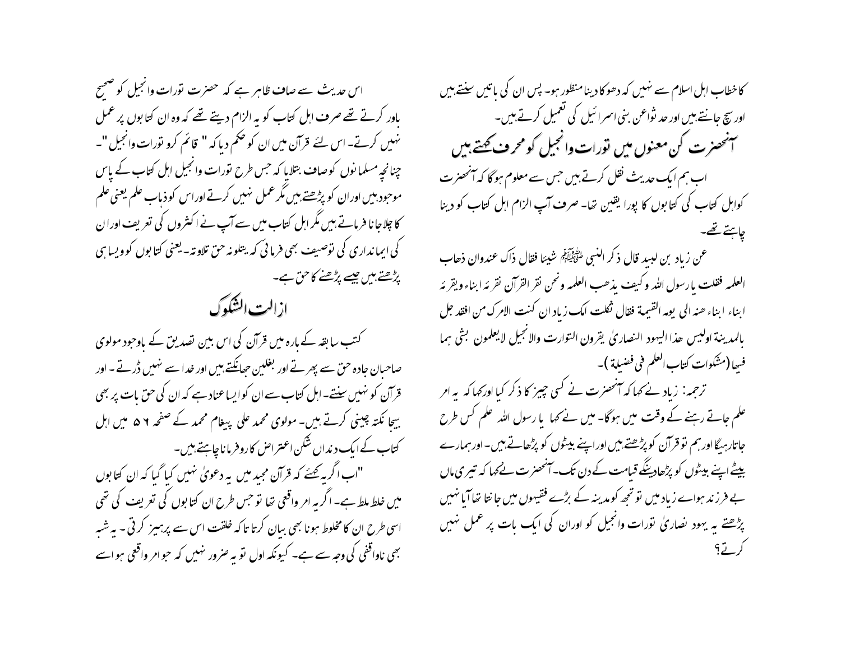اس حدیث سے صاف ظاہر ہے کہ حصرت نورات وانجیل کو صحیح یاور کرتے تھے صرف اہل کتاب کو بہ الزام دیتے تھے کہ وہ ان کتابوں پر عمل <sup>نہ</sup>دیں کرتے۔ اس لئے قرآن میں ان کو ضمم دیا کہ " قائم کرو نورات وانجیل "۔ چنانچہ مسلمانوں کوصاف بتلایا کہ حس طرح نورات وانجیل اہل کتاب کے پاس موحبود بیں اوران کو پڑھتے ہیں مگر عمل نہیں کرتے اوراس کو ذیاب علم یعنی علم کا چلاجا نا فرماتے بیں مگر اہل کتاب میں سے آپ نے اکثروں کی تعریف اورا ن کی ایمانداری کی نوصیف بھی فرمائی که یتلونه حق تلاوته- یعنی کتابوں کوویسا ہی پڑھتے ہیں جیسے پڑھنے کاحن ہے۔

ازالت الشكوك کتب سابقہ کے مارہ میں قرآن کی اس بین تصدیق کے باوجود مولوی صاحبان حادہ حن سے پھرتے اور بغلین حھانکتے ہیں اور خدا سے نہیں ڈرتے ۔ اور قرآن کو نہیں سنتے۔اہل کتاب سےان کوایساعناد ہے کہ ان کی حق بات پر بھی بیجا نکتہ چینی کرتے ہیں۔ مولوی محمد علی پیغام محمد کے صفحہ ۶ ۵ میں اہل کتاب کے ایک دنداں شکن اعتراض کاروفرمانا چاہتے ہیں۔ "اب اگر ہہ گھئے کہ قرآن مجید میں یہ دعویٰ نہیں کیا گیا کہ ان کتابوں میں خلط ملط ہے۔ اگر یہ امر واقعی تھا تو حس طرح ان کتابوں کی تعریف کی تھی اسی طرح ان کا مخلوط ہونا بھی بیان کرتا تا کہ خلقت اس سے پرہیز کرتی۔ بہ شبہ بھی ناواقفی کی وجہ سے ہے۔ کیونکہ اول تو بہ صرور نہیں کہ حوامر واقعی ہواسے

کاخطاب اہل اسلام سے نہیں کہ دھوکا دینامنظور ہو۔ پس ان کی باتیں سنتے ہیں اور سچ جانتے ہیں اور حد نواعن بنی اسرا ئیل کی تعمیل کرتے ہیں۔ سنمحضرت کن معنوں میں <sub>نورات وا</sub>نجیل کو محر**ف ک**ھتے ہیں اب ہم ایک حدیث نقل کرتے ہیں جس سے معلوم ہوگا کہ آنھھنرت کواہل کتاب کی کتابوں کا پورا یقین تھا۔ صرف آپ الزام اہل کتاب کو دینا حاستے تھے۔

عن زياد بن لبيد قال ذكر النبي مُتَوَفِّيَةً فِي شَيْئا فقال ذاك عندوان ذھاب العلمه فقلت بارسول اللهر وكيف يذحب العلمه ونحن نقر القرآن نقرئه ابناء ويقرئه ابناء ابناء صنه الى يومه القيمية فقال ثكلت امك زياد ان كنت الامرك من افقد جل بالمدينة اوليس حذا اليهود النصاري يقرون النوارت والانجيل لايعلمون بثى ببما فسِيا(مشكوات كتاب العلم في فضيلة )-

ترحمہ: زیاد نے کہا کہ آنحصرت نے کسی چیز کا ذکر کیا اورکہا کہ یہ امر علم جاتے رہنے کے وقت میں ہوگا۔ میں نے کہا یا رسول اللہ علم کس طرح جاتارہیگااورہم نو قرآن کو پڑھتے ہیں اوراپنے بیٹوں کو پڑھاتے ہیں۔اورہمارے بیٹے اپنے بیٹوں کو پڑھادینگے قیامت کے دن تک-آنٹھنرت نےکہا کہ تیری ماں بے فرزند ہواے زیاد میں تو تجھ کومدینہ کے بڑے فقیہوں میں جانتا تھا آیا نہیں پڑھتے یہ یہود نصاریٰ تورات وانجیل کو اوران کی ایک بات پر عمل نہیں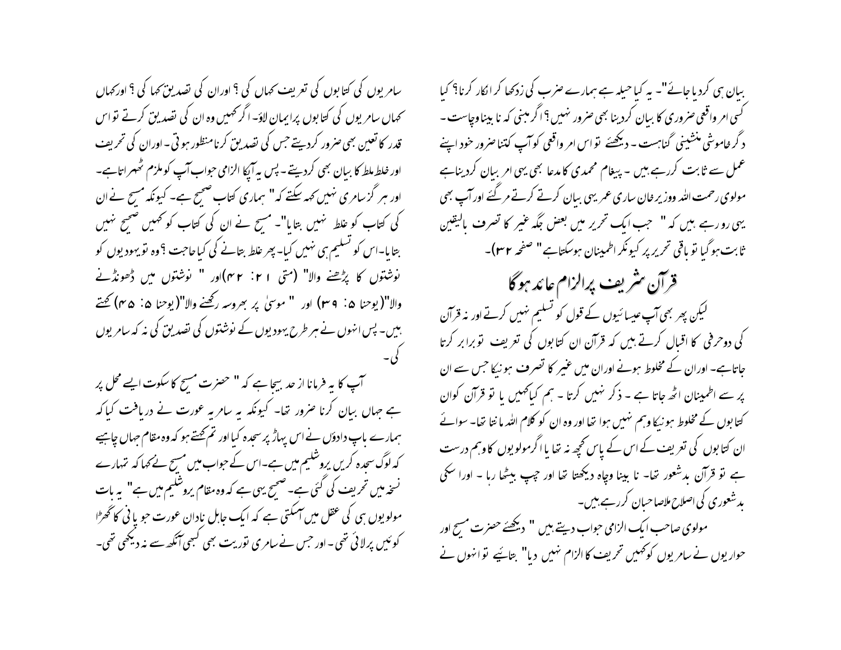سامریوں کی کتابوں کی تعریف کھاں کی ؟ اوران کی تصدیق کھا کی ؟ اور کھاں <sup>س</sup>حہاں سامریوں کی کتابوں پرایمان لاؤ<sup>۔</sup> اگر تھمیں وہ ان کی نصدیق کرتے نواس قدر کا تعین بھی صرور کردیتے جس کی تصدیق کرنامنظور ہو تی ۔اوران کی تحریف اور خلط ملط کا بیان بھی کردیتے۔پس یہ آیکا الزامی حواب آپ کو ملزم ٹھہراتاہے۔ اور ہر گزسامری نہیں کھہ سکتے کہ" ہماری کتاب صحیح ہے۔ کیونکہ مسح نےان کی کتاب کو غلط تہیں بتایا"۔ مسح نے ان کی کتاب کو ٹھیں صحیح نہیں بتایا-اس کو تسلیم ہی نہیں کیا- پھر غلط بتانے کی کیاحاجت ؟ وہ تو یہودیوں کو نوشتوں کا پڑھنے والا" (متی ۲۱: ۳۲)اور " نوشتوں میں ڈھونڈنے والا"(يوحنا ٤: ٣٩) اور " موسىٰ پر بھروسہ رکھنے والا"(يوحنا ۵: ۴۵) كہتے بیں۔ پس انہوں نے ہر طرح یہودیوں کے نوشتوں کی تصدیق کی نہ کہ سامریوں

آپ کا یہ فرمانا از حد بیجا ہے کہ " حصرت مسح کا سکوت ایسے محل پر ہے جہاں بیان کرنا صرور تھا۔ کیونکہ یہ سامریہ عورت نے دریافت کیا کہ ہمارے پاپ دادؤں نے اس پہاڑ پر سحدہ کیااور تم کھتے ہو کہ وہ مقام حہاں چاہیے کہ لوگ سجدہ کریں پروشلیم میں ہے۔اس کے حواب میں مسح نے کہا کہ تہمارے نسخہ میں تحریف کی گئی ہے۔صحیح یہی ہے کہ وہ مقام پروشکیم میں ہے" یہ بات مولو یوں ہی کی عقل میں ہمکتی ہے کہ ایک جاہل نادان عورت جو یا ٹی کاٹھڑا کوئیں پرلائی تھی۔اور حس نے سامری نوریت بھی کبھی آنکھ سے نہ دیکھی تھی۔ بیان ہی کردیا جائے"۔ یہ کیا حیلہ ہے ہمارے صرب کی زدکھا کر اکار کرنا؟ کیا گسی امر واقعی صروری کا بیان کردینا بھی صرور <sup>نہ</sup>یں <sup>؟</sup> اگر مبنی کہ نا بیناوچاست -د گر خامونثی منشینی گناہست - دیکھئے نو اس امر واقعی کو آپ کتنا صرور حود اپنے عمل سے ثابت کررہے ہیں ۔ پیغام محمدی کامدعا بھی یہی امر بیان کردیناہے مولوی رحمت اللہ ووزیر خان ساری عمر یہی بیان کرتے کرتے مرگئے اور آپ بھی یہی رورہے بیں کہ " حب ایک تحریر میں بعض جگہ عنیر کا تصرف پالیقین ثابت ہوگیا تو یاقی تحریر پر کیونکر اطمینان ہوسکتاہے" صفحہ ۲۳)۔

قرآن مثريف برالزام عائد ہوگا لیکن پھر بھی آپ عیسائیوں کے قول کو تسلیم نہیں کرتے اور نہ قرآن کی دوحرفی کا اقبال کرتے ہیں کہ قرآن ان کتابوں کی تعریف توبرابر کرتا جاتاہے۔ اوران کے مخلوط ہونے اوران میں عنیر کا تصرف ہو نیکا جس سے ان پر سے اطمینان اٹھ جاتا ہے ۔ ذکر نہیں کرتا - ہم کیاٹھیں یا تو قرآن کوان کتا بوں کے مخلوط ہو نیکا وہم نہیں ہوا تھا اور وہ ان کو کلام اللہ ما نتا تھا۔ سوائے ان کتابوں کی تعریف کے اس کے پاس کجھ نہ تھا یا اگرمولویوں کاوہم درست ہے تو قرآن بدشعور تھا- نا بینا وچاہ دیکھتا تھا اور جب بیٹھا رہا - اورا سکی بد شعوری کی اصلاح ملاصا حیان کررہے، ہیں۔

مولوی صاحب ایک الزامی حواب دیتے ہیں " دیکھئے حصرت مسح اور حوار یوں نے سامر یوں کوٹھمیں تحریف کا الزام نہیں دیا" بتائیے توانہوں نے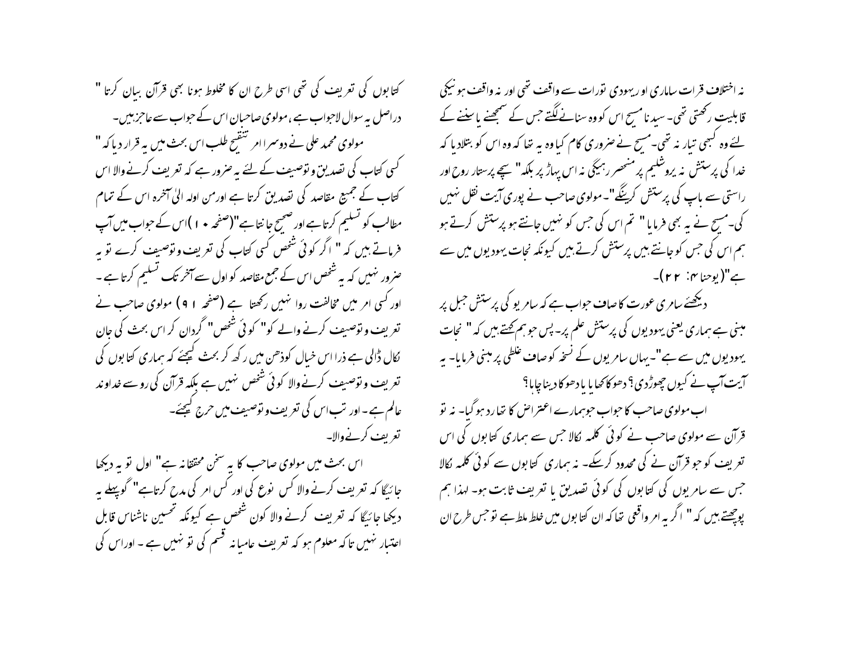کتابوں کی تعریف کی تھی اسی طرح ان کا مخلوط ہونا بھی قرآن بیان کرتا " دراصل ہہ سوال لاحبواب ہے ، مولوی صاحبان اس کے حبواب سے عاحز بیں۔ مولوی محمد علی نے دوسرا امر تنقسح طلب اس بحث میں یہ قرار دیا کہ " کسی کتاب کی نصدیق و توصیف کے لئے یہ صرور ہے کہ تعریف کرنے والا اس کتاب کے جمیع مقاصد کی تصدیق کرتا ہے اورمن اولہ الی آخرہ اس کے تمام مطالب کو تسلیم کرتاہےاور صحیح جا نتاہے"(صفحہ • ۱)اس کے حواب میں آپ فرماتے ہیں کہ " اگر کوئی شخص کسی کتاب کی تعریف و توصیف کرے تو یہ صرور نہیں کہ یہ شخص اس کے جمع مقاصد کو اول سے آخر تک تسلیم کرتا ہے ۔ اور کسی امر میں مخالفت روا نہیں رکھتا ہے (صفحہ ۱ ۹) مولوی صاحب نے تعریف و نوصیف کرنے والے کو" کوئی شخص" گردان کر اس بحث کی جان <sub>لک</sub>ال ڈالی ہے ذرا اس خیال کوذھن میں رکھ کر بحث کیجئے کہ ہماری کتا بوں کی تعریف و نوصیف کرنے والا کوئی شخص نہیں ہے بلکہ قرآن کی روسے غداوند عالم ہے۔اور تب اس کی تعریف و توصیف میں حرج کیجئے۔ تعريف كرنےوالا۔

اس بحث میں مولوی صاحب کا یہ سخن محققانہ ہے" اول تو یہ دیکھا حائیگا کہ تعریف کرنے والا کس نوع کی اور کس امر کی مدح کرتاہے" گوپہلے یہ دیکھا جائیگا کہ تعریف کرنے والا کون شخص ہے کیونکہ تحسین ناشناس قابل اعتیار نہیں تاکہ معلوم ہو کہ تعریف عامیانہ قسم کی تو نہیں ہے ۔ اوراس کی

نہ اختلاف قرات ساماری او ریہودی نورات سے واقف تھی اور نہ واقف ہو نیکی قابلیت رکھتی تھی۔ سید نامسح اس کووہ سنانےلگتے جس کے سمجھنے باسننے کے یے وہ کسجی تیار نہ تھی۔مسح نے صروری کام کیاوہ یہ تھا کہ وہ اس کو بتلادیا کہ خدا کی پرستش نہ پروشلیم پر منھصر رہیگی نہ اس پہاڑ پر بلکہ" سیچے پرستار روح اور راستی سے باپ کی پرستش کرینگے"۔مولوی صاحب نے پوری آیت نقل نہیں کی۔مسح نے یہ بھی فرمایا" تم اس کی جس کو نہیں جانتے ہو پرستش کرتے ہو ہم اس کی جس کو جانتے ہیں پرستش کرتے ہیں کیونکہ نحات یہودیوں میں سے ے"(یوحنا ۲۰ : ۲۲)۔

دیکھئے سامری عورت کاصاف حواب ہے کہ سامر یو کی پرستش جبل پر مبنی ہے ہماری یعنی یہودیوں کی پرستش علم پر-پس حوہم تھتے ہیں کہ " نحات یہودیوں میں سے ہے"۔بہاں سامریوں کے نسخہ کوصاف علطی پر مبنی فرمایا۔ یہ آیت آپ نے کیوں چھوڑدی؟ دھوکاتھایا بادھوکادیناچایا؟

اب مولوی صاحب کا حواب حوہمارے اعتراض کا تعارد ہو گیا۔ نہ تو قرآن سے مولوی صاحب نے کوئی کلمہ لکالا جس سے ہماری کتابوں کی اس تعریف کو حبو قرآن نے کی محدود کرسکے۔ نہ سماری کتابوں سے کوئی کلمہ کالا جس سے سامریوں کی کتابوں کی کوئی تصدیق یا تعریف ثابت ہو۔ لہذا ہم پوچھتے ہیں کہ " اگر یہ امر واقعی تھا کہ ان کتا بوں میں خلط ملط ہے تو حس طرح ان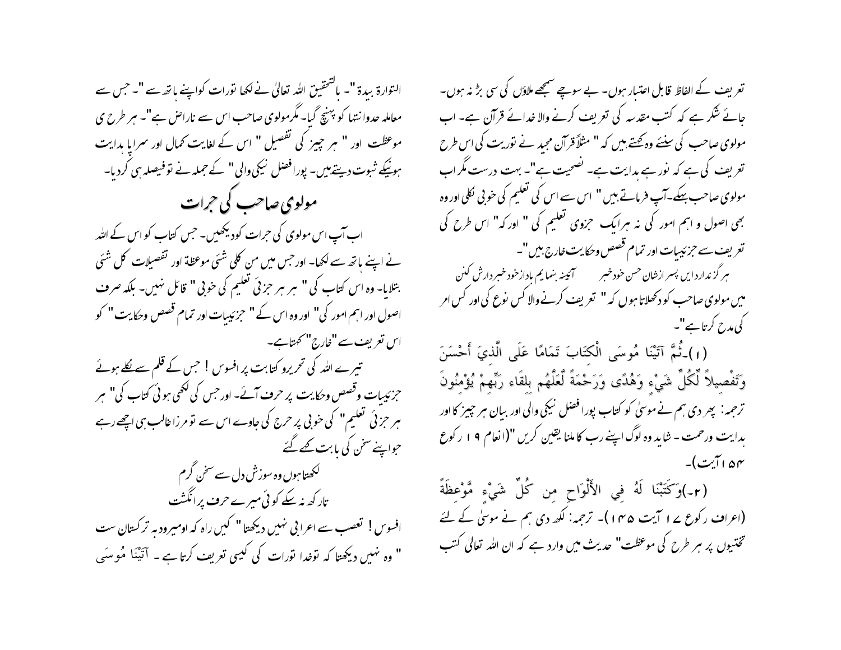النوارة بيدة "- بالشخقيق الله. تعالىٰ نےلکھا لوّرات کواپنے باتھ سے "۔ حس سے معاملہ حدوا نتہا کو پہنچ گیا۔ مگرمولوی صاحب اس سے ناراض ہے"۔ ہر طرح ی موعظت اور " ہر چیز کی تفصیل " اس کے لغایت کھال اور سمرایا بدایت ہونیکے ثبوت دیتے ہیں۔ پورافضل نیکی والی" کے حملہ نے توفیصلہ ہی کردیا۔ مولوی صاحب کی حرات اب آپ اس مولوی کی حرات کودیکھیں۔ حس کتاب کو اس کے اللہ نے اپنے باتھ سے لکھا۔ اور حس میں من کلی شئی موعظۃ اور تفصیلات کل شئی بتلایا- وہ اس کتاب کی " ہر ہر جزئی تعلیم کی خوبی " قائل نہیں- بلکہ صرف اصول اور اہم امور کی'' اور وہ اس کے '' حزئیںات اور تمام قصص وحکایت '' کو اس تعریف سے "خارج" تحمتاہے۔ تیرے اللہ کی تحریرو کتابت پر افسوس ! حس کے قلم سے لکلے ہوئے حجزئيسات وقصص وحكايت پر حرف آئے۔ اور حس كى لکھى ہو ئى كتاب كى" ہر ہر حزئی تعلیم" کی خوبی پر حرج کی جاوے اس سے نو مرزا غالب ہی اچھے رہے حواپنے سخن کی بابت کھے گئے لکھتا ہوں وہ سوزش دل سے سخن گرم تار کھ نہ سکے کوئی میرے حرف پرانگشت افسوس! تعصب سے اعرابی نہیں دیکھتا" کیں راہ کہ اومیرودیہ ترکستان ست " وہ نہیں دیکھتا کہ توخدا تورات کی کیسی تعریف کرتا ہے ۔ آتَیْنَا مُوسَى

تعریف کے الفاظ قابل اعتبار ہوں۔ بے سوچے سمجھے ملاؤں کی سی بڑ نہ ہوں۔ جائے شکر ہے کہ کتب مقدسہ کی تعریف کرنے والا خدائے قرآن ہے۔ اب مولوی صاحب کی سنئے وہ کہتے ہیں کہ " مثلاً قرآن مجید نے نوریت کی اس طرح تعریف کی ہے کہ نور ہے بدایت ہے۔ نصحیت ہے"۔ بہت درست مگر اب مولوی صاحب بہکے۔آپ فرماتے ہیں " اس سے اس کی تعلیم کی خوبی لکلی اور وہ بھی اصول و اہم امور کی نہ ہرایک جزوی تعلیم کی " اور کہ" اس طرح کی تعریف سے حزئیبات اور تمام قصص وحکایت خارج بیں "۔ ہر گز نداردایں پسر ارشان حسن خودخسر مسلم آ کینہ بنیما یم باداز خود خسر دارش کنن میں مولوی صاحب کو دکھلاتا ہوں کہ " تعریف کرنے والا کس نوع کی اور کس امر کی مدح کرتاہے"۔

(١)۔ثُمَّ آتَيْنَا مُوسَى الْكَتَابَ تَمَامًا عَلَى الَّذِيَ أَحْسَنَ وَتَفْصِيلاً لِّكُلِّ شَيْءٍ وَهُدًى وَرَحْمَةً لَّعَلَّهُم بلقَاء رَبِّهِمْ يُؤْمِنُونَ ترحمیہ: پھر دی ہم نے موسیٰ کو کتاب پورا فصل نیکی والی اور بیان ہر چیز کا اور بدایت ورحمت - شاید وه لوگ اپنے رب کا ملنا یقین کریں "(انعام ۱۹ ر کوع ۴۵ ا آیت)-

(r-)وَ كَتَبْنَا لَهُ فِي الأَلْوَاحِ مِن كُلِّ شَيْءٍ مَّوْعِظَةً (اعراف رکوع پے ا  $\Gamma$ یت ۱۴۵)۔ ترجمہ: لکھ دی ہم نے موسیٰ کے لئے تختبوں پر ہر طرح کی موعظت" حدیث میں وارد ہے کہ ان اللہ تعالیٰ کتب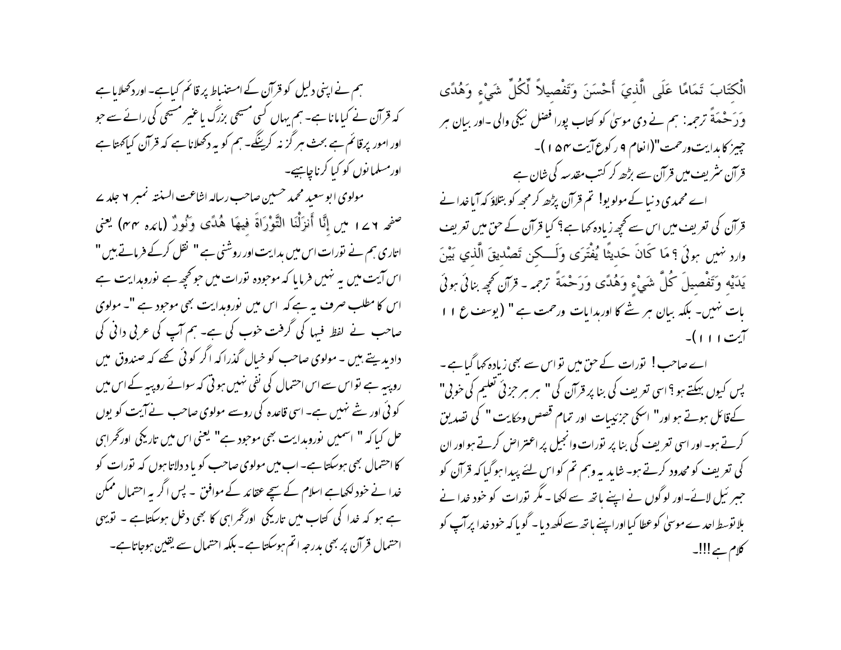ہم نے اپنی دلیل کو قرآن کے امستنساط پر قائم کیاہے۔ اور دکھلایا ہے کہ قرآن نے کیامانا ہے۔ ہم یہاں کسی مسیحی بزرگ یاغیر مسیحی کی رائے سے حو اور امور پرقائم ہے بحث ہر گز نہ کرینگے۔ہم کو یہ دکھلانا ہے کہ قرآن کیاکھتا ہے اورمسلمانوں کو کیا کرناچاہیے۔

مولوی ابو سعید محمد حسین صاحب رساله اشاعت السنته نمعبر ۲ جلد ۲ صفحہ ٧ ∠ ا س إِنَّا أَنزَلْنَا التَّوْرَاةَ فِيهَا هُدًى وَنُورٌ (ما $\lambda$ ه ٣٣) يعنى اتاری ہم نے نورات اس میں ہدایت اور روشنی ہے " نظل کرکے فرماتے ہیں " اس آیت میں یہ نہیں فرمایا کہ موجودہ تورات میں جو کچھ ہے نوروہدایت ہے اس کا مطلب صرف یہ ہے کہ اس میں نوروہدایت بھی موجود ہے "۔ مولوی صاحب نے لفظ فیہا کی گرفت خوب کی ہے۔ ہم آپ کی عربی دانی کی دادیدیتے، بیں - مولوی صاحب کو خیال گذراکہ اگر کوئی کھے کہ صندوق میں روپیہ ہے تواس سے اس احتمال کی نفی نہیں ہوتی کہ سوائے روپیہ کے اس میں کوئی اور شے نہیں ہے۔ اسی قاعدہ کی روسے مولوی صاحب نے آیت کو یوں حل کیا کہ " اسمیں نوروبدایت بھی موجود ہے" یعنی اس میں تاریکی اورٹھراہی کا احتمال بھی ہوسکتا ہے۔ اب میں مولوی صاحب کو یا د دلاتا ہوں کہ نورات کو خدا نے خود لکھاہے اسلام کے سچے عقائد کے موافق ۔ پس اگر یہ احتمال ممکن ہے ہو کہ خدا کی کتاب میں تاریکی اور گھراہی کا بھی دخل ہوسکتاہے ۔ تو یہی احتمال قرآن پر بھی بدرجہ اتم ہوسکتا ہے۔ بلکہ احتمال سے یقین ہوجاتاہے۔

الْكِتَابَ تَمَامًا عَلَى الَّذيَ أَحْسَنَ وَتَفْصِيلاً لِّكُلِّ شَيْءٍ وَهُدًى وَدَحْهَةً ترحِمہ: ہم نے دی موسیٰ کو کتاب پورا فصل نیکی والی -اور بیان ہر جيز كابدايت ورحمت"(انعام ٩ ركوع آيت ٥٢ ١)-قرآن *مثر* یف میں قرآن سے بڑھ کر کتب مقدسہ کی شان ہے اے محمدی د نیا کے مولو یو! تم قرآن پڑھ کرمجھ کو بتلاؤ کہ آیا خدا نے قرآن کی تعریف میں اس سے تحچھ زیادہ کہا ہے؟ کیا قرآن کے حق میں تعریف وارو نهبِن بوتيَ ؟ مَا كَانَ حَديثًا يُفْتَرَى وَلَـــكن تَصْديقَ الَّذي بَيْنَ يَدَيْه وَتَفْصِيلَ كُلَّ شَيْءٍ وَهُدًى وَرَحْمَةً ترجمہ - قرآن كَجِمِ بنائي ہوئي بات نہیں۔ بلکہ بیان ہر نئے کا اور ہدایات ورحمت ہے " (یوسف ع ۱۱ آيت ١١١)-

اے صاحب! نورات کے حن میں نواس سے بھی زیادہ کہا گیا ہے ۔ پس کیوں بہکتے ہو ؟ اسی تعریف کی بنا پر قرآن کی " ہر ہر جزئی تعلیم کی خوبی" کےقائل ہوتے ہو اور" اسکی حزئیسات اور تمام قصص وحکایت " کی نصدیق کرتے ہو۔ اور اسی تعریف کی بنا پر نورات وانجیل پر اعتراض کرتے ہو اور ان کی تعریف کومحدود کرتے ہو۔ شاید یہ وہم تم کو اس لئے پیدا ہوگیا کہ قرآن کو حببر ئیل لائے۔اور لوگوں نے اپنے باتھ سے لکھا ۔ مگر لورات کو خود خدا نے بلا نوسط احد سے موسیٰ کوعطا کیا اوراپنے باتھ سے لکھ دیا۔ گو یا کہ حنود خدا پر آپ کو کلام ہے!!!۔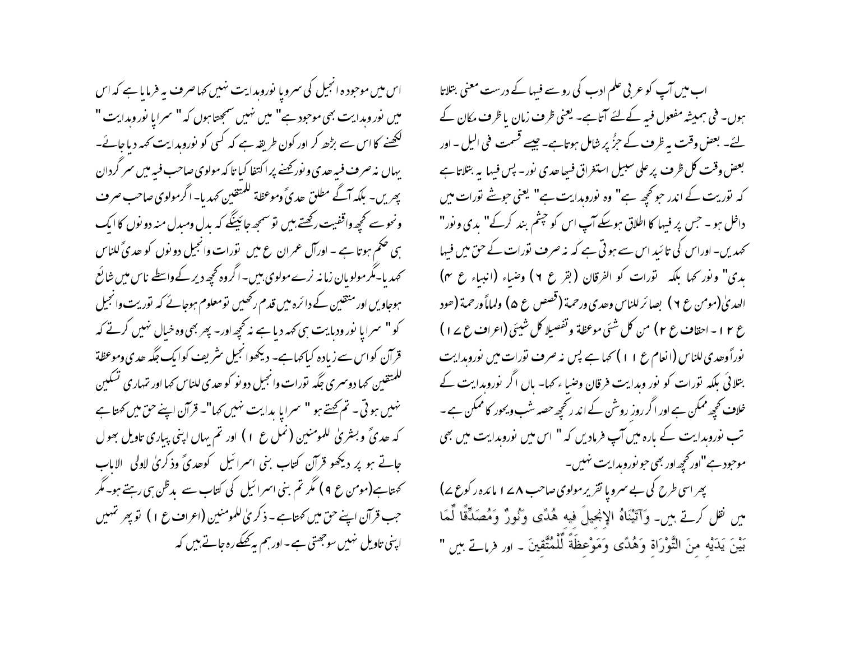اس میں موحود ہ انجیل کی سرویا نوروہدایت نہیں کہاصرف یہ فرمایا ہے کہ اس میں نور وہدایت بھی موحود ہے" میں نہیں سمجھتا ہوں کہ" سمرایا نور وہدایت " لکھنے کا اس سے بڑھ کر اور کون طریقہ ہے کہ کسی کو نوروبدایت کہہ دیا جائے۔ بهاں نہ صرف فسرحدی و نور کھنے پر اکتفا کیا تا کہ مولوی صاحب فسرمیں سمر گردان پھریں۔ بلکہ آگے مطلق حدیً وموعظة للمنقین کہدیا۔ اگرمولوی صاحب صرف ونحو سے کجھ واقفیت رکھتے ہیں تو سمجھ جائینگے کہ بدل ومبدل منہ دو نوں کا ایک ہی صحم ہوتا ہے ۔ اورآل عمران ع میں نورات وانجیل دو نوں کو حدیً للناس کممدیا۔مگرمولوپان زمانہ نرےمولوی بیں۔اگروہ کحچھ دیر کے واسطے ناس میں شائع ہوجاویں اور متقین کے دائرہ میں قدم رکھیں تومعلوم ہوجائے کہ توریت وانجیل کو" سمرایا نور ودبایت ہی <sub>ک</sub>ھہ دیا ہے نہ تحچھ اور- پھر بھی وہ خیال نہیں کرتے کہ قرآن کواس سے زیادہ کیاکہاہے۔ دیکھوانجیل سٹریف کوابک جگہ حدی وموعظة للمتقين كحها دوسمري جكه تورات وانجيل دو نو كو حدى للناس كحها اور تمهاري تسكين نہیں ہوتی۔ تم کھتے ہو " سمرایا بدایت نہیں کہا"۔ قرآن اپنے حق میں کھتا ہے کہ حدیؓ وبسٹریٰ للمومنین (نمل ع\_ا) اور تم یہاں اپنی پیاری تاویل بھول جاتے ہو پر دیکھو قرآن کتاب بنی اسرائیل گوھدیً وذکریٰ لاولی الاماب کھتاہے(مومن ع ۹) مگر تم بنی اسمرائیل کی کتاب سے بدظن ہی رہتے ہو۔مگر حب قرآن اپنے حن میں کھتاہے ۔ ذکر پیٰ للمومنین (اعراف ع ۱) لو پھر تہیں اپنی تاویل نہیں سوجھتی ہے۔اورہم ہہ کھکے رہ جاتے ہیں کہ

اب میں آپ کو عربی علم ادب کی رو سے فسہا کے درست معنی بتلاتا ہوں۔ فی ہمیشہ مفعول فیہ کےلئے آتاہے۔ یعنی ظرف زمان یا ظرف مکان کے لئے۔ بعض وقت ہہ ظرف کے حِزُ پر شامل ہوتاہے۔ جیسے قسمت فی الیل ۔ اور بعض وقت کل ظرف پر علی سبیل استغراق فسیاحدی نور- پس فیہا یہ بتلاتا ہے کہ نوریت کے اندر حو کچھ ہے" وہ نوروہدایت ہے" یعنی حویثے نورات میں داخل ہو ۔ حس پر فیہا کا اطلاق ہوسکے آپ اس کو حیثم بند کرکے" پدی و نور" تحہدیں۔ اوراس کی تائید اس سے ہوتی ہے کہ نہ صرف <sub>ن</sub>تورات کے حق میں فیہا بدي" ونور كلما بلكه \_ نورات كو الفرقان (بقرع ٢) وصلاء (انبياء ع ٣) العد بيٰ(مومن ع ٢ ) بصائر للناس وحد ي ورحمة (قصص ع ۵) ولماماً ورحمة (حود ع ١٢- احقاف ع ٢) من كل شئي موعظة وتفصيلا كل شيئي (اعراف ع ٢٧) نوراً وحد ی للناس (انعام ع ۱۱) کہا ہے پس نہ صرف نورات میں نوروہدایت بتلائی بلکہ نورات کو نور وبدایت فرقان وصبا ء تھا۔ ہاں اگر نوروبدایت کے خلاف کحچھ ممکن ہے اور اگر روز روشن کے اند رکحچھ حصہ شب ویحور کا ممکن ہے ۔ تب نوروبدایت کے بارہ میں آپ فرمادیں کہ " اس میں نوروبدایت میں بھی موحبود ہے"اور محچھ اور بھی حبو نوروبدایت نہیں۔ پھر اسی طرح کی بے سمرویا تقریر مولوی صاحب ۱۷۸۸ مائدہ رکوع ۲ے) سِ نقل كرتے بسِ۔ وَآتَيْنَاهُ الإنجيلَ فيه هُدًى وَنُورٌ وَمُصَدِّقًا لِّمَا بَيْنَ يَدَيْه منَ التَّوْرَاة وَهُدًى وَمَوْعظَةً لِّلْمُتَّقينَ ـ اور فرياتے بس "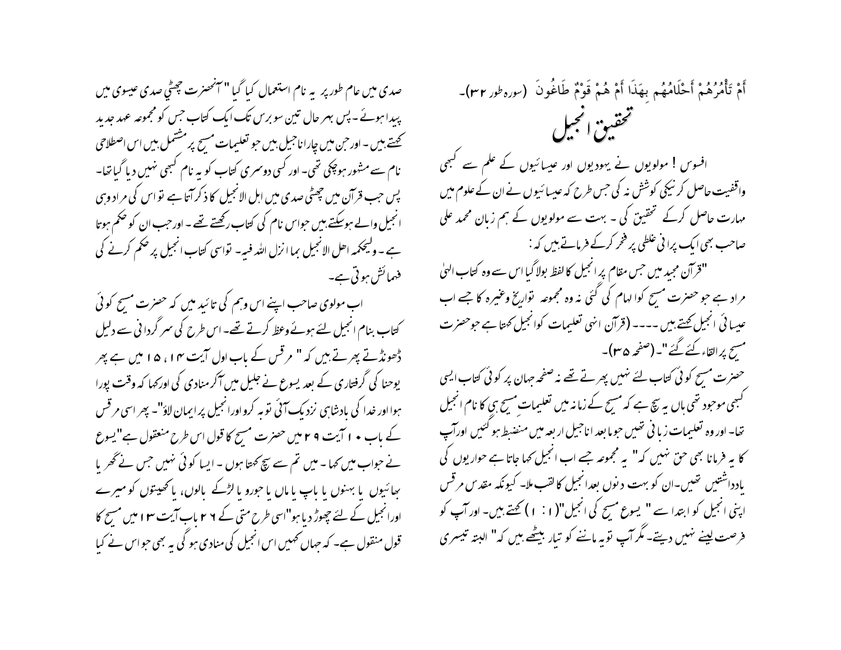صدی میں عام طور پر یہ نام استعمال کیا گیا " آنحصرت چھٹی صدی عیسوی میں پبدا ہوئے۔پس بہر حال تین سوبرس تک ایک کتاب جس کو مجموعہ عہد جدید نھتے ہیں - اور حن میں چار اناحبیل بیں حو تعلیمات مسح پر مشتمل بیں اس اصطلاحی **کی** نام سے مشہور ہوچکی تھی۔ اور کسی دوسمری کتاب کو یہ نام کسجی نہیں دیا گیا تھا۔ پس حب قرآن میں چھٹی صدی میں اہل الانجیل کا ذکر آتا ہے تو اس کی مراد وہی انجیل والے ہوسکتے بیں حواس نام کی کتاب رکھتے تھے ۔ اور حب ان کو صحم ہوتا ہے ۔ ولیحکمہ اصل الانجیل بما انزل اللہ فیہ- تواسی کتاب انجیل پر حکم کرنے کی فہمائش ہوتی ہے۔

اب مولوی صاحب اپنے اس وہم کی تائید میں کہ حصرت مسح کوئی کتاب بنام انجیل لئے ہوئے وعظ کرتے تھے۔ اس طرح کی سمر گردا فی سے دلیل ڈھونڈتے پھرتے ہیں کہ " مرقس کے باب اول آیت ۱۴، ۵ ما میں ہے پھر یوحنا کی گرفتاری کے بعد یسوع نے جلیل میں آکر منادی کی اور <sub>ک</sub>ہا کہ وقت پورا ہوااور خدا کی بادشاہی نزدیک آئی توبہ کرواورانجیل پراپمان لاؤ"۔ پھر اسی مرقس کے باب • ا آیت 4 ۲ میں حصرت مسح کا قول اس طرح منعقول ہے"یسوع نے حواب میں کہا ۔ میں تم سے سچ کھتا ہوں ۔ ایسا کوئی نہیں جس نے گھر پا سائیوں یا بہنوں یا باپ یاماں یا حورو یا لڑکے بالوں، پاٹھیتوں کو میرے اورانجیل کے لئے چھوڑ دیا ہو"اسی طرح متی کے ۲ ۲ باب آیت ۱۳ میں مسح کا قول منقول ہے۔ کہ حہاں کھیں اس انجیل کی منادی ہو گی یہ بھی حواس نے کیا

أَمْ تَأْمُرُهُمْ أَحْلَامُهُم بِهَذَا أَمْ هُمْ قَوْمٌ طَاغُونَ ۚ (سورەطور ٣٣)۔ تخقيق الجبل افسوس ! مولویوں نے یہودیوں اور عیسائیوں کے علم سے کبھی واقفیت حاصل کر نیکی کوشش نہ کی جس طرح کہ عیسا ئیوں نے ان کے علوم میں مہارت حاصل کرکے تحقیق کی ۔ بہت سے مولویوں کے ہم زبان محمد علی صاحب بھی ایک پرا فی علطی پر فخر کرکے فرماتے ہیں کہ : "قرآن مجید میں جس مقام پر انجیل کا لفظ بولاگیا اس سے وہ کتاب الهیٰ مراد ہے جو حصرت مسح کوالہام کی گئی نہ وہ مجموعہ تواریخ وعنیرہ کا جسے اب عیسائی انجیل کھتے ہیں۔۔۔۔ (قرآن انہی تعلیمات کوانجیل کھتا ہے حوحصرت مسح پرالقاء کئے گئے "۔(صفحہ ۳۵)۔ حصرت مسح کوئی کتاب لئے نہیں پھرتے تھے نہ صفحہ حہان پر کوئی کتاب ایسی ۔<br>کبھی موحود تھی <sub>ب</sub>اں یہ سچ ہے کہ مسیح کے زمانہ میں تعلیمات مسیح ہی کا نام انجیل تھا- اور وہ تعلیمات زبا فی تھیں حوما بعد اناجیل ار بعہ میں منصبط ہو کئیں اورآپ کا یہ فرمانا بھی حق نہیں کہ" یہ مجموعہ جسے اب انجیل کھا جاتا ہے حوار یوں کی بادداشتیں تھیں۔ان کو بہت دنوں بعدانجیل کا لقب ملا۔ کیونکہ مقدس مرقس اپنی انجیل کو ابتدا سے " یسوع مسح کی انجیل"( ۱ : ۱ ) تھتے ہیں۔ اور آپ کو فرصت لینے نہیں دیتے۔ مگر آپ توبہ ماننے کو تبار بیٹھے ہیں کہ" البتہ تیسری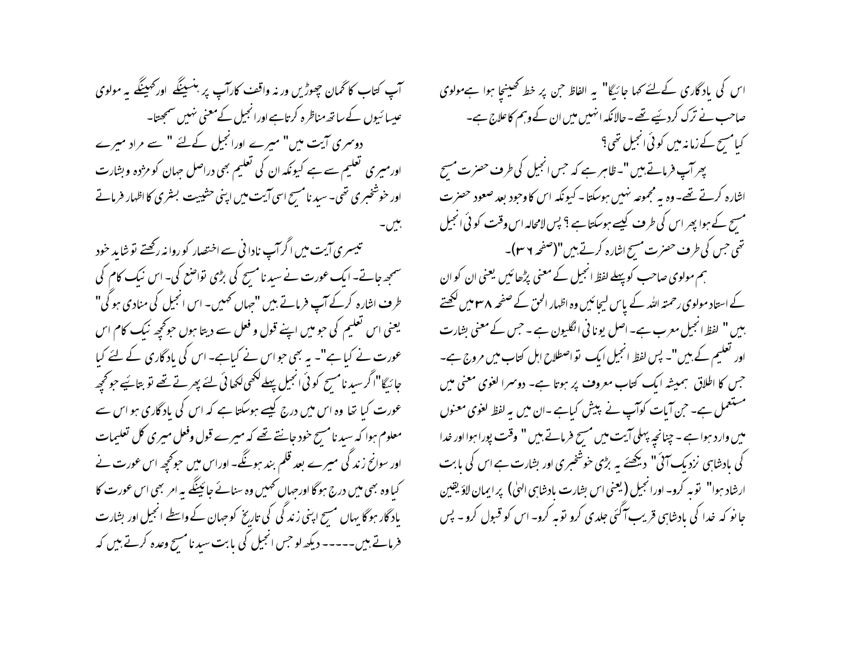اس کی بادگاری کےلئے کہا جائیگا" یہ الفاظ حن پر خط تھینچا ہوا ہےمولوی صاحب نے ترک کردیئیے تھے۔حالانکہ انہیں میں ان کےوہم کاعلاج ہے۔ کیامس<del>ے</del> کے زمانہ میں کوئی انجیل تھی؟

پھرآپ فرماتے ہیں "۔ظاہر ہے کہ جس انجیل کی طرف حصرت مسج اشارہ کرتے تھے۔ وہ یہ مجموعہ نہیں ہوسکتا۔ کیونکہ اس کا وحبود بعد صعود حصرت مسح کے ہوا پھر اس کی طرف کیسے ہوسکتا ہے ؟ پس لامحالہ اس وقت کو ئی انجیل تھی جس کی طرف حصرت مسح اشارہ کرتے ہیں"(صفحہ ۲ سا)۔

ہم مولوی صاحب کو پہلے لفظ انجیل کے معنی پڑھائیں یعنی ان کو ان کے استاد مولوی رحمتہ اللہ کے پاس لیجائیں وہ اظہار الحق کے صفحہ ۴۸ میں لکھتے بیں " لفظ انجیل معرب ہے۔ اصل یونا فی الگلیون ہے ۔حس کے معنی بشارت اور تعلیم کے بیں"۔ پس لفظ انجیل ایک قواصطلاح اہل کتاب میں مروج ہے۔ جس کا اطلاق ہمیشہ ایک کتاب معروف پر ہوتا ہے۔ دوسرا لغوی معنی میں مستعمل ہے۔ ح<sub>ن</sub> آمات کوآپ نے پیش کیاہے -ان میں یہ لفظ لغوی معنوں میں وار دیہوا ہے ۔ چنانچہ پہلی آیت میں مسح فرماتے ہیں " وقت پورا ہوا اور خدا کی بادشاہی نزدیک آئی" دیکھئے یہ بڑی خوشخبری اور بشارت ہے اس کی بابت ارشاد ہوا" توبہ کرو۔ اورانجیل ( یعنی اس بشارت بادشایپی الهٰ) پر ایمان لاؤ یقین جا نو کہ خدا کی بادشاہی قریب آگئی جلدی کرو توبہ کرو- اس کو قبول کرو - پس

آپ کتاب کا گمان چھوڑیں ور نہ واقف کارآپ پر بنسینگے اور کھینگے یہ مولوی عیسا ئیوں کے ساتھ مناظرہ کرتاہے اورانجیل کےمعنی نہیں سمجھتا۔ دوسری آیت میں" میرے اورانجیل کےلئے " سے مراد میرے اورمیری تعلیم سے ہے کیونکہ ان کی تعلیم بھی دراصل حہان کو مژدہ وبشارت اور حوشخبری تھی۔ سید نامسح اسی آیت میں اپنی حشییت بسٹری کا اظہار فرماتے تبیسری آیت میں اگر آپ نادا نی سے اختصار کوروا نہ رکھتے تو شاید خود سمجھ جاتے۔ ایک عورت نے سید نامسح کی بڑی تواضع کی۔ اس نیک کام کی طرف اشارہ کرکے آپ فرماتے ہیں "جہاں تھمیں۔ اس انجیل کی منادی ہو گی" یعنی اس تعلیم کی حومیں اپنے قول و فعل سے دیتا ہوں حوکچھ نیک کام اس عورت نے کیا ہے"۔ یہ بھی حبواس نے کیاہے۔ اس کی باد گاری کے لئے کیا جائیگا"اگر سید نامسح کوئی انجیل پہلے لکھی لکھائی لئے پھرتے تھے تو بتائیے حوکچھ عورت کیا تھا وہ اس میں درج کیسے ہوسکتا ہے کہ اس کی باد گاری ہو اس سے معلوم ہوا کہ سید نامسح خود جانتے تھے کہ میرے قول وفعل میری کل تعلیمات اور سوانح زندگی میرے بعد قلم بند ہوئگے۔ اوراس میں حوکجچھ اس عورت نے کیاوہ بھی میں درج ہو گا اور جہاں کھمیں وہ سنائے جائپنگے یہ امر بھی اس عورت کا یاد گار ہو گا پہاں مسح اپنی زند گی کی تاریخ کو حہان کے واسطے انجیل اور بشارت فرماتے ہیں۔۔۔۔۔ دیکھ لو حس انجیل کی بابت سید نامسح وعدہ کرتے ہیں کہ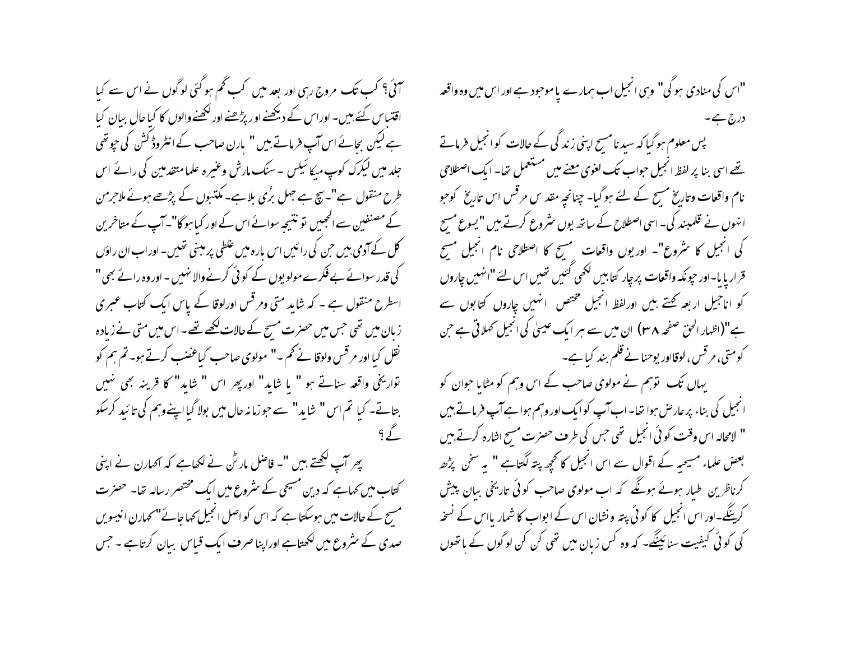اس ہج کب تک مروج رہی اور بعد میں کب *گم* ہوگئی لوگوں نے اس سے کیا اقتساس کئے بیں۔ اوراس کے دیکھنے اور پڑھنے اور لکھنے والوں کا کیا جال بیان کیا ہے لیکن بحائے اس آپ فرماتے بیں " بارن صاحب کے انٹروڈ کشن کی جوتھی جلد میں لیکرک کوپ میکائیلس ۔سنک مارش وعنیرہ علمامتقدمین کی رائے اس طرح منقول ہے"۔ سچ ہے جہل برُمی بلاہے۔ مکتبوں کے پڑھے ہوئے ملاجرمن کے مصنفین سے الجعیں نو نتیجہ سوائے اس کے اور کیا ہو گا"۔ آپ کے متاخرین کل کے آدمی بیں حن کی رائیں اس بارہ میں علطی پر مبنی تھیں۔ اوراب ان راؤں کی قدر سوائے بے فکرے مولو یوں کے کو ئی کرنے والا نہیں ۔ اور وہ رائے بھی " اسطرح منقول ہے ۔ کہ شاید متی ومر قس اورلوقا کے پاس ایک کتاب عسری زبان میں تھی *جس میں حصر*ت مسح کے حالات لکھے تھے ۔اس میں متی نے زیادہ نقل کیا اور مرقس ولوقا نے کم ۔" مولوی صاحب کیاعضب کرتے ہو۔ تم ہم کو تواريخي واقعه سناتے ہو " يا شايد" اور پھر اس " شايد" كا قرينہ بھى نہيں بتاتے۔ کیا تم اس " شاید" سے حوزمانہ حال میں بولا گیااپنےوہم کی تائید کرسکو گے ؟

پھر آپ لکھتے ہیں "۔ فاصل مار ٹن نے لکھاہے کہ اکھارن نے اپنی کتاب میں کہاہے کہ دین مسیحی کے سٹروع میں ایک مختصر رسالہ تعا۔ حصرت مسیح کے حالات میں ہوسکتا ہے کہ اس کو اصل انجیل کھا جائے" کھمارن انپسویں صدی کے سٹروع میں لکھتاہے اوراپنا صرف ایک قباس بیان کرتاہے ۔ جس "اس کی منادی ہو گی" وہی انجیل اب ہمارے یا موحود ہے اور اس میں وہ واقعہ درج ہے۔

پس معلوم ہوگیا کہ سید نامسیح اپنی زند گی کے حالات کو انجیل فرماتے تھے اسی بنا پر لفظ انجیل حواب تک لغوی معنے میں مستعمل تھا۔ ایک اصطلاحی نام واقعات وتاریخ مسح کے لئے ہوگیا۔ چنانچہ مقد س مرقس اس تاریخ کوحو انہوں نے قلمبند کی۔ اسی اصطلاح کے ساتھ یوں سٹروع کرتے ہیں "یسوع مسح کی انجیل کا سثروع"۔ اور یوں واقعات سمسح کا اصطلاحی نام انجیل مسح قرار پا با-اور حپونکہ واقعات پر چار کتابیں لکھی کئیں تھیں اس لئے "انہیں چاروں کو اناجیل اربعہ تھتے ہیں اورلفظ انجیل مختص انہیں چاروں کتابوں سے ہے"(اظہار الحق صفحہ ۳۸) ان میں سے ہر ایک عیسیٰ کی انجیل تھلاتی ہے حن کومتی، مرقس ، لوقااور یوحنا نے قلم بند کیا ہے۔

یہاں تک ِ توہم نے مولوی صاحب کے اس وہم کو مطایا حوان کو انجیل کی بناء پرعارض ہوا تھا۔اب آپ کوایک اور وہم ہواہے آپ فرماتے ہیں " لامحاله اس وقت کوئی انجیل تھی جس کی طرف حصرت مسح اشارہ کرتے ہیں بعض علماء مسیحیہ کے اقوال سے اس انجیل کانحچھ پتہ لگتاہے " یہ سخن پڑھ کرناظرین طبار ہوئے ہوئگے کہ اب مولوی صاحب کوئی تاریخی بیان پیش کرینگے۔اور اس انجیل کا کوئی پتہ ونشان اس کے ابواب کا شمار بااس کے نسخہ کی کوئی کیفیت سنائینگے۔ کہ وہ کس زبان میں تھی کن کن لوگوں کے باتھوں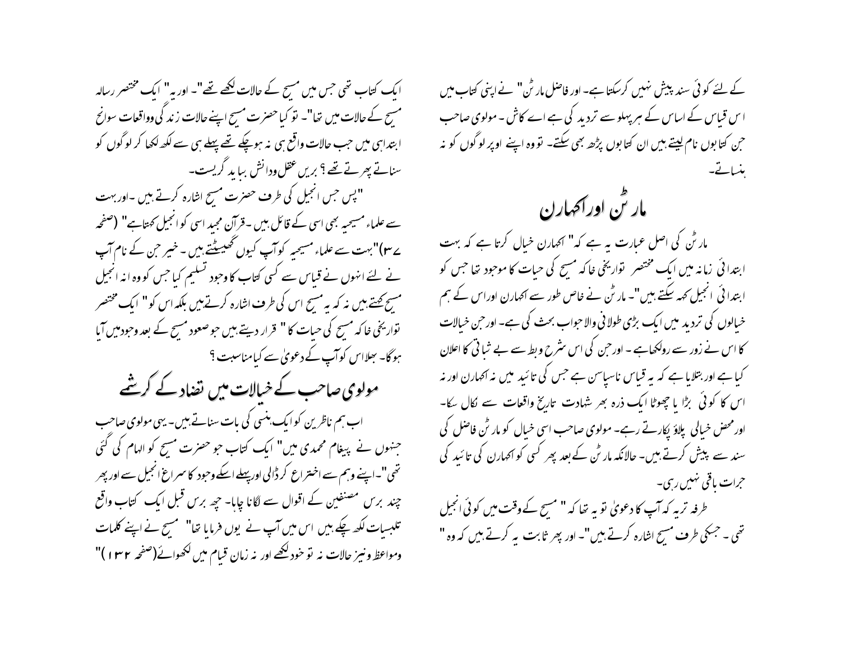ایک کتاب تھی جس میں مسح کے حالات لکھے تھے"۔ اور یہ" ایک مختصر رسالہ مسیح کے حالات میں تھا"۔ نوَ کیا حصرٰت مسیح اپنے حالات زند کُی وواقعات سوانح ابتداہی میں حب حالات واقع ہی نہ ہوچکے تھے پہلے ہی سے لکھ لکھا کر لوگوں کو سناتے پھرتے تھے ؟ بریں عقل ودانش بیا مد گریست۔ "پس حس انجیل کی طرف حصرت مسح اشارہ کرتے ہیں ۔اور بہت سے علماء مسیحیہ بھی اسی کے قائل بیں -قرآن مجید اسی کو انجیل کھتاہے" (صفحہ ے۳)"بہت سے علماء مسیحیہ کوآپ کیوں ٹھیپٹتے ہیں ۔ خیبر حن کے نام آپ نے لئے انہوں نے قیاس سے کسی کتاب کا وجود تسلیم کیا جس کو وہ انہ انجیل مسیح کھتے ہیں نہ کہ یہ مسح اس کی طرف اشارہ کرتے ہیں بلکہ اس کو" ایک مختصر تواریخی خاکہ مسح کی حیات کا " قرار دیتے ہیں حوصعود مسح کے بعد وحود میں آیا ہوگا۔ بھلااس کوآپ کے دعویٰ سے کیامناسبت ؟ مولوی صاحب کے خیالات میں نضاد کے کرشے اب ہم ناظرین کوایک،منسی کی بات سناتے ہیں۔ یہی مولوی صاحب جنہوں نے پیغام محمدی میں" ایک کتاب حو حصرت مسح کو الہام کی گئی تھی"۔اپنے وہم سے اختراع کر ڈالی اور پہلے اسکے وحبود کا سمراغ انجیل سے اور پھر چند برس مصنفین کے اقوال سے لگانا چایا۔ حیھ برس قبل ایک کتاب واقع تلبسیات لکھ چکے ہیں اس میں آپ نے یوں فرمایا تھا" مسح نے اپنے کلمات ومواعظ ونيز حالات نه تو خود لکھے اور نہ زمان قيام ميں لکھوائے(صفحہ ١٣٢ )"

کے لئے کوئی سند پیش نہیں کرسکتا ہے۔ اور فاصل مار ٹن" نے اپنی کتاب میں اس قیاس کے اساس کے ہر پہلو سے تردید کی ہے اے کاش - مولوی صاحب حن کتابوں نام لیتے ہیں ان کتابوں پڑھ بھی سکتے۔ تووہ اپنے اوپر لوگوں کو نہ بنسانے۔



مار ٹن کی اصل عبارت یہ ہے کہ" انھمارن خیال کرتا ہے کہ بہت ابتدا ئی زمانہ میں ایک مختصر تواریخی خاکہ مسح کی حیات کا موجود تھا جس کو ابتدا ئی انجیل کہہ سکتے ہیں"۔ مارٹن نے خاص طور سے اکہارن اوراس کے ہم خیالوں کی تردید میں ایک بڑی طولانی والاحواب بحث کی ہے۔ اور حن خیالات کا اس نے زور سے رواکھاہے - اور حن کی اس سٹرح وبط سے بے شا تی کا اعلان کیا ہے اور بتلایا ہے کہ بہ قیاس ناسیاسن ہے جس کی تائید میں نہ ا<sub>ک</sub>ھارن اور نہ اس کا کوئی بڑا یا جھوٹا ایک ذرہ بھر شہادت تاریخ واقعات سے لکال سکا۔ اورمحض خیالی پلاؤ پکارتے رہے۔ مولوی صاحب اسی خیال کو مارٹن فاصل کی سند سے پیش کرتے ہیں۔ حالانکہ مار ٹن کے بعد پھر کسی کو ا<sub>کھلا</sub>ن کی تائید کی حرات ماقی نهیں رہی۔<br>ـ

طرفہ تربہ کہ آپ کا دعویٰ تو یہ تعا کہ " مسح کے وقت میں کوئی انجیل تھی ۔ جسکی طرف مسح انٹارہ کرتے ہیں"۔ اور پھر ثابت یہ کرتے ہیں کہ وہ "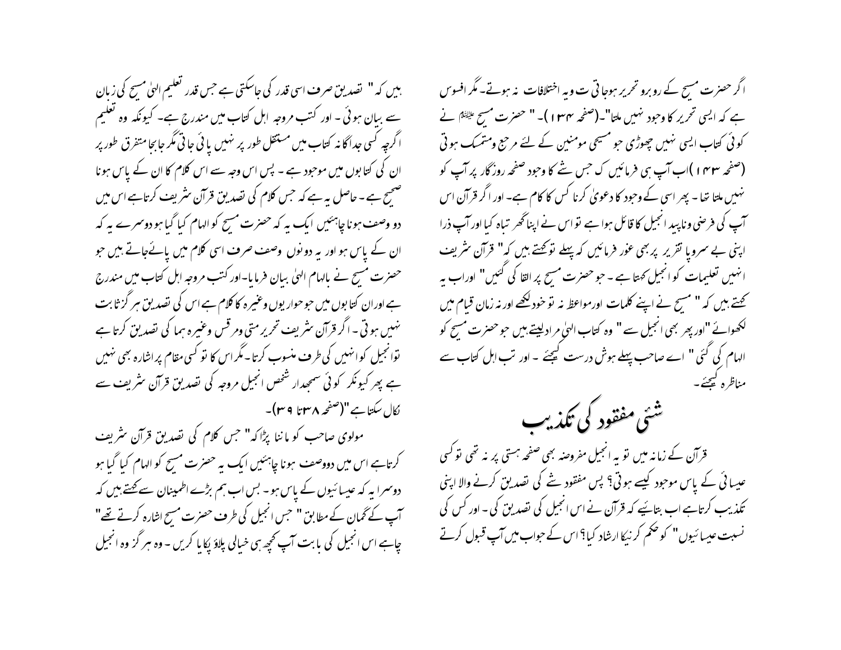بیں کہ " تصدیق صرف اسی قدر کی جاسکتی ہے جس قدر تعلیم الہٰی مسج کی زبان سے بیان ہوئی - اور کتب مروجہ اہل کتاب میں مندرج ہے۔ کیونکہ وہ تعلیم ا گرچہ کسی جدا گا نہ کتاب میں مستقل طور پر نہیں یا ئی جا ٹی مگر جابحا متفرق طور پر ان کی کتابوں میں موحود ہے ۔ پس اس وجہ سے اس کلام کا ان کے پاس ہونا صحیح ہے۔حاصل یہ ہے کہ جس کلام کی نصدیق قرآن ئثر یف کرتاہے اس میں دو وصف ہونا چاہئیں ایک یہ کہ حصرت مسج کوالہام کیا گیا ہو دوسرے یہ کہ ان کے پاس ہو اور یہ دو نوں وصف صرف اسی کلام میں پائےجاتے ہیں جو حصرت مسج نے بالہام الهیٰ بیان فرمایا-اور کتب مروجہ اہل کتاب میں مندرج ہے اوران کتا بوں میں حوحوار یوں وعنیرہ کا کلام ہے اس کی نصدیق ہر گز ثابت نہیں ہوتی۔اگر قرآن سٹریف تحریر متی ومرقس وعنیرہ ہما کی تصدیق کرتا ہے توانجیل کوانهیں کی طرف منسوب کرتا۔مگراس کا تو کسی مقام پراشارہ بھی نہیں ہے پھر کیونکر کوئی سمجدار شخص انجیل مروجہ کی تصدیق قرآن سٹریف سے کال سکتاہے "(صفحہ ۴۸ مینا ۳۹)۔

مولوی صاحب کو ما ننا پڑا کہ" جس کلام کی تصدیق قرآن سٹریف کرتاہے اس میں دووص<sub></sub>ے ہونا چاہئیں ایک بہ حصرت مسح کو الہام کیا گیا ہو دوسرا یہ کہ عیسائیوں کے پاس ہو۔ بس اب ہم بڑے اطمینان سے کہتے بیں کہ آپ کے گمان کے مطابق " حس انجیل کی طرف حصرت مسح اشارہ کرتے تھے" چاہے اس انجیل کی بابت آپ تحجیہ ہی خیالی پلاؤ پکا یا کریں ۔ وہ ہر گز وہ انجیل

اگر حصرت مسح کے روبرو تحریر ہوجا تی ت وبہ اختلافات پنہ ہوتے۔ مگر افسوس ہے کہ ایسی تحریر کا وجود نہیں ملتا"۔(صفحہ ۱۳۴ )۔ " حصرت مسح علائقا نے کوئی کتاب ایسی نہیں چھوڑی حو مسیحی مومنین کے لئے مرحع ومتمسک ہوتی (صفحہ ۱۴۳) اب آپ ہی فرمائیں ک حس شے کا وحود صفحہ روزگار پر آپ کو نہیں ملتا تھا۔ پھر اسی کے وحبود کا دعویٰ کرنا کس کا کام ہے۔ اور اگر قرآن اس آپ کی فرحنی ونا پید انجیل کا قائل ہوا ہے تو اس نے اپناٹھر تباہ کیا اور آپ ذرا اپنی بے سرویا تقریر پر بھی عوْر فرمائیں کہ پہلے تو کھتے ہیں کہ" قرآن سٹریف انہیں تعلیمات کو انجیل کھتا ہے۔ حبو حصرت مسح پر القا کی کئیں" اوراب یہ تھتے ہیں کہ " مسح نے اپنے کلمات اورمواعظ نہ تو خود لکھے اور نہ زمان قیام میں لکھوائے "اور پھر بھی انجیل سے " وہ کتاب الهیٰ مرادلیتے ہیں حبوحصرت مسح کو الہام کی گئی " اے صاحب پہلے ہوش درست کیجئے ۔ اور تب اہل کتاب سے مناظرہ کیجئے۔



قرآن کے زمانہ میں تو بہ انجیل مفروصنہ بھی صفحہ ہستی پر نہ تھی تو کسی عیسائی کے پاس موحود کیسے ہوتی؟ پس مفقود نئے کی نصدیق کرنے والا اپنی کلڈیب کرتاہے اب بتائیے کہ قرآن نے اس انجیل کی نصدیق کی ۔ اور کس کی نسبت عیسائیوں" کو حکم کرنیکاارشاد کیا؟اس کے حواب میں آپ قبول کرتے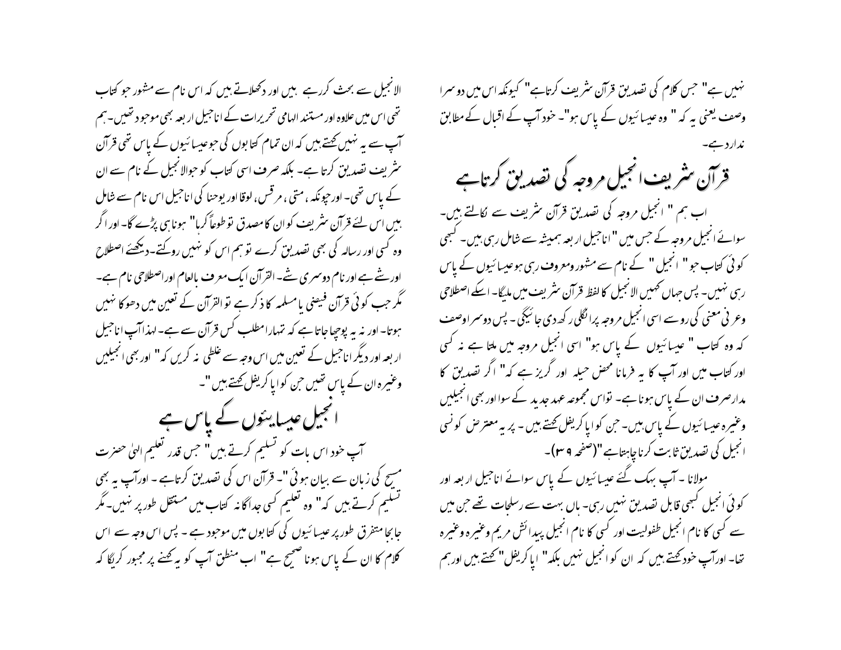الانجیل سے بحث کررہے ہیں اور دکھلاتے بیں کہ اس نام سے مشور حو کتاب تھی اس میں علاوہ اور مستند الہامی تحریرات کے اناجیل ار بعہ بھی موحبو د تھیں۔ہم آپ سے یہ نہیں کھتے بیں کہ ان تمام کتا بوں کی حوعیسا ئیوں کے پاس تھی قرآن ینٹر بیٹ تصدیق کرتا ہے۔ بلکہ صرف اسی کتاب کو حوالانجیل کے نام سے ان کے پاس تھی۔ اور حپونکہ ، متی ، مرقس، لوقا اور یوحنا کی اناجیل اس نام سے شامل بیں اس لئے قرآن سٹریف کوان کامصدق نوطوعاً کربا" ہونا ہی پڑے گا- اور اگر وہ کسی اور رسالہ کی بھی نصدیق کرے نوہم اس کو نہیں روکتے۔دبیجھئے اصطلاح اور نثے ہے اور نام دوسمری شے۔ القرآن ایک معرف بالعام اوراصطلاحی نام ہے۔ مگر حب کوئی قرآن فیصنی یامسلمہ کا ذکر ہے توالقرآن کے تعین میں دھوکا نہیں ہوتا- اور نہ یہ پوجھاجاتا ہے کہ تہارامطلب کس قرآن سے ہے- لہذاآپ اناجیل ار بعہ اور دیگر اناجیل کے تعین میں اس وجہ سے علطی یہ کریں کہ" اور بھی انجیلیں وعنیرہ ان کے پاس تھیں <sup>ج</sup>ن کوایا کریفل کھتے ہیں "۔ انجیل عیسا یئوں کے پاس ہے آپ خود اس بات کو تسلیم کرتے بیں" جس قدر تعلیم اللی حصرت مسیح کی زبان سے بیان ہوئی "۔ قرآن اس کی نصدیق کرتاہے - اورآپ یہ بھی ۔<br>تسلیم کرتے ہیں کہ" وہ تعلیم کسی جداگانہ کتاب میں مستقل طور پر نہیں۔مگر جابحا متفرق طور پر عیسا ئیوں کی کتابوں میں موجود ہے ۔ پس اس وجہ سے اس کلام کا ان کے پاس ہونا صحیح ہے" اب منطق آپ کو یہ کھنے پر مجبور کر لگا کہ

نہیں ہے" جس کلام کی تصدیق قرآن سٹریف کرتاہے" کیونکہ اس میں دو سرا وصف یعنی یہ کہ " وہ عیسائیوں کے پاس ہو"۔ حود آپ کے اقبال کے مطابق

قرآن مثر یف انجیل مروجہ کی نصدیق کرتاہے

اب ہم " انجیل مروجہ کی تصدیق قرآن نثر ہف سے لکالتے ہیں۔ سوائے انجیل مروجہ کے حس میں "اناجیل اربعہ ہمیشہ سے شامل رہی بیں۔ کسجی کوئی کتاب حبو" انجیل " کے نام سے مشہور ومعروف رہی ہوعیسائیوں کے پاس ر ہی نہیں۔ پس جہاں تھمیں الانجیل کا لفظ قرآن سثر بق میں ملیگا۔ اسکے اصطلاحی وعر فی معنی کی روسے اسی انجیل مروجہ پرانگلی رکھ دی جائیجگی - پس دوسمراوصف کہ وہ کتاب " عیسائیوں کے پاس ہو" اسی انجیل مروجہ میں ملتا ہے نہ کسی اور کتاب میں اور آپ کا یہ فرمانا محصٰ حیلہ اور گریز ہے کہ" اگر تصدیق کا مدارصر ف ان کے پاس ہو نا ہے۔ تواس مجموعہ عہد جدید کے سوا اور بھی انجیلیں وعنیرہ عیسائیوں کے پاس بیں۔ حن کوایا کریفل کھتے ہیں ۔ پر ہہ معتر ص کو نسی انجیل کی نصدیق ثابت کرناچاہتاہے"(صفحہ ۴ سا)۔

مولانا - آپ بہک گئے عیسائیوں کے پاس سوائے اناجیل اربعہ اور کوئی انجیل کبھی قابل نصدیق نہیں رہی۔ ہاں بہت سے رسلجات تھے حن میں سے کسی کا نام انجیل طفولیت اور کسی کا نام انجیل پیدائش مریم وعنیرہ وعنیرہ تعا- اورآپ خود کھتے ہیں کہ ان کو انجیل نہیں بلکہ" اپا کریفل" کھتے ہیں اور ہم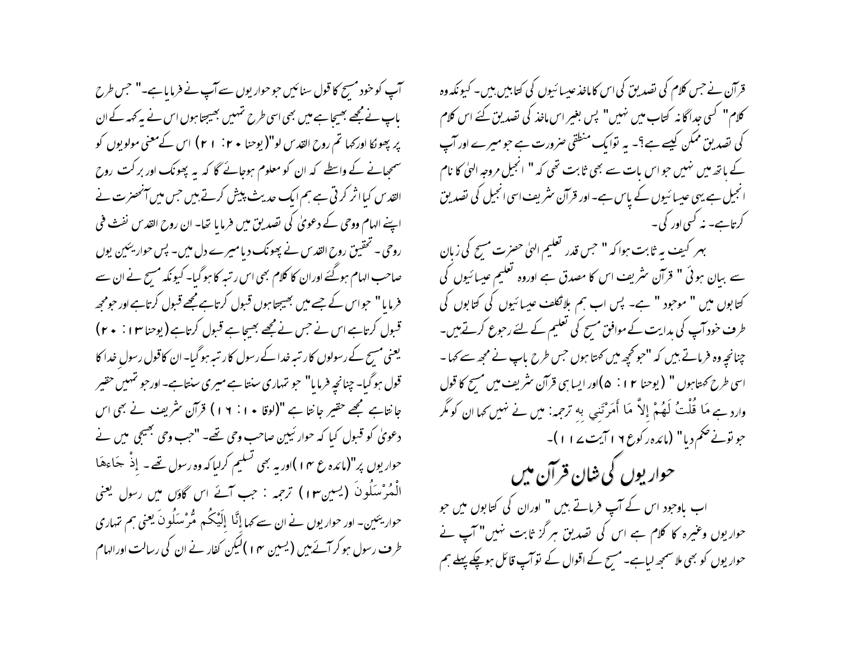آپ کو خود مسیح کا قول سنائیں حوحوار یوں سے آپ نے فرمایا ہے۔" حس طرح باپ نے مجھے بھیجا ہے میں بھی اسی طرح تمہیں بھیجتا ہوں اس نے پہ کھہ کے ان پر پھو لکا اور کہا تم روح القدس لو"( یوحنا ٭ ۲۰ : ۲ ) اس کے معنی مولویوں کو سمحجانے کے واسطے کہ ان کو معلوم ہوجانے گا کہ یہ پھونک اور برکت روح القدس کیااثر کرتی ہے ہم ایک حدیث پیش کرتے ہیں جس میں آنھنرت نے اپنے الہام ووحی کے دعویٰ کی نصدیق میں فرمایا تھا۔ ان روح القدس نفث فی روحی - تحقیق روح القدس نے پھونک دیا میرے دل میں۔ پس حوار یئین پوں صاحب الہام ہوگئے اوران کا کلام بھی اس ر تبہ کا ہو گیا۔ کیونکہ مسح نے ان سے فرمایا" حبواس کے جسے میں بھیجتا ہوں قسول کرتاہے مجھے قسول کرتاہے اور حبومجھ قبول کرتاہے اس نے حس نے مجھے بھیجا ہے قبول کرتاہے (یوحنا ۱۳ : • ۲ ) یعنی مسیح کے رسولوں کار تبہ خدا کے رسول کار تبہ ہوگیا۔ ان کاقول رسول خدا کا قول ہوگیا۔ چنانچہ فرمایا" حو تہاری سنتا ہے میری سنتاہے۔ اورحو تہمیں حقیر جانتاہے مجھے حقیر جانتا ہے "(لوقا • ١ : ١ ٢ ) قرآن سٹریف نے بھی اس دعویٰ کو قبول کیا کہ حوار ٹیبین صاحب وحی تھے۔ "حب وحی بھیجی میں نے حوار یوں پر"(مائدہ ع ۳ ا )اور یہ بھی تسلیم کرایا کہ وہ رسول تھے ۔ إِذْ جَاءِهَا الْعُرْسَلُونَ (يسين ١٣) ترجمہ : جب آئے اس گاؤں ميں رسول يعني حوار یئین۔ اور حوار یوں نے ان سے کہا إِنَّا ۖ إِلَيْكُم مُّرْ سَلُونَ یعنی ہم تہاری طرف رسول ہو کر آئے بیں (یسین ۱۴ )لیکن کفار نے ان کی رسالت اورالہام

قرآن نے جس کلام کی تصدیق کی اس کاماخذ عیسا ئیوں کی کتابیں ہیں۔ کیونکہ وہ کلام" کسی جداگانہ کتاب میں نہیں" پس بغیر اس ماخذ کی تصدیق کئے اس کلام کی تصدیق ممکن کیسے ہے؟۔ یہ توایک منطقی صرورت ہے حو میرے اور آپ کے باتھ میں نہیں حواس بات سے بھی ثابت تھی کہ " انجیل مروجہ الہٰی کا نام انجیل ہے یہی عیسائیوں کے پاس ہے۔اور قرآن سٹریف اسی انجیل کی نصدیق کرتاہے۔ نہ کسی اور کی۔

بہر کیف یہ ثابت ہوا کہ " <sup>ح</sup>س قدر تعلیم ال<sub>ک</sub>ی حصرت مسح کی زبان سے بیان ہوئی " قرآن سٹریف اس کا مصدق ہے اوروہ تعلیم عیسائیوں کی کتابوں میں " موجود " ہے۔ پس اب ہم بلانکلف عیسائیوں کی کتابوں کی طرف حود آپ کی ہدایت کے موافق مسح کی تعلیم کے لئے رح<u>وع کرتے ہیں</u>۔ چنانچہ وہ فرماتے ہیں کہ "حو کحچھ میں کھتا ہوں جس طرح پاپ نے مجھ سے کہا -اسی طرح کھتاہوں " (یوحنا ۱۲ : ۵)اور ایسا ہی قرآن سٹریف میں مسح کا قول وارد ہے مَا قُلْتُ لَهُمْ إِلاَّ مَا أَمَرْتَني به ترحمہ: میں نے نہیں کھا ان کو مگر حو نونے حکم دیا" (مائدہ رکوع ۲ ا آیت ۱ ۱ )۔ حوار پوں کی شان قرآن میں اب ماوجود اس کے آپ فرماتے ہیں " اوران کی کتابوں میں حو حوار یوں وغیرہ کا کلام ہے اس کی تصدیق ہر گز ثابت نہیں" آپ نے حوار یوں کو بھی ملاسمجھ لیاہے۔مسح کے اقوال کے نو آپ قائل ہوچکے پہلے ہم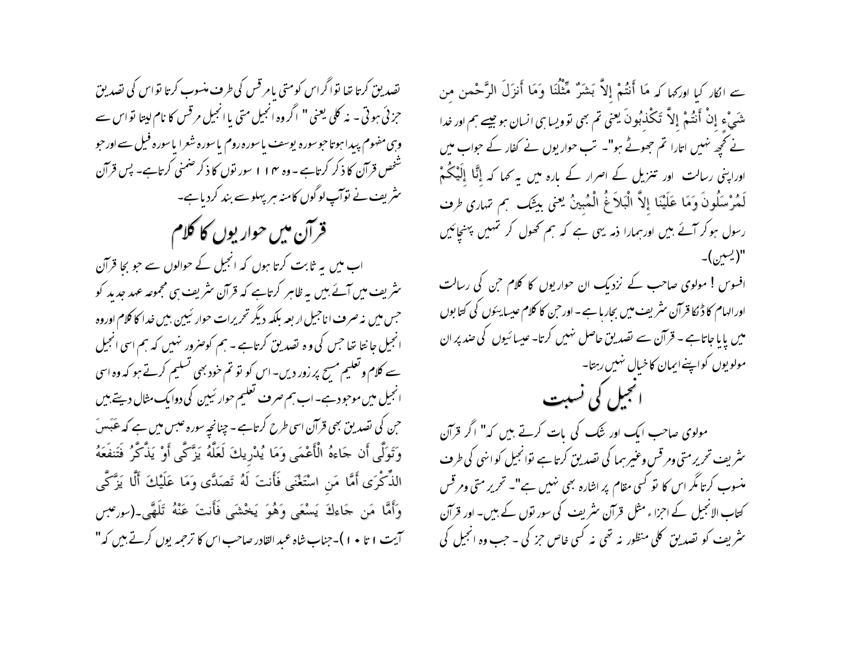تصدیق کرتا تھا توا گراس کومتی یامر قس کی طرف منسوب کرتا نواس کی تصدیق حزنیٗ ہوتیؐ ۔ نہ کلی یعنی " اگروہ انجیل متی یاانجیل مرقس کا نام لیتا تواس سے وہی مفهوم پیدا ہو تا حوسورہ یوسٹ یاسورہ روم یاسورہ شعرا یاسورہ فیل سے اور حو شخص قرآن کا ذکر کرتاہے۔وہ ۱۱۴ سور نوں کا ذکر ضمنی کرتاہے۔ پس قرآن یٹریف نے نوآپ لوگوں کامنہ ہر پہلوسے بند کردیاہے۔ قرآن میں حوار پوں کا کلام اب میں بہ ثابت کرتا ہوں کہ انجیل کے حوالوں سے حبو بحا قرآن سٹریف میں آئے بیں یہ ظاہر کرتاہے کہ قرآن سٹریف ہی مجموعہ عہد جدید کو حبس میں نہ صرف اناجیل ار بعہ بلکہ دیگر تحریرات حوار ئیپین بیں غدا کا کلام اوروہ انجیل جا نتا تھا جس کی و ہ تصدیق کرتاہے - ہم کوصرور نہیں کہ ہم اسی انجیل سے کلام وتعلیم مسح پر زور دیں۔ اس کو نو تم خود بھی تسلیم کرتے ہو کہ وہ اسی انجیل میں موحود ہے۔اب ہم صرف تعلیم حوار ئیبین کی دوایک مثال دیتے ہیں حن کی نصدیق بھی قرآن اسی طرح کرتاہے - چنانچہ سورہ عبس میں ہے کہ عَبَسَ ً وَتَوَلَّى أَن جَاءهُ الْأَعْمَى وَمَا يُدْرِيكَ لَعَلَّهُ يَزَّكَّى أَوْ يَذَّكَّرُ فَتَنفَعَهُ الذِّكْرَى أَمَّا مَنِ اسْتَغْنَى فَأَنتَ لَهُ تَصَدَّى وَمَا عَلَيْكَ أَلَّا يَزَّكَّى وَأَمَّا مَن جَاءِكَ يَسْعَى وَهُوَ يَخْشَى فَأَنتَ عَنْهُ تَلَهَّى۔(سورصِس آیت ۱ تا ۱ ) -جناب شاه عمد القادر صاحب اس کا ترحمه یوں کرتے بیں کہ"

سے الکار کیا اورکہا کہ مَا أَنتُمْ إِلاَّ بَشَرٌ مِّثْلُنَا وَمَا أَنزَلَ الرَّحْمن من شَيْءٍ إِنْ أَنتُمْ إِلاَّ تَكْذِبُونَ يعني تم بھی نوویسا ہی انسان ہوجیے ہم اور خدا نے تحجیہ نہیں اتارا تم جھوٹے ہو"۔ تب حواریوں نے کفار کے حواب میں اوراپنی رسالت اور تنزیل کے اصرار کے بارہ میں ہہ کہا کہ اِنَّا اِلَیْکُمْ لَمُرْسَلُونَ وَمَا عَلَيْنَا إِلاَّ الْبَلاَغُ الْمُبينُ يعني بيتَن بم تهاري طرف رسول ہو کر آئے ہیں اور ہمارا ذمہ یہی ہے کہ ہم تھول کر تہیں پہنچائیں "(يسين)-افسوس ! مولوی صاحب کے نزدیک ان حواریوں کا کلام حن کی رسالت اورالہام کا ڈ کا قرآن سٹریف میں بجار ہا ہے۔اور حبن کا کلام عیسا یسوں کی کتا بوں میں پایا جاتاہے - قرآن سے تصدیق حاصل نہیں کرتا- عیسائیوں کی صد پر ان مولویوں کواپنےایمان کاخیال نہیں رہتا۔ الجيل کی نسبت مولوی صاحب ایک اور شک کی بات کرتے ہیں کہ" اگر قرآن سٹریف تحریر متی ومرقس وعنیر <sub>سم</sub>ا کی تصدیق کرتا ہے توانجیل کو انہی کی طر**ف** منسوب کرتا مگر اس کا تو کسی مقام پر اشارہ بھی نہیں ہے"۔ تحریر متی ومر قس

کتاب الانجیل کے احزاء مثل قرآن سٹریف کی سور نوں کے ہیں۔ اور قرآن سثریف کو تصدیق کلی منظور نہ تھی نہ کسی خاص جز کی ۔ حب وہ انجیل کی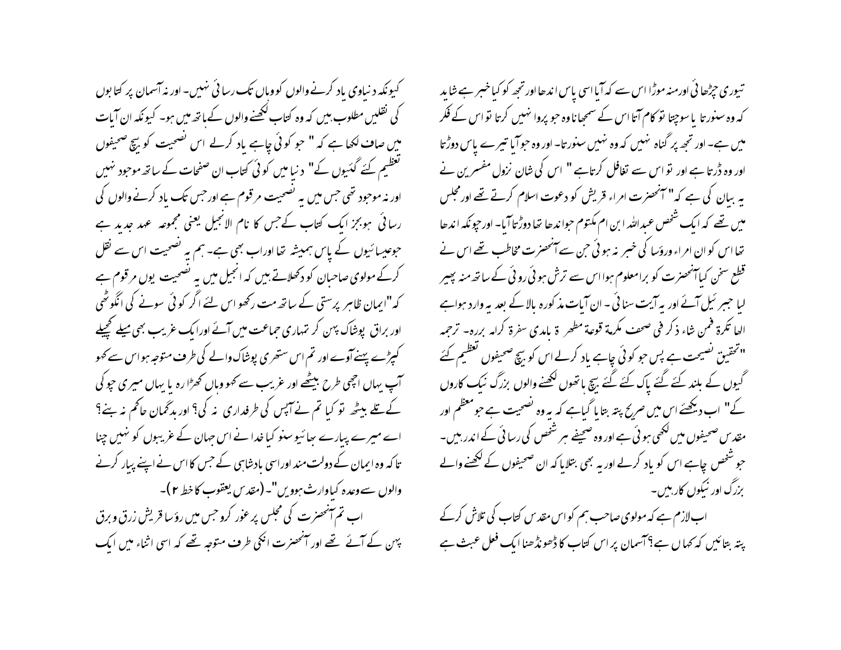کیونکہ د نیاوی یاد کرنے والوں کوویاں تک رسائی نہیں۔ اور نہ آسمان پر کتا بوں کی نقلیں مطلوب بیں کہ وہ کتاب لکھنے والوں کے ہاتھ میں ہو۔ کیونکہ ان آیات میں صاف لکھاہے کہ " حو کوئی چاہے یاد کرلے اس تصحیت کو بیچ صحیفوں گفتھیم کئے گئیوں کے" دنیا میں کوئی کتاب ان صفحات کے ساتھ موجود نہیں اور نہ موحود تھی جس میں بہ نصحیت مرقوم ہے اور جس تک باد کرنے والوں کی رسائی ہو بجز ایک کتاب کے جس کا نام الانجیل یعنی مجموعہ عہد جدید ہے حوعیسائیوں کے پاس ہمیشہ تھا اوراب بھی ہے۔ ہم یہ تصحیت اس سے نقل کرکے مولوی صاحبان کو دکھلاتے ہیں کہ انجیل میں یہ تصحیت یوں مرقوم ہے کہ"ایمان ظاہر پرستی کے ساتھ مت رکھو اس لئے اگر کوئی سونے کی انگوٹھی اور براق پوشاک پہن کر تہاری حماعت میں آئے اورایک عریب بھی میلے کچیلے کپڑے پہنے آوے اور تم اس ستھری پوشاک والے کی طرف متوجہ ہواس سے کہو آپ یہاں اچھی طرح بیٹھے اور عریب سے کھو وہاں کھڑا رہ یا یہاں میری جو کی کے تلے بیٹھ تو کیا تم نے آپس کی طرفداری نہ کی؟ اور بدگمان حاکم نہ ہنے؟ اے میرے پیارے بھائیوسنو کیا خدا نے اس جہان کے غریبوں کو نہیں چنا تا کہ وہ ایمان کے دولت مند اوراسی بادشاہی کے جس کا اس نے اپنے پیار کرنے والوں سےوعدہ کیاوارث ہوویں"۔ (مقدس یعقوب کاخط ۲)۔ اب تم آنمحضرت کی مجلس پر عوْر کرو جس میں رؤ سا قریش زرق و برق پہن کے آئے تھے اور آنھھنرت انکی طرف متوجہ تھے کہ اسی اثناء میں ایک

تیوری حِبْرُها ئی اورمنہ موڑا اس سے کہ آیا اسی پاس اندھا اور تجھ کو کیاخسِر ہے شاید کہ وہ سنور تا یا سوچتا تو کام آتا اس کے سمجاناوہ حبو پروا نہیں کرتا تو اس کے فکر میں ہے۔ اور تجھ پر گناہ نہیں کہ وہ نہیں سنورتا- اور وہ حبوآیا تیرے پاس دوڑتا اور وہ ڈر تا ہے اور نو اس سے تغافل کرتاہے " اس کی شان نزول مفسرین نے یہ ببان کی ہے کہ" آنھھنرت امراء قریش کو دعوت اسلام کرتے تھے اور مجلس میں تھے کہ ایک شخص عبداللہ ابن ام مکتوم حواندھا تھا دوڑ تا آیا۔ اور حیونکہ اندھا تھا اس کو ان امراء ورؤسا کی خسر نہ ہوئی حن سے آنمھنرت مخاطب تھے اس نے قطع سخن کیا آنحصرت کو برامعلوم ہوا اس سے ترش ہوئی روئی کے ساتھ منہ پھیر لیا حبیر ئیل آئے اور بہ آیت سنا ئی ۔ ان آیات مذ کورہ بالا کے بعد بہ وارد ہواہے العا تكرة فمن شاء ذكر في صحف مكرمة قوعة مطحر ة بامدى سفرة كرامه برره- ترحمه "تحقیق نصیحت ہے پس حو کوئی چاہے یاد کرلے اس کو بیچ صحیفوں تعظیم کئے گیوں کے بلند کئے گئے پاک کئے گئے بیچ یاتھوں لکھنے والوں بزرگ نیک کاروں کے" اب دیکھئے اس میں صرح پتہ بتا یا گیاہے کہ یہ وہ تصحیت ہے جو معظم اور مقد س صحیفوں میں لکھی ہو ئی ہے اور وہ صحیفے سر شخص کی رسا ئی کے اندر بیں۔ حبو شخص جاہے اس کو یاد کرلے اور یہ بھی بتلایا کہ ان صحیفوں کے ککھنے والے بزرگ اور نیکوں کار ہیں۔ اب لازم ہے کہ مولوی صاحب ہم کواس مقدس کتاب کی تلاش کرکے

پتہ بتائیں کہ کہاں ہے؟ آسمان پر اس کتاب کا ڈھونڈھنا ایک فعل عبث ہے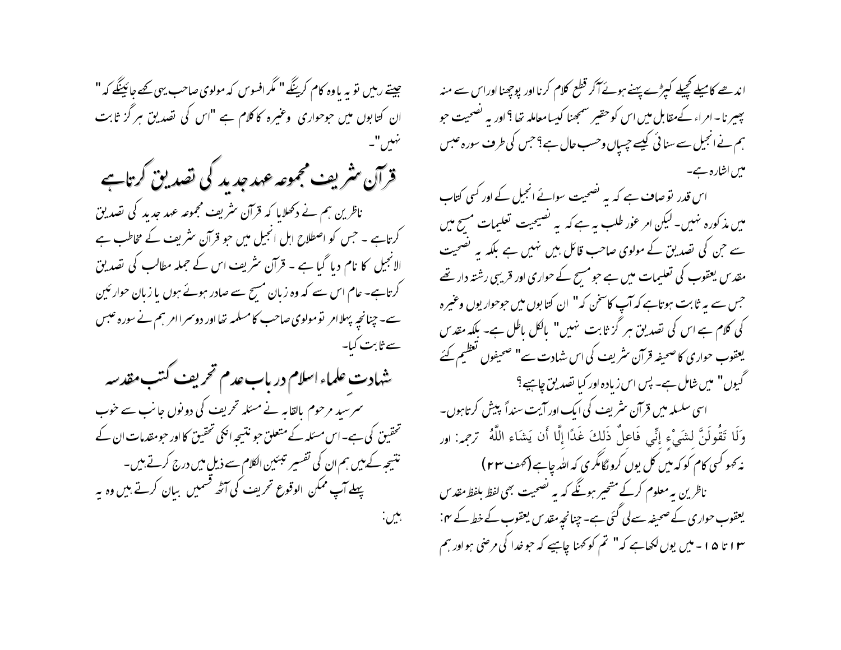اندھے کامیلے کچیلے کیڑے پہنے ہوئےآ کر قطع کلام کرنا اور پوچینا اوراس سے منہ پہیرنا۔امراء کےمقابل میں اس کو حقیر سمجھنا کیسامعاملہ تھا ؟ اور یہ نصحیت حو ہم نے انجیل سے سنائی کیسے جیساں وحسب حال ہے؟حبس کی طرف سورہ عبس میں اشارہ ہے۔

اس قدر توصاف ہے کہ بہ تصحیت سوائے انجیل کے اور کسی کتاب میں مذکورہ نہیں۔ لیکن امر عوْر طلب یہ ہے کہ یہ تصیحیت تعلیمات مسح میں سے حن کی تصدیق کے مولوی صاحب قائل ہیں نہیں ہے بلکہ یہ تصحیت مقدس یعقوب کی تعلیمات میں ہے حومسح کے حواری اور قریبی رشتہ دار تھے جس سے یہ ثابت ہوتاہے کہ آپ کاسخن کہ" ان کتابوں میں حوحوار یوں وعنیرہ کی کلام ہے اس کی تصدیق ہر گز ثابت تہیں" بالکل باطل ہے۔ بلکہ مقدس یعقوب حواری کاصحیفہ قرآن سٹریف کی اس شہادت سے" صحیفوں تعظیم کئے گیوں" میں شامل ہے۔ پس اس زیادہ اور کیا تصدیق چاہیے؟ اسی سلسلہ میں قرآن سٹریف کی ایک اور آیت سنداً پیش کرتاہوں۔ وَلَا تَقُولَنَّ لشَيْء إِنِّي فَاعلٌ ذَلكَ غَدًا إِلَّا أَن يَشَاء اللَّهُ ۚ ترجمہ: اور نہ کھو کسی کام کو کہ میں کل یوں کرو نگامگری کہ اللہ چاہے(کھف ۲۳) ناظرین یہ معلوم کرکے متحیر ہونگے کہ یہ نصحیت بھی لفظ بلفظ مقدس یعقوب حواری کے صحیفہ سے لی گئی ہے۔ چنانچہ مقد س یعقوب کے خط کے مہ: ۱۳ تا ۱۵ - میں یوں لکھاہے کہ" تم کو کھنا چاہیے کہ حوخدا کی مرحنی ہواور ہم

جیتے رہیں تو یہ یاوہ کام کرینگے" مگرافسوس کہ مولوی صاحب یہی کھے جائینگے کہ" ان کتابوں میں حوحواری ِ وعنیرہ کاکلام ہے "اس کی تصدیق ہر گز ثابت نهبين"۔ قرآن مثر یف مجموعہ عہد جدید کی تصدیق کرتاہے ناظرین ہم نے دکھلایا کہ قرآن سٹریف مجموعہ عہد جدید کی تصدیق کرتاہے ۔ جس کو اصطلاح اہل انجیل میں حو قرآن نثر یف کے مخاطب ہے الانجیل کا نام دیا گیا ہے - قرآن سٹریف اس کے حملہ مطالب کی تصدیق کرتاہے۔ عام اس سے کہ وہ زبان مسیح سے صادر ہوئے ہوں یا زبان حوار ئین سے۔ چنانچہ پہلاامر تومولوی صاحب کامسلمہ تھااور دوسمرا امر ہم نے سورہ عبس سے ثابت کیا۔

شهادت علماء اسلام درياب عدم تحريف كتب مقدسه سمرسید مرحوم بالقابہ نے مسئلہ تحریف کی دونوں جانب سے خوب تحقیق کی ہے۔اس مسئلہ کے متعلق حو نتیجہ انکی تحقیق کااور حومقدمات ان کے نتیجہ کے ہیں ہم ان کی تفسیر تبئین الکلام سے ذیل میں درج کرتے ہیں۔ پہلے آپ ممکن الوقوع تحریف کی آٹھ قسمیں ببان کرتے ہیں وہ یہ بيس: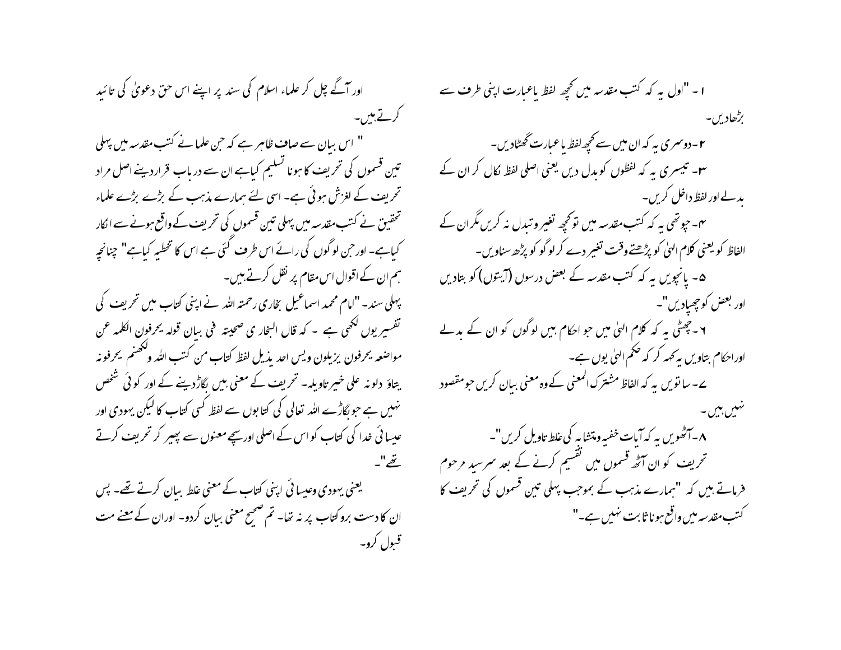اور آگے چل کر علماء اسلام کی سند پر اپنے اس حق دعویٰ کی تائید کرتے ہیں۔ " اس بیان سے صاف ظاہر ہے کہ حن علما نے کتب مقدسہ میں پہلی تین قسموں کی تحریف کا ہونا تسلیم کیاہے ان سے دریاب قراردینے اصل مراد تحریف کے لغزش ہوئی ہے۔ اسی لئے ہمارے مذہب کے بڑے بڑے علماء تحقیق نے کتب مقدسہ میں پہلی تین قسموں کی تحریف کے واقع ہونے سے الکار کیاہے۔ اور حبن لوگوں کی رائے اس طرف گئی ہے اس کا تخطیہ کیاہے" چنانچہ ہم ان کے اقوال اس مقام پر نقل کرتے ہیں۔ پہلی سند۔"امام محمد اسماعیل بخاری رحمتہ اللہ نے اپنی کتاب میں تحریف کی تفسیر یوں لکھی ہے ۔ کہ قال البخار ی صحیتہ فی بیان قولہ یحرفون الکلمہ عن مواصعه يحرفون يزيلون ويس احد يذيل لفظ كتاب من كتب الله وللحسم ليحرفونه یتاؤ دلونہ علی خیبر تاویلہ۔ تحریف کے معنی بین پھاڑدینے کے اور کوئی شخص نہیں ہے جو لگاڑے اللہ تعالی کی کتا بوں سے لفظ کسی کتاب کا لیکن یہودی اور عیسا ئی خدا کی کتاب کواس کے اصلی اورسیے معنوں سے پہیر کر تحریف کرتے تھے"۔

یعنی یہودی وعیسائی اپنی کتاب کے معنی غلط بیان کرتے تھے۔ پس ان کا دست برو کتاب پر نہ تھا۔ تم صبح معنی بیان کردو- اوران کے معنے مت قبول کرو۔

ا - "اول یہ کہ کتب مقدسہ میں تحیجہ لفظ باعمارت اپنی طرف سے بڑھادیں۔ ۲-دوسمری یہ کہ ان میں سے کحچھ لفظ باعبارت گھٹادیں-**۲۔** تیسری یہ کہ لفظوں کوبدل دیں یعنی اصلی لفظ لکال کر ان کے ید لے اور لفظ داخل کریں۔ ہم۔ جو تھی یہ کہ کتب مقدسہ میں تو کچھ تغیر و تبدل نہ کریں مگران کے الفاظ کو یعنی کلام الهیٰ کو پڑھتےوقت تغیر دے کر لو گو کو پڑھ سناویں۔ ھ۔ پانچویں پہ کہ کتب مقدسہ کے بعض درسوں (آیتوں) کو بتادیں اور بعض کو چھپادیں"۔ ۲ ۔چھٹی یہ کہ کلام الہٰیٰ میں جو احکام بیں لو گوں کو ان کے بدلے اوراحکام بتاویں بہ <sub>ک</sub>ہہ کر کہ حکم ال<sub>ح</sub>لٰ یوں ہے۔ ے۔سا تویں یہ کہ الفاظ مشترک المعنی کے وہ معنی بیان کریں حومقصود سىس بىس -۸-آٹھویں یہ کہ آیات خفیہ ومتشایہ کی علط تاویل کریں"۔ تحریف کو ان آٹھ قسموں میں تقسیم کرنے کے بعد سرسید مرحوم فرماتے ہیں کہ "ہمارے مذہب کے بموجب پہلی تین قسموں کی تحریف کا کتب مقدسہ میں واقع ہونا ثابت نہیں ہے۔"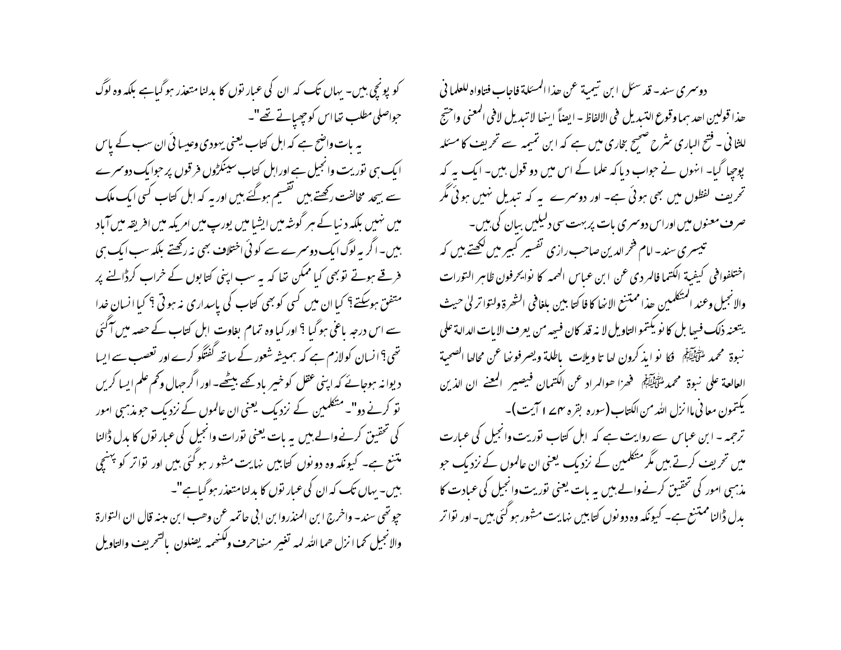کو پونچی ہیں۔ یہاں تک کہ ان کی عبار نوں کا بدلنامتعذر ہوگیاہے بلکہ وہ لوگ حواصلی مطلب تھااس کوچھیاتے تھے"۔ بہ بات واضح ہے کہ اہل کتاب یعنی یہودی وعیسا ئی ان سب کے پاس ایک ہی نوریت وانجیل ہے اوراہل کتاب سینکڑوں فرقوں پر حوا کک دوسمرے سے بیچد مخالفت رکھتے ہیں گقسیم ہوگئے ہیں اور بہ کہ اہل کتاب کسی ایک ملک میں نہیں بلکہ د نیا کے ہر گوشہ میں ایشیا میں پورپ میں امریکہ میں افریقہ میں آباد بیں۔ اگر یہ لوگ ایک دوسمرے سے کوئی اختلاف بھی نہ رکھتے بلکہ سب ایک ہی فرقے ہوتے توبھی کیا ممکن تھا کہ یہ سب اپنی کتابوں کے خراب کرڈالنے پر متفق ہوسکتے؟ کیا ان میں کسی کو بھی کتاب کی پاسداری نہ ہو تی ؟ کیا انسان خدا سے اس درجہ باعی ہوگیا ؟ اور کیا وہ تمام بغاوت اہل کتاب کے حصہ میں آگئی تھی؟انسان کولازم ہے کہ ہمیشہ شعور کے ساتھ گفتگو کرے اور تعصب سے ایسا دیوانہ ہوجائے کہ اپنی عقل کو خیبر یاد کھے بیٹھے۔ اور اگر حہال وکھم علم ایسا کریں تو کرنے دو"۔ متکلمین کے نزدیک یعنی ان عالموں کے نزدیک حبومذہبی امور کی تحقیق کرنےوالے ہیں یہ بات یعنی نورات وانجیل کی عبار نوں کا بدل ڈالنا متنع ہے۔ کیونکہ وہ دونوں کتابیں نہایت مشو ر ہوگئی بیں اور تواتر کو پہنچی ، بین- بہاں تک کہ ان کی عمار نوں کا بدلنامتعذر ہو گیاہے"۔ حپونتھی سند۔ واخرج ابن المنذروابن الی حاتمہ عن وھب ابن مہنہ قال ان التوارة والانجيل كمما انزل حميا الله لمه تغير منهاحرف ولكنهمه يصلون بالتحريف والتاويل

دوسري سند- قد سئل ابن تيمية عن حذا المسئلة فاجاب فتاواه للعلما في حذا قولبين <sub>احد ت</sub>يما وقوع التسديل في الالفاظ - ايضاً ا<sub>يسن</sub>حا لا تبديل لافي المعنى واحتج للثانی ۔ فتح الباری سٹرح صنحتح بخاری میں ہے کہ ابن تمیمہ سے تحریف کا مسئلہ پوجیا گیا۔ انہوں نے حواب دیا کہ علما کے اس میں دو قول ہیں۔ ایک ہہ کہ تحریف گفظوں میں بھی ہوئی ہے۔ اور دوسرے یہ کہ تبدیل نہیں ہوئی مگر صر ف معنوں میں اوراس دوسمری بات پر بہت سی دلیلیں بیان کی بیں۔ تیسری سند- امام فخرالدین صاحب رازی تفسیر کبیر میں لکھتے ہیں کہ اختلفوافي كيفية الكتما فالر دي عن ابن عباس الهمه كا نوايحرفون ظام ِ التورات والانجيل وعند المتكلمين حذا ممتنع الانبا كافاكتا بين بلغافي الشحرة ولتواتر لي حيث يتعنه ذلك فسيا بل كانو يكتموالتاويل لا نه قد كان فسيه من يعرف الإيات الدالة على نبوة محمد متَّقَيِّئَةً لَمَّ فَكا نو ابذ كرون لها تا ويلات باطلة ويصرفونها عن محالها الصحية العالعة على نبوة محمد لمُتَّقِطِيَّهُمْ \_ فهمزا هوالمراد عن الكتمان فيصيبر \_المعنے \_ان الذين یکتمون معانی ماا نزل الله من الکتاب (سوره بقره ۶۲ – اتیت)-ترحمہ - ابن عماس سے روایت ہے کہ اہل کتاب توریت وانجیل کی عمارت میں تحریف کرتے ہیں مگر متکلمین کے نزدیک یعنی ان عالموں کے نزدیک حبو مذہبی امور کی تحقیق کرنےوالے بیں یہ بات یعنی توریت وانجیل کی عمادت کا یدل ڈالناممتنع ہے۔ کیونکہ وہ دو نوں کتابیں نہایت مشور ہو گئی ہیں۔ اور تواتر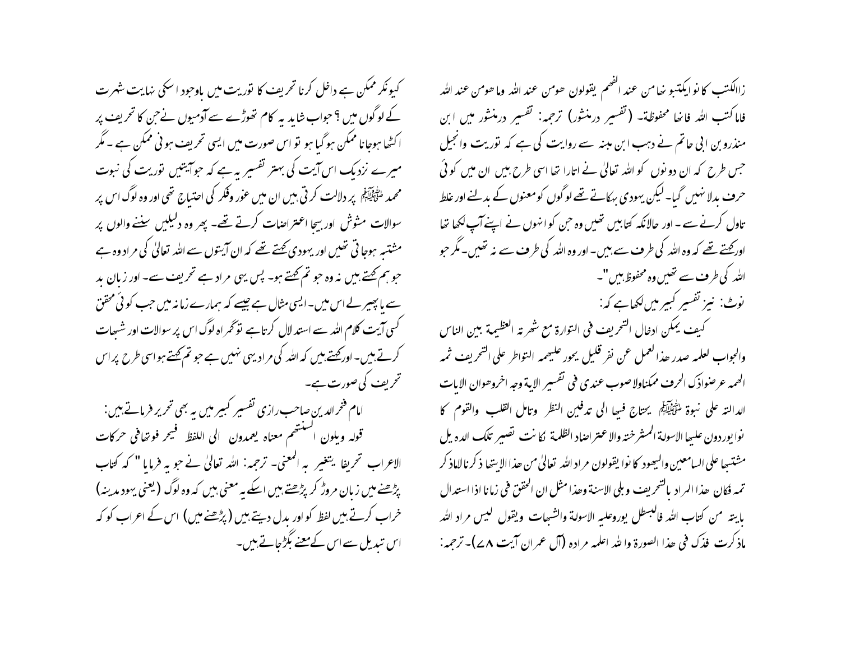کیونکر ممکن ہے داخل کرنا تحریف کا نوریت میں یاوجود اسکی نہایت شہرت کے لوگوں میں ؟ حبواب شاید یہ کام تھوڑے سے آدمیوں نے حن کا تحریف پر اکٹھا ہوجانا ممکن ہوگیا ہو تو اس صورت میں ایسی تحریف ہو فی ممکن ہے ۔ مگر میرے نزدیک اس آیت کی بہتر تفسیر یہ ہے کہ حواہیتیں توریت کی نبوت محمد متَقَيْلَتِهِمْ پر دلالت کرتی بیں ان میں عور وفکر کی احتیاج تھی اور وہ لوگ اس پر سوالات مثوش اور بیچا اعتراضات کرتے تھے۔ پھر وہ دلیلیں سننے والوں پر مشتبہ ہوجا تی تھیں اور یہودی کھتے تھے کہ ان آپتوں سے اللہ تعالیٰ کی مراد وہ ہے حوہم کہتے ہیں نہ وہ حو تم کہتے ہو۔ پس یہی مراد ہے تحریف سے۔ اور زبان بد سے پا پھیر لے اس میں۔ایسی مثال ہے جیسے کہ ہمارے زمانہ میں حب کو ئی محقق کسی آیت کلام اللہ سے استد لال کرتاہے تو گھراہ لوگ اس پر سوالات اور شسات کرتے ہیں۔اورکھتے ہیں کہ اللہ کی مرادیبی نہیں ہے حو تم کھتے ہواسی طرح پراس تحریف کی صورت ہے۔ امام فخرالدین صاحب رازی تفسیر کمبیر میں بہ بھی تحریر فرماتے بیں : قوله ويلون السكتھم معناه يعمدون الى اللفظ فيحر فوتعافى حركات الاعراب تحريفا يتغير به المعنى- ترحمه: الله تعالىٰ نے حويہ فرمايا " كه كتاب پڑھنے میں زبان مروڑ کر پڑھتے ہیں ایکے یہ معنی بیں کہ وہ لوگ (یعنی یہود مدینہ) خراب کرتے ہیں لفظ کو اور بدل دیتے ہیں (پڑھنے میں) اس کے اعراب کو کہ اس تبدیل سے اس کے معنے بگڑجاتے ہیں۔

زاالكتب كانوايكتبو نحامن عند الفهم يقولون حومن عند الله وماحومن عند الله فاماكتب الله فانها محفوظة- (تفسير درمنشور) ترجمه: تفسير درمنشور ميں ابن منذرو بن ابی حاتم نے دہب ابن مبنہ سے روایت کی ہے کہ توریت وانجیل جس طرح کہ ان دو نوں کو اللہ تعالیٰ نے اتارا تھا اسی طرح بیں ان میں کوئی حرف بدلا نہیں گیا۔لیکن یہودی بہکاتے تھے لوگوں کومعنوں کے بدلنے اور غلط تاول کرنے سے۔ اور حالانکہ کتابیں تھیں وہ حن کو انہوں نے اپنے آپ لکھا تھا اور کھتے تھے کہ وہ اللہ کی طرف سے بیں۔ اور وہ اللہ کی طرف سے نہ تھیں۔ مگر حبو اللہ کی طرف سے تھیں وہ محفوظ ہیں "۔ نوٹ: نیز تفسیر کبیر میں لکھاہے کہ:

كيف يمكن ادخال الشحريف في النوارة مع ش<sub>حر</sub>ته العظيمة بين الناس والجواب لعلمه صدر حذا كعمل عن نفر قليل يحور عليهمه النواطر على التحريف ثمه الهمه عرصوادك الحرف ممكناولاصوب عند ي في تفسير الاية وجه اخروهوان الابات الدالته على نبوة سُتَّخَيْلَةً لِمَ يحتاج فسِما الى تدفين النظر ٍ وتامل القلب ٍ والقوم ۖ كا نوا يوردون عليها الاسولة المشرخته والاعتراضاد الظلمة بُكانت تصبير تلك الده يل مشتسعا على السامعين والبيھود كا نوا يقولون مراد الله ِ تعالىٰ من حذا الا ستعا ذكر نالاماذ كر تمه فكان حذا المراد بالشحريف وبلي الاسنة وحذا مثل ان الحقق في زمانا اذا استدال بايته من كتاب الله فالتبطل يوروعليه الاسولة والشيعات ويقول كبين مراد الله ماذ كرت فذك في حذا الصورة والله اعلمه مراده (آل عمران آيت ٤٨)- ترحمه: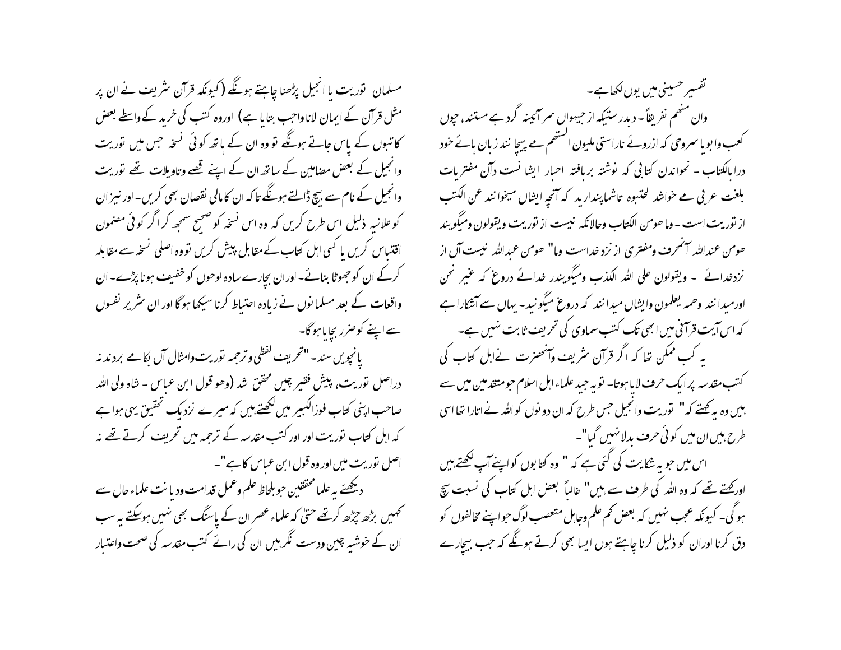مسلمان توریت یا انجیل پڑھنا چاہتے ہوگگے ( کیونکہ قرآن سٹریف نے ان پر مثل قرآن کے ایمان لاناواجب بتایا ہے) اوروہ کتب کی خرید کے واسطے بعض کا تبوں کے پاس جاتے ہوئگے تو وہ ان کے ہاتھ کوئی نسخہ حس میں توریت وانجیل کے بعض مضامین کے ساتھ ان کے اپنے قصے وتاویلات تھے توریت وانجیل کے نام سے بیچ ڈالتے ہوئگے تاکہ ان کامالی نقصان بھی کریں۔ اور نیز ان کو علانبہ ذلیل اس طرح کریں کہ وہ اس نسخہ کو صبحے سمجھ کر اگر کوئی مصنمون اقتباس کریں با کسی اہل کتاب کے مقابل پیش کریں تووہ اصلی نسخہ سے مقابلہ کرکے ان کو جھوٹا بنانے۔اوران بچارے سادہ لوحوں کو خفیف ہونا پڑے۔ان واقعات کے بعد مسلما نوں نے زیادہ احتباط کرنا سیکھا ہوگا اور ان سٹریر نفسوں سے اپنے کو صرر بچایا ہوگا۔ پانچویں سند۔ "تحریف لفظی و ترحمہ توریت وامثال آں پکامے برد ند نہ دراصل توريت، پيش فقبير چين محقق شد (وھو قول ابن عباس - شاہ ولي الله صاحب اپنی کتاب فوزالکبیر میں لکھتے ہیں کہ میرے نزدیک تحقیق یہی ہواہے کہ اہل کتاب نوریت اور اور کتب مقدسہ کے ترحمہ میں تحریف کرتے تھے نہ اصل نوریت میں اور وہ قول ابن عباس کا ہے"۔ د بھیئے یہ علما محققین حو بلحاظ علم وعمل قدامت ودیا نت علماء حال سے ے تھیں بڑھ جڑھ کرتھے حتیٰ کہ علماء عصر ان کے باسنگ بھی نہیں ہوسکتے یہ سب ان کے خوشبہ چین ودست نگر بیں ان کی رائے کتب مقدسہ کی صحت واعتیار

تفسیر حسینی میں یوں لکھاہے۔ وان منھم نفریقاً - دیدر ستیکہ از جیہواں سمر آئینہ گرد ہے مستند، حیوں ۔<br>کعب وا بو یا سمروحی کہ ازرونے ناراستی ملیون انستھم ہے بیچا نند زیان بائے خود درا مالکتاب - نحواندن کتابی که نوشته بربافته احبار ایشا نست دآن مفتریات بلغت عربي مے خواشد لحتبوه تاشما پندار بد که آنچه ایشاں میخوانند عن الکتب از توریت است - وما ھومن الکتاب وحالانکہ نیست از توریت ویقولون ومیگویند حومن عندالله آنمحرف ومفترى از نزد خداست وما" حومن عبدالله نيست آل از نزدخدائے ۔ ویقولون علی اللہ الکذب ومیگو پندر خدائے دروع کہ عنیر نحن اورمیدا نند وھمہ یعلمون وایشاں میدا نند کہ دروغ میگو نید۔ بہاں سے آتیکارا ہے کہ اس آیت قرآنی میں ابھی تک کتب سماوی کی تحریف ثابت نہیں ہے۔ بہ کب ممکن تھا کہ اگر قرآن سٹریف وانحصرت نےاہل کتاب کی کتب مقدسہ پرایک حر**ت** لایا ہوتا۔ تو یہ جید علماء اہل اسلام حومتقدمین میں سے بیں وہ یہ کھتے کہ" توریت وانجیل حس طرح کہ ان دو نوں کوالٹد نے اتارا تھااسی طرح بين ان ميں كوئى حر**ت** بدلا نہيں گيا"۔ اس میں حویہ شکایت کی گئی ہے کہ " وہ کتابوں کواپنےآپ کھتے ہیں

اور محتے تھے کہ وہ اللہ کی طرف سے بیں" غالباً بعض اہل کتاب کی نسبت سچ ہو گی۔ کیونکہ عجب نہیں کہ بعض کم علم وجاہل متعصب لوگ حبواپنے مخالفوں کو دق کرنا اوران کو ذلیل کرنا چاہتے ہوں ایسا بھی کرتے ہوگگے کہ جب بیچارے